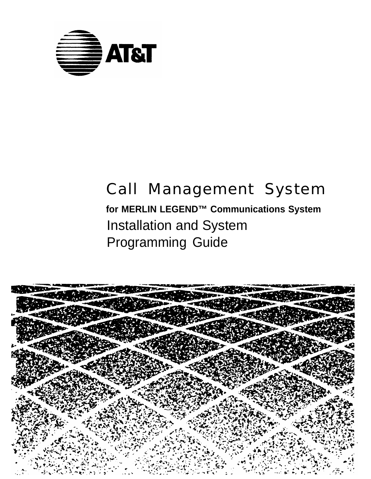

# Call Management System

**for MERLIN LEGEND™ Communications System** Installation and System Programming Guide

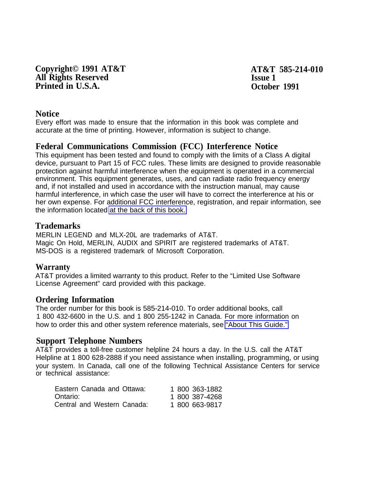**Copyright© 1991 AT&T AT&T 585-214-010 All Rights Reserved Issue 1 Printed in U.S.A. October 1991** 

#### **Notice**

Every effort was made to ensure that the information in this book was complete and accurate at the time of printing. However, information is subject to change.

### **Federal Communications Commission (FCC) Interference Notice**

This equipment has been tested and found to comply with the limits of a Class A digital device, pursuant to Part 15 of FCC rules. These limits are designed to provide reasonable protection against harmful interference when the equipment is operated in a commercial environment. This equipment generates, uses, and can radiate radio frequency energy and, if not installed and used in accordance with the instruction manual, may cause harmful interference, in which case the user will have to correct the interference at his or her own expense. For additional FCC interference, registration, and repair information, see the information located [at the back of this book.](#page-174-0)

#### **Trademarks**

MERLIN LEGEND and MLX-20L are trademarks of AT&T. Magic On Hold, MERLIN, AUDIX and SPIRIT are registered trademarks of AT&T. MS-DOS is a registered trademark of Microsoft Corporation.

#### **Warranty**

AT&T provides a limited warranty to this product. Refer to the "Limited Use Software License Agreement" card provided with this package.

#### **Ordering Information**

The order number for this book is 585-214-010. To order additional books, call 1 800 432-6600 in the U.S. and 1 800 255-1242 in Canada. For more information on how to order this and other system reference materials, see ["About This Guide."](#page-9-0)

#### **Support Telephone Numbers**

AT&T provides a toll-free customer helpline 24 hours a day. In the U.S. call the AT&T Helpline at 1 800 628-2888 if you need assistance when installing, programming, or using your system. In Canada, call one of the following Technical Assistance Centers for service or technical assistance:

| Eastern Canada and Ottawa:  | 1 800 363-1882 |
|-----------------------------|----------------|
| Ontario: I                  | 1 800 387-4268 |
| Central and Western Canada: | 1 800 663-9817 |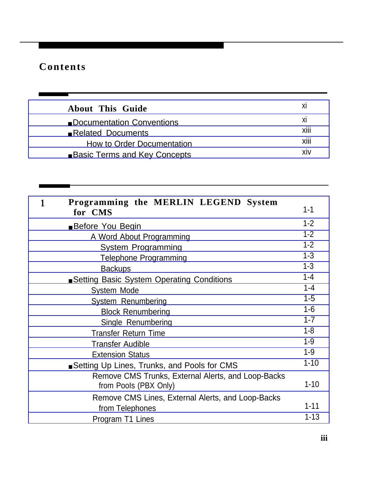Г

| <b>About This Guide</b>             | ΧI   |
|-------------------------------------|------|
| Documentation Conventions           | XI   |
| Related Documents                   | XIII |
| How to Order Documentation          | XIII |
| <b>Basic Terms and Key Concepts</b> | XIV  |

| Programming the MERLIN LEGEND System<br>for CMS                             | $1 - 1$  |
|-----------------------------------------------------------------------------|----------|
| Before You Begin                                                            | $1 - 2$  |
| A Word About Programming                                                    | $1 - 2$  |
| <b>System Programming</b>                                                   | $1 - 2$  |
| <b>Telephone Programming</b>                                                | $1 - 3$  |
| <b>Backups</b>                                                              | $1 - 3$  |
| Setting Basic System Operating Conditions                                   | $1 - 4$  |
| System Mode                                                                 | $1 - 4$  |
| System Renumbering                                                          | $1 - 5$  |
| <b>Block Renumbering</b>                                                    | $1-6$    |
| Single Renumbering                                                          | $1 - 7$  |
| <b>Transfer Return Time</b>                                                 | $1 - 8$  |
| <b>Transfer Audible</b>                                                     | $1 - 9$  |
| <b>Extension Status</b>                                                     | $1 - 9$  |
| Setting Up Lines, Trunks, and Pools for CMS                                 | $1 - 10$ |
| Remove CMS Trunks, External Alerts, and Loop-Backs<br>from Pools (PBX Only) | $1 - 10$ |
| Remove CMS Lines, External Alerts, and Loop-Backs                           |          |
| from Telephones                                                             | $1 - 11$ |
| Program T1 Lines                                                            | $1 - 13$ |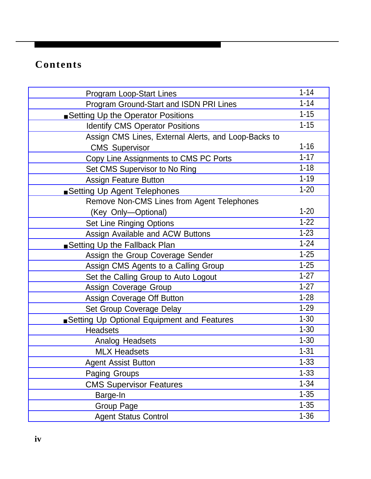| <b>Program Loop-Start Lines</b>                      | $1 - 14$ |
|------------------------------------------------------|----------|
| Program Ground-Start and ISDN PRI Lines              | $1 - 14$ |
| ■ Setting Up the Operator Positions                  | $1 - 15$ |
| <b>Identify CMS Operator Positions</b>               | $1 - 15$ |
| Assign CMS Lines, External Alerts, and Loop-Backs to |          |
| <b>CMS Supervisor</b>                                | $1 - 16$ |
| Copy Line Assignments to CMS PC Ports                | $1 - 17$ |
| Set CMS Supervisor to No Ring                        | $1 - 18$ |
| <b>Assign Feature Button</b>                         | $1 - 19$ |
| Setting Up Agent Telephones                          | $1 - 20$ |
| Remove Non-CMS Lines from Agent Telephones           |          |
| (Key Only-Optional)                                  | $1 - 20$ |
| <b>Set Line Ringing Options</b>                      | $1 - 22$ |
| Assign Available and ACW Buttons                     | $1 - 23$ |
| ■ Setting Up the Fallback Plan                       | $1 - 24$ |
| Assign the Group Coverage Sender                     | $1 - 25$ |
| Assign CMS Agents to a Calling Group                 | $1 - 25$ |
| Set the Calling Group to Auto Logout                 | $1 - 27$ |
| Assign Coverage Group                                | $1 - 27$ |
| Assign Coverage Off Button                           | $1 - 28$ |
| Set Group Coverage Delay                             | $1 - 29$ |
| Setting Up Optional Equipment and Features           | $1 - 30$ |
| <b>Headsets</b>                                      | $1 - 30$ |
| Analog Headsets                                      | $1 - 30$ |
| <b>MLX Headsets</b>                                  | $1 - 31$ |
| <b>Agent Assist Button</b>                           | $1 - 33$ |
| <b>Paging Groups</b>                                 | $1 - 33$ |
| <b>CMS Supervisor Features</b>                       | $1 - 34$ |
| Barge-In                                             | $1 - 35$ |
| <b>Group Page</b>                                    | $1 - 35$ |
| <b>Agent Status Control</b>                          | $1 - 36$ |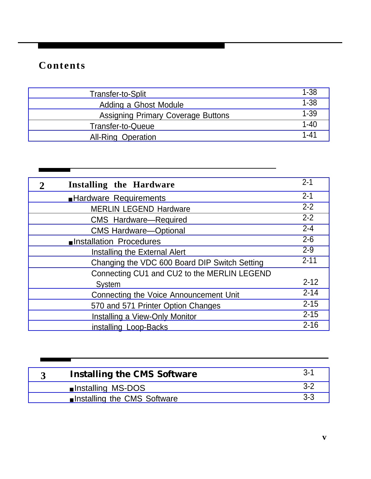$\sim$  10  $\pm$ 

| Transfer-to-Split                         | $1 - 38$ |
|-------------------------------------------|----------|
| Adding a Ghost Module                     | $1 - 38$ |
| <b>Assigning Primary Coverage Buttons</b> | $1 - 39$ |
| <b>Transfer-to-Queue</b>                  | $1 - 40$ |
| <b>All-Ring Operation</b>                 | $1 - 41$ |

| $\overline{2}$ | Installing the Hardware                       | $2 - 1$  |
|----------------|-----------------------------------------------|----------|
|                | Hardware Requirements                         | $2 - 1$  |
|                | <b>MERLIN LEGEND Hardware</b>                 | $2 - 2$  |
|                | <b>CMS</b> Hardware-Required                  | $2 - 2$  |
|                | <b>CMS Hardware-Optional</b>                  | $2 - 4$  |
|                | Installation Procedures                       | $2 - 6$  |
|                | Installing the External Alert                 | $2 - 9$  |
|                | Changing the VDC 600 Board DIP Switch Setting | $2 - 11$ |
|                | Connecting CU1 and CU2 to the MERLIN LEGEND   |          |
|                | <b>System</b>                                 | $2 - 12$ |
|                | Connecting the Voice Announcement Unit        | $2 - 14$ |
|                | 570 and 571 Printer Option Changes            | $2 - 15$ |
|                | Installing a View-Only Monitor                | $2 - 15$ |
|                | installing Loop-Backs                         | $2 - 16$ |

| <b>Installing the CMS Software</b> | $3-1$ |
|------------------------------------|-------|
| ■ Installing MS-DOS                | $3-2$ |
| ■ Installing the CMS Software      | $3-3$ |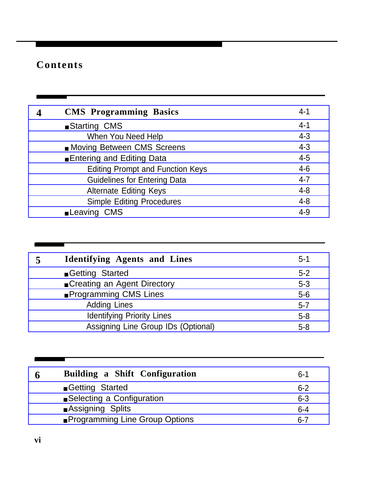| 4 | <b>CMS</b> Programming Basics           | $4 - 1$ |
|---|-----------------------------------------|---------|
|   | ■ Starting CMS                          | $4 - 1$ |
|   | When You Need Help                      | $4 - 3$ |
|   | Moving Between CMS Screens              | $4 - 3$ |
|   | Entering and Editing Data               | $4 - 5$ |
|   | <b>Editing Prompt and Function Keys</b> | $4 - 6$ |
|   | <b>Guidelines for Entering Data</b>     | $4 - 7$ |
|   | <b>Alternate Editing Keys</b>           | $4 - 8$ |
|   | <b>Simple Editing Procedures</b>        | $4 - 8$ |
|   | <b>Leaving CMS</b>                      | $4 - 9$ |
|   |                                         |         |

| 5 | <b>Identifying Agents and Lines</b> | $5 - 1$ |
|---|-------------------------------------|---------|
|   | Getting Started                     | $5 - 2$ |
|   | ■ Creating an Agent Directory       | $5 - 3$ |
|   | <b>Programming CMS Lines</b>        | $5-6$   |
|   | <b>Adding Lines</b>                 | $5 - 7$ |
|   | <b>Identifying Priority Lines</b>   | $5 - 8$ |
|   | Assigning Line Group IDs (Optional) | $5 - 8$ |

| 6 | Building a Shift Configuration        | $6 - 1$ |
|---|---------------------------------------|---------|
|   | Getting Started                       | $6 - 2$ |
|   | ■ Selecting a Configuration           | $6 - 3$ |
|   | Assigning Splits                      | $6 - 4$ |
|   | <b>Programming Line Group Options</b> | $6 - 7$ |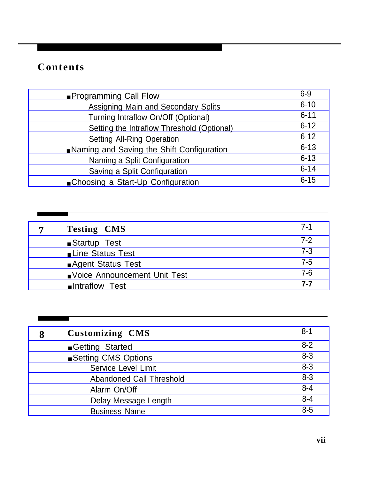a sa Ta

| <b>Programming Call Flow</b>               | $6 - 9$  |
|--------------------------------------------|----------|
| Assigning Main and Secondary Splits        | $6 - 10$ |
| Turning Intraflow On/Off (Optional)        | $6 - 11$ |
| Setting the Intraflow Threshold (Optional) | $6 - 12$ |
| <b>Setting All-Ring Operation</b>          | $6 - 12$ |
| Naming and Saving the Shift Configuration  | $6 - 13$ |
| Naming a Split Configuration               | $6 - 13$ |
| Saving a Split Configuration               | $6 - 14$ |
| ■ Choosing a Start-Up Configuration        | $6 - 15$ |

| 7 | <b>Testing CMS</b>             | 7-1     |
|---|--------------------------------|---------|
|   | ■ Startup Test                 | $7-2$   |
|   | Line Status Test               | $7 - 3$ |
|   | ■ Agent Status Test            | $7 - 5$ |
|   | ■ Voice Announcement Unit Test | $7 - 6$ |
|   | lntraflow Test                 | 7-7     |

| 8 | <b>Customizing CMS</b>          | $8 - 1$ |
|---|---------------------------------|---------|
|   | Getting Started                 | $8 - 2$ |
|   | ■ Setting CMS Options           | $8 - 3$ |
|   | Service Level Limit             | $8 - 3$ |
|   | <b>Abandoned Call Threshold</b> | $8 - 3$ |
|   | Alarm On/Off                    | $8 - 4$ |
|   | Delay Message Length            | $8 - 4$ |
|   | <b>Business Name</b>            | $8 - 5$ |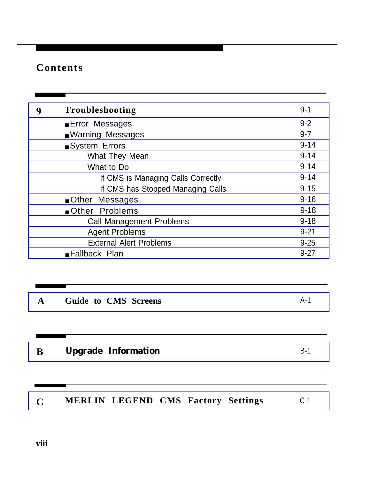| 9            | Troubleshooting                           | $9 - 1$  |
|--------------|-------------------------------------------|----------|
|              | <b>Error Messages</b>                     | $9 - 2$  |
|              | <b>Naming Messages</b>                    | $9 - 7$  |
|              | System Errors                             | $9 - 14$ |
|              | What They Mean                            | $9 - 14$ |
|              | What to Do                                | $9 - 14$ |
|              | If CMS is Managing Calls Correctly        | $9 - 14$ |
|              | If CMS has Stopped Managing Calls         | $9 - 15$ |
|              | Other Messages                            | $9 - 16$ |
|              | Other Problems                            | $9 - 18$ |
|              | <b>Call Management Problems</b>           | $9 - 18$ |
|              | <b>Agent Problems</b>                     | $9 - 21$ |
|              | <b>External Alert Problems</b>            | $9 - 25$ |
|              | Fallback Plan                             | $9 - 27$ |
|              |                                           |          |
| $\mathbf{A}$ | <b>Guide to CMS Screens</b>               | $A-1$    |
| B            | <b>Upgrade Information</b>                | $B-1$    |
| $\mathbf C$  | <b>MERLIN LEGEND CMS Factory Settings</b> | $C-1$    |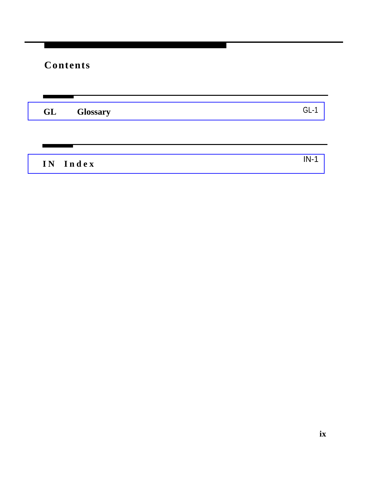**[GL Glossary](#page-160-0)** GL-1

**[IN Inde](#page-169-0) x**

IN-1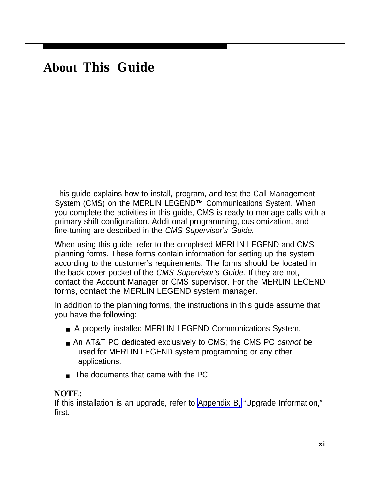## <span id="page-9-1"></span><span id="page-9-0"></span>**About This Guide**

This guide explains how to install, program, and test the Call Management System (CMS) on the MERLIN LEGEND<sup>™</sup> Communications System. When you complete the activities in this guide, CMS is ready to manage calls with a primary shift configuration. Additional programming, customization, and fine-tuning are described in the CMS Supervisor's Guide.

When using this guide, refer to the completed MERLIN LEGEND and CMS planning forms. These forms contain information for setting up the system according to the customer's requirements. The forms should be located in the back cover pocket of the CMS Supervisor's Guide. If they are not, contact the Account Manager or CMS supervisor. For the MERLIN LEGEND forms, contact the MERLIN LEGEND system manager.

In addition to the planning forms, the instructions in this guide assume that you have the following:

- A properly installed MERLIN LEGEND Communications System.
- An AT&T PC dedicated exclusively to CMS; the CMS PC cannot be used for MERLIN LEGEND system programming or any other applications.
- The documents that came with the PC.

### **NOTE:**

If this installation is an upgrade, refer to [Appendix B,](#page-156-1) "Upgrade Information," first.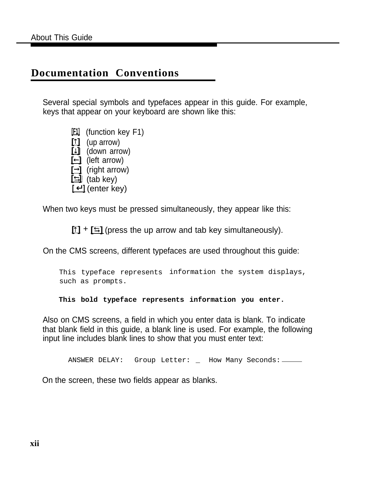### **Documentation Conventions**

Several special symbols and typefaces appear in this guide. For example, keys that appear on your keyboard are shown like this:

> **[F1]** (function key F1) **[ ]** (up arrow) **[ ]** (down arrow) **[←]** (left arrow) **[ ]** (right arrow)  $\boxed{\triangleq}$  (tab key) **[** ↵ **]** (enter key)

When two keys must be pressed simultaneously, they appear like this:

 $\boxed{1}$  +  $\boxed{5}$  (press the up arrow and tab key simultaneously).

On the CMS screens, different typefaces are used throughout this guide:

This typeface represents information the system displays, such as prompts.

**This bold typeface represents information you enter.**

Also on CMS screens, a field in which you enter data is blank. To indicate that blank field in this guide, a blank line is used. For example, the following input line includes blank lines to show that you must enter text:

ANSWER DELAY: Group Letter: \_ How Many Seconds: \_\_\_\_\_

On the screen, these two fields appear as blanks.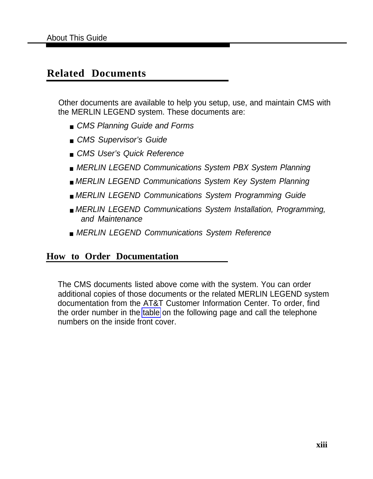### <span id="page-11-0"></span>**Related Documents**

Other documents are available to help you setup, use, and maintain CMS with the MERLIN LEGEND system. These documents are:

- CMS Planning Guide and Forms
- CMS Supervisor's Guide
- CMS User's Quick Reference
- MERLIN LEGEND Communications System PBX System Planning
- MERLIN LEGEND Communications System Key System Planning
- MERLIN LEGEND Communications System Programming Guide
- MERLIN LEGEND Communications System Installation, Programming, and Maintenance
- MERLIN LEGEND Communications System Reference

### **How to Order Documentation**

The CMS documents listed above come with the system. You can order additional copies of those documents or the related MERLIN LEGEND system documentation from the AT&T Customer Information Center. To order, find the order number in the [table](#page-12-1) on the following page and call the telephone numbers on the inside front cover.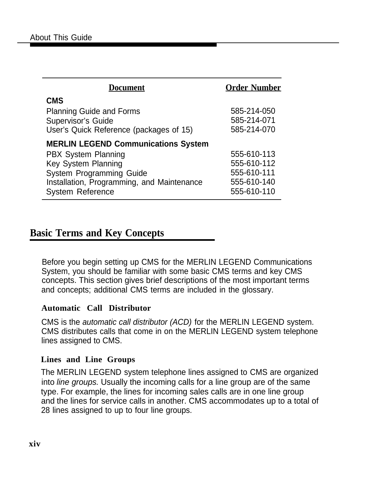<span id="page-12-1"></span><span id="page-12-0"></span>

| <b>Document</b>                                                                                                                                                                                                    | <b>Order Number</b>                                                     |
|--------------------------------------------------------------------------------------------------------------------------------------------------------------------------------------------------------------------|-------------------------------------------------------------------------|
| <b>CMS</b><br><b>Planning Guide and Forms</b><br><b>Supervisor's Guide</b><br>User's Quick Reference (packages of 15)                                                                                              | 585-214-050<br>585-214-071<br>585-214-070                               |
| <b>MERLIN LEGEND Communications System</b><br><b>PBX System Planning</b><br><b>Key System Planning</b><br><b>System Programming Guide</b><br>Installation, Programming, and Maintenance<br><b>System Reference</b> | 555-610-113<br>555-610-112<br>555-610-111<br>555-610-140<br>555-610-110 |

### **Basic Terms and Key Concepts**

Before you begin setting up CMS for the MERLIN LEGEND Communications System, you should be familiar with some basic CMS terms and key CMS concepts. This section gives brief descriptions of the most important terms and concepts; additional CMS terms are included in the glossary.

### **Automatic Call Distributor**

CMS is the automatic call distributor (ACD) for the MERLIN LEGEND system. CMS distributes calls that come in on the MERLIN LEGEND system telephone lines assigned to CMS.

### **Lines and Line Groups**

The MERLIN LEGEND system telephone lines assigned to CMS are organized into line groups. Usually the incoming calls for a line group are of the same type. For example, the lines for incoming sales calls are in one line group and the lines for service calls in another. CMS accommodates up to a total of 28 lines assigned to up to four line groups.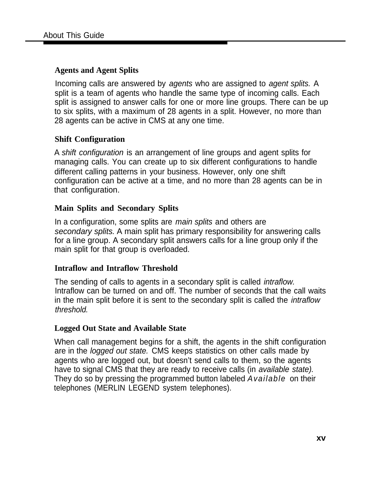### **Agents and Agent Splits**

Incoming calls are answered by agents who are assigned to agent splits. A split is a team of agents who handle the same type of incoming calls. Each split is assigned to answer calls for one or more line groups. There can be up to six splits, with a maximum of 28 agents in a split. However, no more than 28 agents can be active in CMS at any one time.

### **Shift Configuration**

A shift configuration is an arrangement of line groups and agent splits for managing calls. You can create up to six different configurations to handle different calling patterns in your business. However, only one shift configuration can be active at a time, and no more than 28 agents can be in that configuration.

### **Main Splits and Secondary Splits**

In a configuration, some splits are *main splits* and others are secondary splits. A main split has primary responsibility for answering calls for a line group. A secondary split answers calls for a line group only if the main split for that group is overloaded.

### **Intraflow and Intraflow Threshold**

The sending of calls to agents in a secondary split is called *intraflow*. Intraflow can be turned on and off. The number of seconds that the call waits in the main split before it is sent to the secondary split is called the intraflow threshold.

### **Logged Out State and Available State**

When call management begins for a shift, the agents in the shift configuration are in the logged out state. CMS keeps statistics on other calls made by agents who are logged out, but doesn't send calls to them, so the agents have to signal CMS that they are ready to receive calls (in available state). They do so by pressing the programmed button labeled *Available* on their telephones (MERLIN LEGEND system telephones).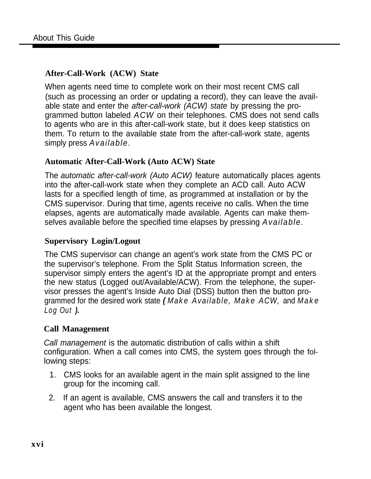### **After-Call-Work (ACW) State**

When agents need time to complete work on their most recent CMS call (such as processing an order or updating a record), they can leave the available state and enter the after-call-work (ACW) state by pressing the programmed button labeled *ACW* on their telephones. CMS does not send calls to agents who are in this after-call-work state, but it does keep statistics on them. To return to the available state from the after-call-work state, agents simply press *Available.*

### **Automatic After-Call-Work (Auto ACW) State**

The automatic after-call-work (Auto ACW) feature automatically places agents into the after-call-work state when they complete an ACD call. Auto ACW lasts for a specified length of time, as programmed at installation or by the CMS supervisor. During that time, agents receive no calls. When the time elapses, agents are automatically made available. Agents can make themselves available before the specified time elapses by pressing *Available.*

### **Supervisory Login/Logout**

The CMS supervisor can change an agent's work state from the CMS PC or the supervisor's telephone. From the Split Status Information screen, the supervisor simply enters the agent's ID at the appropriate prompt and enters the new status (Logged out/Available/ACW). From the telephone, the supervisor presses the agent's Inside Auto Dial (DSS) button then the button programmed for the desired work state **(** *Make Available, Make ACW,* and *Make Log Out* **).**

### **Call Management**

Call management is the automatic distribution of calls within a shift configuration. When a call comes into CMS, the system goes through the following steps:

- 1. CMS looks for an available agent in the main split assigned to the line group for the incoming call.
- 2. If an agent is available, CMS answers the call and transfers it to the agent who has been available the longest.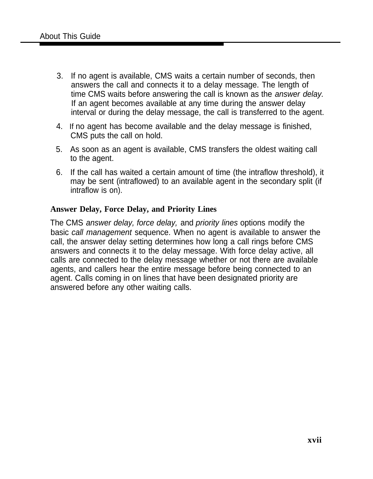- 3. If no agent is available, CMS waits a certain number of seconds, then answers the call and connects it to a delay message. The length of time CMS waits before answering the call is known as the answer delay. If an agent becomes available at any time during the answer delay interval or during the delay message, the call is transferred to the agent.
- 4. If no agent has become available and the delay message is finished, CMS puts the call on hold.
- 5. As soon as an agent is available, CMS transfers the oldest waiting call to the agent.
- 6. If the call has waited a certain amount of time (the intraflow threshold), it may be sent (intraflowed) to an available agent in the secondary split (if intraflow is on).

### **Answer Delay, Force Delay, and Priority Lines**

The CMS answer delay, force delay, and priority lines options modify the basic call management sequence. When no agent is available to answer the call, the answer delay setting determines how long a call rings before CMS answers and connects it to the delay message. With force delay active, all calls are connected to the delay message whether or not there are available agents, and callers hear the entire message before being connected to an agent. Calls coming in on lines that have been designated priority are answered before any other waiting calls.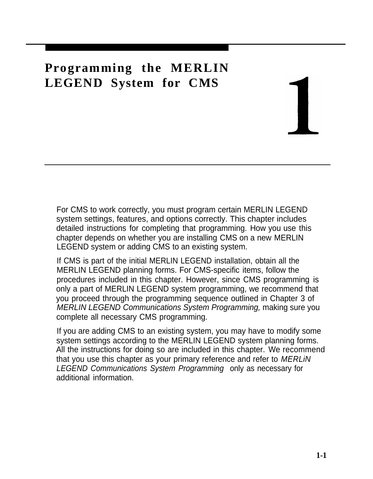## <span id="page-16-0"></span>**Programming the MERLIN LEGEND System for CMS**

For CMS to work correctly, you must program certain MERLIN LEGEND system settings, features, and options correctly. This chapter includes detailed instructions for completing that programming. How you use this chapter depends on whether you are installing CMS on a new MERLIN LEGEND system or adding CMS to an existing system.

If CMS is part of the initial MERLIN LEGEND installation, obtain all the MERLIN LEGEND planning forms. For CMS-specific items, follow the procedures included in this chapter. However, since CMS programming is only a part of MERLIN LEGEND system programming, we recommend that you proceed through the programming sequence outlined in Chapter 3 of MERLIN LEGEND Communications System Programming, making sure you complete all necessary CMS programming.

If you are adding CMS to an existing system, you may have to modify some system settings according to the MERLIN LEGEND system planning forms. All the instructions for doing so are included in this chapter. We recommend that you use this chapter as your primary reference and refer to MERLiN LEGEND Communications System Programming only as necessary for additional information.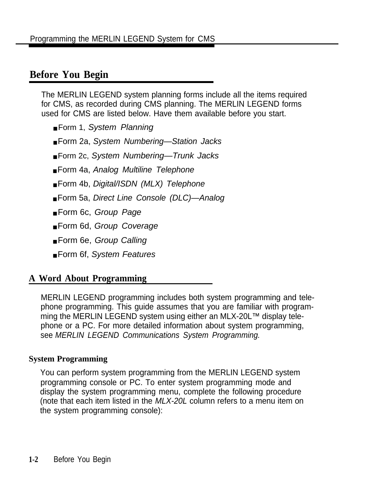### <span id="page-17-0"></span>**Before You Begin**

The MERLIN LEGEND system planning forms include all the items required for CMS, as recorded during CMS planning. The MERLIN LEGEND forms used for CMS are listed below. Have them available before you start.

- Form 1, System Planning
- Form 2a, System Numbering—Station Jacks
- Form 2c, System Numbering—Trunk Jacks
- Form 4a, Analog Multiline Telephone
- Form 4b, Digital/ISDN (MLX) Telephone
- Form 5a, Direct Line Console (DLC)—Analog
- Form 6c, Group Page
- Form 6d, Group Coverage
- Form 6e, Group Calling
- Form 6f, System Features

### **A Word About Programming**

MERLIN LEGEND programming includes both system programming and telephone programming. This guide assumes that you are familiar with programming the MERLIN LEGEND system using either an MLX-20L™ display telephone or a PC. For more detailed information about system programming, see MERLIN LEGEND Communications System Programming.

### **System Programming**

You can perform system programming from the MERLIN LEGEND system programming console or PC. To enter system programming mode and display the system programming menu, complete the following procedure (note that each item listed in the MLX-20L column refers to a menu item on the system programming console):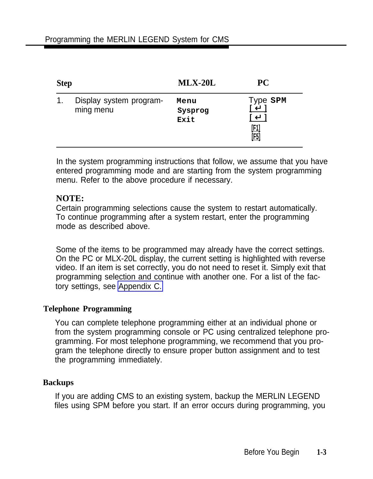<span id="page-18-0"></span>

| <b>Step</b> |                                      | $MLX-20L$               | PС                              |
|-------------|--------------------------------------|-------------------------|---------------------------------|
| 1.          | Display system program-<br>ming menu | Menu<br>Sysprog<br>Exit | Type SPM<br><u>[F1]</u><br>[E5] |

In the system programming instructions that follow, we assume that you have entered programming mode and are starting from the system programming menu. Refer to the above procedure if necessary.

### **NOTE:**

Certain programming selections cause the system to restart automatically. To continue programming after a system restart, enter the programming mode as described above.

Some of the items to be programmed may already have the correct settings. On the PC or MLX-20L display, the current setting is highlighted with reverse video. If an item is set correctly, you do not need to reset it. Simply exit that programming selection and continue with another one. For a list of the factory settings, see [Appendix C.](#page-158-1)

### **Telephone Programming**

You can complete telephone programming either at an individual phone or from the system programming console or PC using centralized telephone programming. For most telephone programming, we recommend that you program the telephone directly to ensure proper button assignment and to test the programming immediately.

### **Backups**

If you are adding CMS to an existing system, backup the MERLIN LEGEND files using SPM before you start. If an error occurs during programming, you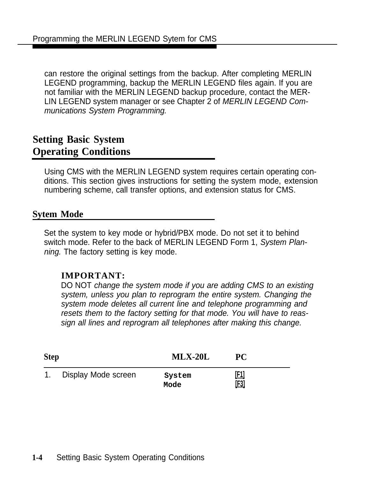<span id="page-19-0"></span>can restore the original settings from the backup. After completing MERLIN LEGEND programming, backup the MERLIN LEGEND files again. If you are not familiar with the MERLIN LEGEND backup procedure, contact the MER-LIN LEGEND system manager or see Chapter 2 of MERLIN LEGEND Communications System Programming.

### **Setting Basic System Operating Conditions**

Using CMS with the MERLIN LEGEND system requires certain operating conditions. This section gives instructions for setting the system mode, extension numbering scheme, call transfer options, and extension status for CMS.

### **Sytem Mode**

Set the system to key mode or hybrid/PBX mode. Do not set it to behind switch mode. Refer to the back of MERLIN LEGEND Form 1, System Planning. The factory setting is key mode.

### **IMPORTANT:**

DO NOT change the system mode if you are adding CMS to an existing system, unless you plan to reprogram the entire system. Changing the system mode deletes all current line and telephone programming and resets them to the factory setting for that mode. You will have to reassign all lines and reprogram all telephones after making this change.

| <b>Step</b> |                        | $MLX-20L$      | <b>PC</b>   |
|-------------|------------------------|----------------|-------------|
|             | 1. Display Mode screen | System<br>Mode | [1]<br>[E3] |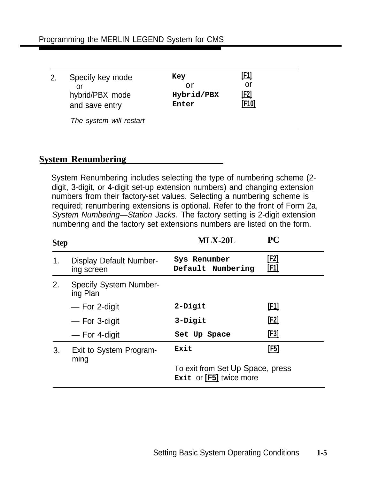<span id="page-20-0"></span>

| Specify key mode<br>or<br>hybrid/PBX mode<br>and save entry | Key<br>or<br>Hybrid/PBX<br>Enter | [F1]<br>or<br><u>[F2]</u><br>[F10] |  |
|-------------------------------------------------------------|----------------------------------|------------------------------------|--|
| The system will restart                                     |                                  |                                    |  |

### **System Renumbering**

System Renumbering includes selecting the type of numbering scheme (2 digit, 3-digit, or 4-digit set-up extension numbers) and changing extension numbers from their factory-set values. Selecting a numbering scheme is required; renumbering extensions is optional. Refer to the front of Form 2a, System Numbering—Station Jacks. The factory setting is 2-digit extension numbering and the factory set extensions numbers are listed on the form.

| <b>Step</b> |                                           | $MLX-20L$                                                   | <b>PC</b>                  |
|-------------|-------------------------------------------|-------------------------------------------------------------|----------------------------|
| 1.          | Display Default Number-<br>ing screen     | Sys Renumber<br>Default Numbering                           | <u>[F2]</u><br><u>[F1]</u> |
| 2.          | <b>Specify System Number-</b><br>ing Plan |                                                             |                            |
|             | - For 2-digit                             | 2-Digit                                                     | <u>[F1]</u>                |
|             | — For 3-digit                             | 3-Digit                                                     | [ <u>F2]</u>               |
|             | — For 4-digit                             | Set Up Space                                                | <u>[F3]</u>                |
| 3.          | Exit to System Program-<br>ming           | Exit                                                        | <u>[F5]</u>                |
|             |                                           | To exit from Set Up Space, press<br>Exit or [F5] twice more |                            |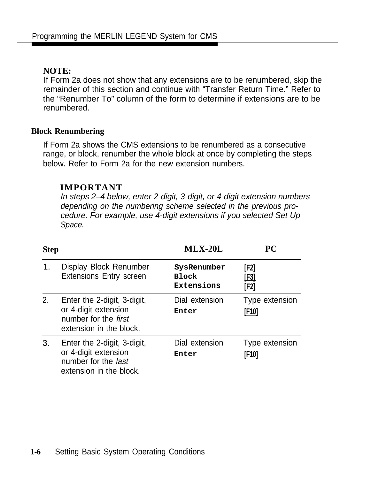### <span id="page-21-0"></span>**NOTE:**

If Form 2a does not show that any extensions are to be renumbered, skip the remainder of this section and continue with "Transfer Return Time." Refer to the "Renumber To" column of the form to determine if extensions are to be renumbered.

### **Block Renumbering**

If Form 2a shows the CMS extensions to be renumbered as a consecutive range, or block, renumber the whole block at once by completing the steps below. Refer to Form 2a for the new extension numbers.

### **IMPORTANT**

In steps 2–4 below, enter 2-digit, 3-digit, or 4-digit extension numbers depending on the numbering scheme selected in the previous procedure. For example, use 4-digit extensions if you selected Set Up Space.

| <b>Step</b> |                                                                                                               | $MLX-20L$                                 | PC                                 |
|-------------|---------------------------------------------------------------------------------------------------------------|-------------------------------------------|------------------------------------|
| 1.          | Display Block Renumber<br><b>Extensions Entry screen</b>                                                      | SysRenumber<br><b>Block</b><br>Extensions | [F2]<br><u>[F3]</u><br><u>[F2]</u> |
| 2.          | Enter the 2-digit, 3-digit,<br>or 4-digit extension<br>number for the <i>first</i><br>extension in the block. | Dial extension<br>Enter                   | Type extension<br><u>[F10]</u>     |
| 3.          | Enter the 2-digit, 3-digit,<br>or 4-digit extension<br>number for the last<br>extension in the block.         | Dial extension<br>Enter                   | Type extension<br>[F10]            |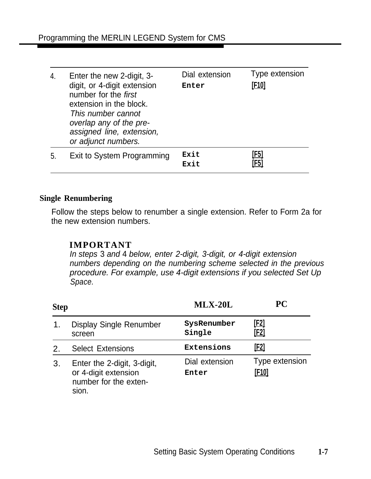<span id="page-22-0"></span>

| 4. | Enter the new 2-digit, 3-<br>digit, or 4-digit extension<br>number for the first<br>extension in the block.<br>This number cannot<br>overlap any of the pre-<br>assigned line, extension,<br>or adjunct numbers. | Dial extension<br>Enter | Type extension<br>[F10] |
|----|------------------------------------------------------------------------------------------------------------------------------------------------------------------------------------------------------------------|-------------------------|-------------------------|
| 5. | Exit to System Programming                                                                                                                                                                                       | Exit<br>Exit            | <u>[F5]</u><br>[F5]     |

### **Single Renumbering**

Follow the steps below to renumber a single extension. Refer to Form 2a for the new extension numbers.

### **IMPORTANT**

In steps 3 and 4 below, enter 2-digit, 3-digit, or 4-digit extension numbers depending on the numbering scheme selected in the previous procedure. For example, use 4-digit extensions if you selected Set Up Space.

| <b>Step</b>                 |                                                                                       | $MLX-20L$               | PС                         |
|-----------------------------|---------------------------------------------------------------------------------------|-------------------------|----------------------------|
| 1 <sub>1</sub>              | Display Single Renumber<br>screen                                                     | SysRenumber<br>Single   | <u>[F2]</u><br><u>[F2]</u> |
| $\mathcal{P}_{\mathcal{L}}$ | <b>Select Extensions</b>                                                              | Extensions              | <u>[F2]</u>                |
| 3.                          | Enter the 2-digit, 3-digit,<br>or 4-digit extension<br>number for the exten-<br>sion. | Dial extension<br>Enter | Type extension<br>[F10]    |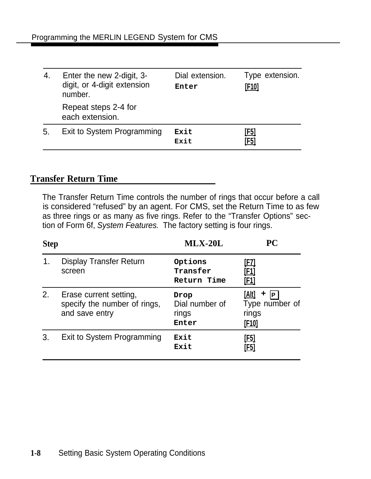<span id="page-23-0"></span>

| 4. | Enter the new 2-digit, 3-<br>digit, or 4-digit extension<br>number. | Dial extension.<br>Enter | Type extension.<br><u>[F10]</u> |
|----|---------------------------------------------------------------------|--------------------------|---------------------------------|
|    | Repeat steps 2-4 for<br>each extension.                             |                          |                                 |
| 5. | Exit to System Programming                                          | Exit<br>Exit             | <u>[F5]</u><br>[F5]             |

### **Transfer Return Time**

The Transfer Return Time controls the number of rings that occur before a call is considered "refused" by an agent. For CMS, set the Return Time to as few as three rings or as many as five rings. Refer to the "Transfer Options" section of Form 6f, System Features. The factory setting is four rings.

| <b>Step</b> |                                                                          | $MLX-20L$                                | PС                                                           |
|-------------|--------------------------------------------------------------------------|------------------------------------------|--------------------------------------------------------------|
|             | <b>Display Transfer Return</b><br>screen                                 | Options<br>Transfer<br>Return Time       | <u>[FZ]</u><br><u>[F1]</u><br><u>[F1]</u>                    |
| 2.          | Erase current setting,<br>specify the number of rings,<br>and save entry | Drop<br>Dial number of<br>rings<br>Enter | [Alt]<br>٠<br> P <br>Type number of<br>rings<br><u>[F10]</u> |
| 3.          | Exit to System Programming                                               | Exit<br>Exit                             | <u>[F5]</u><br>[F5]                                          |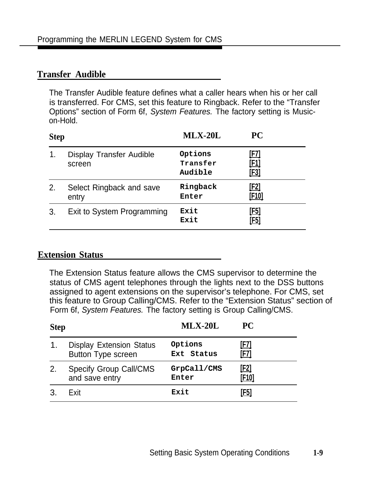### <span id="page-24-0"></span>**Transfer Audible**

The Transfer Audible feature defines what a caller hears when his or her call is transferred. For CMS, set this feature to Ringback. Refer to the "Transfer Options" section of Form 6f, System Features. The factory setting is Musicon-Hold.

| <b>Step</b> |                                           | $MLX-20L$                      | <b>PC</b>                          |  |
|-------------|-------------------------------------------|--------------------------------|------------------------------------|--|
| 1.          | <b>Display Transfer Audible</b><br>screen | Options<br>Transfer<br>Audible | <u>[F7]</u><br><u>[F1]</u><br>[F3] |  |
| 2.          | Select Ringback and save<br>entry         | Ringback<br>Enter              | <u>[F2]</u><br>[F10]               |  |
| 3.          | Exit to System Programming                | Exit<br>Exit                   | <u>[F5]</u><br>[F5]                |  |

### **Extension Status**

The Extension Status feature allows the CMS supervisor to determine the status of CMS agent telephones through the lights next to the DSS buttons assigned to agent extensions on the supervisor's telephone. For CMS, set this feature to Group Calling/CMS. Refer to the "Extension Status" section of Form 6f, System Features. The factory setting is Group Calling/CMS.

| <b>Step</b>   |                                 | $MLX-20L$   | <b>PC</b>    |
|---------------|---------------------------------|-------------|--------------|
| $\mathbf 1$ . | <b>Display Extension Status</b> | Options     | <u>(F7)</u>  |
|               | <b>Button Type screen</b>       | Ext Status  | [F7]         |
| 2.            | <b>Specify Group Call/CMS</b>   | GrpCall/CMS | <u>[F2]</u>  |
|               | and save entry                  | Enter       | <u>[F10]</u> |
|               | Exit                            | Exit        | [F5]         |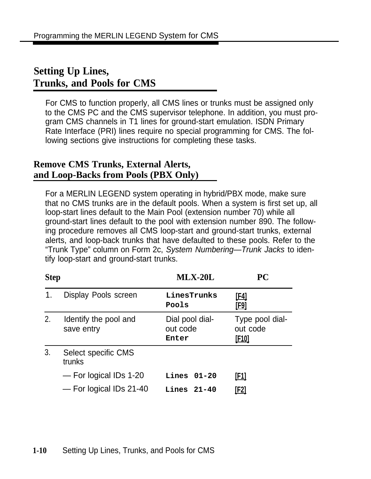### <span id="page-25-0"></span>**Setting Up Lines, Trunks, and Pools for CMS**

For CMS to function properly, all CMS lines or trunks must be assigned only to the CMS PC and the CMS supervisor telephone. In addition, you must program CMS channels in T1 lines for ground-start emulation. ISDN Primary Rate Interface (PRI) lines require no special programming for CMS. The following sections give instructions for completing these tasks.

### **Remove CMS Trunks, External Alerts, and Loop-Backs from Pools (PBX Only)**

For a MERLIN LEGEND system operating in hybrid/PBX mode, make sure that no CMS trunks are in the default pools. When a system is first set up, all loop-start lines default to the Main Pool (extension number 70) while all ground-start lines default to the pool with extension number 890. The following procedure removes all CMS loop-start and ground-start trunks, external alerts, and loop-back trunks that have defaulted to these pools. Refer to the "Trunk Type" column on Form 2c, System Numbering—Trunk Jacks to identify loop-start and ground-start trunks.

| <b>Step</b> |                                     | $MLX-20L$                            | <b>PC</b>                                   |
|-------------|-------------------------------------|--------------------------------------|---------------------------------------------|
| 1.          | Display Pools screen                | LinesTrunks<br>Pools                 | <u>[F4]</u><br><u>[F9]</u>                  |
| 2.          | Identify the pool and<br>save entry | Dial pool dial-<br>out code<br>Enter | Type pool dial-<br>out code<br><u>[F10]</u> |
| 3.          | Select specific CMS<br>trunks       |                                      |                                             |
|             | - For logical IDs 1-20              | Lines $01-20$                        | <u>[F1]</u>                                 |
|             | - For logical IDs 21-40             | Lines $21-40$                        | [F2]                                        |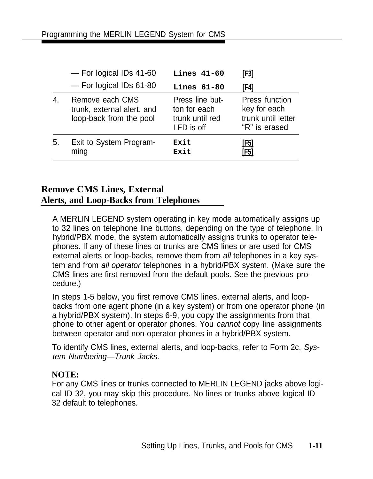<span id="page-26-0"></span>

|    | $-$ For logical IDs 41-60                                                | <b>Lines 41-60</b>                                               | <u>[F3]</u>                                                           |
|----|--------------------------------------------------------------------------|------------------------------------------------------------------|-----------------------------------------------------------------------|
|    | - For logical IDs 61-80                                                  | <b>Lines 61-80</b>                                               | <u>[F4]</u>                                                           |
| 4. | Remove each CMS<br>trunk, external alert, and<br>loop-back from the pool | Press line but-<br>ton for each<br>trunk until red<br>LED is off | Press function<br>key for each<br>trunk until letter<br>"R" is erased |
| 5. | Exit to System Program-<br>ming                                          | Exit<br>Exit                                                     | [F5]<br>[F5]                                                          |

### **Remove CMS Lines, External Alerts, and Loop-Backs from Telephones**

A MERLIN LEGEND system operating in key mode automatically assigns up to 32 lines on telephone line buttons, depending on the type of telephone. In hybrid/PBX mode, the system automatically assigns trunks to operator telephones. If any of these lines or trunks are CMS lines or are used for CMS external alerts or loop-backs, remove them from all telephones in a key system and from all operator telephones in a hybrid/PBX system. (Make sure the CMS lines are first removed from the default pools. See the previous procedure.)

In steps 1-5 below, you first remove CMS lines, external alerts, and loopbacks from one agent phone (in a key system) or from one operator phone (in a hybrid/PBX system). In steps 6-9, you copy the assignments from that phone to other agent or operator phones. You cannot copy line assignments between operator and non-operator phones in a hybrid/PBX system.

To identify CMS lines, external alerts, and loop-backs, refer to Form 2c, System Numbering—Trunk Jacks.

### **NOTE:**

For any CMS lines or trunks connected to MERLIN LEGEND jacks above logical ID 32, you may skip this procedure. No lines or trunks above logical ID 32 default to telephones.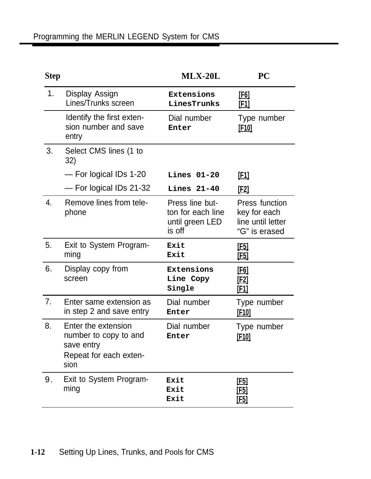| <b>Step</b> |                                                                                              | $MLX-20L$                                                         | PC                                                                   |
|-------------|----------------------------------------------------------------------------------------------|-------------------------------------------------------------------|----------------------------------------------------------------------|
| 1.          | Display Assign<br>Lines/Trunks screen                                                        | Extensions<br>LinesTrunks                                         | <u>[F6]</u><br><u>[F1]</u>                                           |
|             | Identify the first exten-<br>sion number and save<br>entry                                   | Dial number<br>Enter                                              | Type number<br><u>[F10]</u>                                          |
| 3.          | Select CMS lines (1 to<br>32)                                                                |                                                                   |                                                                      |
|             | - For logical IDs 1-20                                                                       | <b>Lines 01-20</b>                                                | <u>[F1]</u>                                                          |
|             | - For logical IDs 21-32                                                                      | <b>Lines 21-40</b>                                                | [E2]                                                                 |
| 4.          | Remove lines from tele-<br>phone                                                             | Press line but-<br>ton for each line<br>until green LED<br>is off | Press function<br>key for each<br>line until letter<br>"G" is erased |
| 5.          | Exit to System Program-<br>ming                                                              | Exit<br>Exit                                                      | <u>[E5]</u><br><u>[F5]</u>                                           |
| 6.          | Display copy from<br>screen                                                                  | Extensions<br>Line Copy<br>Single                                 | <u>[F6]</u><br>[E2]<br><u>[F1]</u>                                   |
| 7.          | Enter same extension as<br>in step 2 and save entry                                          | Dial number<br>Enter                                              | Type number<br><u>[E10]</u>                                          |
| 8.          | Enter the extension<br>number to copy to and<br>save entry<br>Repeat for each exten-<br>sion | Dial number<br>Enter                                              | Type number<br>[F10]                                                 |
| 9.          | Exit to System Program-<br>ming                                                              | Exit<br>Exit<br>Exit                                              | <u>[F5]</u><br><u>[F5]</u><br>[F5]                                   |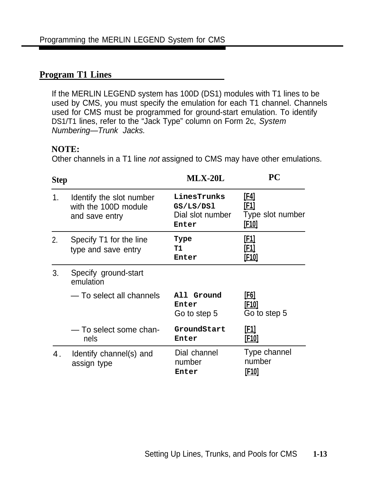### <span id="page-28-0"></span>**Program T1 Lines**

If the MERLIN LEGEND system has 100D (DS1) modules with T1 lines to be used by CMS, you must specify the emulation for each T1 channel. Channels used for CMS must be programmed for ground-start emulation. To identify DS1/T1 lines, refer to the "Jack Type" column on Form 2c, System Numbering—Trunk Jacks.

### **NOTE:**

Other channels in a T1 line not assigned to CMS may have other emulations.

| <b>Step</b> |                                                                    | $MLX-20L$                                             | PC                                                      |
|-------------|--------------------------------------------------------------------|-------------------------------------------------------|---------------------------------------------------------|
| 1.          | Identify the slot number<br>with the 100D module<br>and save entry | LinesTrunks<br>GS/LS/DS1<br>Dial slot number<br>Enter | <u>[F4]</u><br>[F1]<br>Type slot number<br><u>[F10]</u> |
| 2.          | Specify T1 for the line<br>type and save entry                     | Type<br>т1<br>Enter                                   | <u>[F1]</u><br><u>[F1]</u><br>[F <sub>10</sub> ]        |
| 3.          | Specify ground-start<br>emulation                                  |                                                       |                                                         |
|             | - To select all channels                                           | All Ground<br>Enter<br>Go to step 5                   | <u>[F6]</u><br><u>[F10]</u><br>Go to step 5             |
|             | - To select some chan-<br>nels                                     | GroundStart<br>Enter                                  | <u>[F1]</u><br>[F <sub>10</sub> ]                       |
| 4.          | Identify channel(s) and<br>assign type                             | Dial channel<br>number<br>Enter                       | Type channel<br>number<br><u>[F10]</u>                  |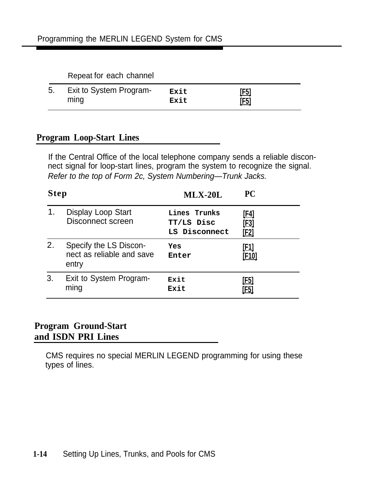#### Repeat for each channel

<span id="page-29-0"></span>

| 5. Exit to System Program- | Exit | [F5]        |
|----------------------------|------|-------------|
| ming                       | Exit | <u>[F5]</u> |

### **Program Loop-Start Lines**

If the Central Office of the local telephone company sends a reliable disconnect signal for loop-start lines, program the system to recognize the signal. Refer to the top of Form 2c, System Numbering—Trunk Jacks.

| <b>Step</b> |                                                              | $MLX-20L$                                   | <b>PC</b>                                 |
|-------------|--------------------------------------------------------------|---------------------------------------------|-------------------------------------------|
| 1.          | Display Loop Start<br>Disconnect screen                      | Lines Trunks<br>TT/LS Disc<br>LS Disconnect | <u>[F4]</u><br><u>[E3]</u><br><u>[F2]</u> |
| 2.          | Specify the LS Discon-<br>nect as reliable and save<br>entry | Yes<br>Enter                                | [F1]<br>[F <sub>10</sub> ]                |
| 3.          | Exit to System Program-<br>ming                              | Exit<br>Exit                                | <u>[F5]</u><br>[F5]                       |

### **Program Ground-Start and ISDN PRI Lines**

CMS requires no special MERLIN LEGEND programming for using these types of lines.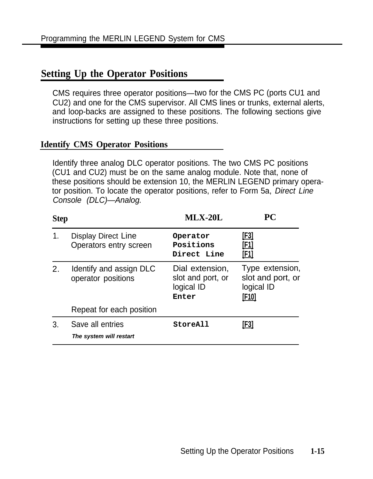### <span id="page-30-0"></span>**Setting Up the Operator Positions**

CMS requires three operator positions—two for the CMS PC (ports CU1 and CU2) and one for the CMS supervisor. All CMS lines or trunks, external alerts, and loop-backs are assigned to these positions. The following sections give instructions for setting up these three positions.

### **Identify CMS Operator Positions**

Identify three analog DLC operator positions. The two CMS PC positions (CU1 and CU2) must be on the same analog module. Note that, none of these positions should be extension 10, the MERLIN LEGEND primary operator position. To locate the operator positions, refer to Form 5a, Direct Line Console (DLC)—Analog.

| <b>Step</b>    |                                               | $MLX-20L$                                                   | <b>PC</b>                                                          |
|----------------|-----------------------------------------------|-------------------------------------------------------------|--------------------------------------------------------------------|
| $\mathbf{1}$ . | Display Direct Line<br>Operators entry screen | Operator<br>Positions<br>Direct Line                        | <u>[E3]</u><br><u>[F1]</u><br><u>[F1]</u>                          |
| 2.             | Identify and assign DLC<br>operator positions | Dial extension,<br>slot and port, or<br>logical ID<br>Enter | Type extension,<br>slot and port, or<br>logical ID<br><u>[F10]</u> |
|                | Repeat for each position                      |                                                             |                                                                    |
| 3.             | Save all entries<br>The system will restart   | StoreAll                                                    | [F3]                                                               |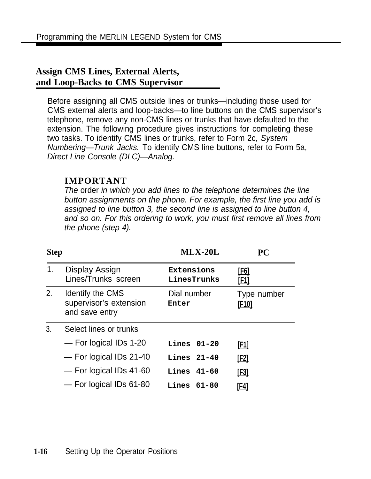### <span id="page-31-0"></span>**Assign CMS Lines, External Alerts, and Loop-Backs to CMS Supervisor**

Before assigning all CMS outside lines or trunks—including those used for CMS external alerts and loop-backs—to line buttons on the CMS supervisor's telephone, remove any non-CMS lines or trunks that have defaulted to the extension. The following procedure gives instructions for completing these two tasks. To identify CMS lines or trunks, refer to Form 2c, System Numbering—Trunk Jacks. To identify CMS line buttons, refer to Form 5a, Direct Line Console (DLC)—Analog.

### **IMPORTANT**

The order in which you add lines to the telephone determines the line button assignments on the phone. For example, the first line you add is assigned to line button 3, the second line is assigned to line button 4, and so on. For this ordering to work, you must first remove all lines from the phone (step 4).

| <b>Step</b> |                                                              | $MLX-20L$                 | PC                          |
|-------------|--------------------------------------------------------------|---------------------------|-----------------------------|
| 1.          | Display Assign<br>Lines/Trunks screen                        | Extensions<br>LinesTrunks | <u>[F6]</u><br><u>[F1]</u>  |
| 2.          | Identify the CMS<br>supervisor's extension<br>and save entry | Dial number<br>Enter      | Type number<br><u>[F10]</u> |
| 3.          | Select lines or trunks                                       |                           |                             |
|             | - For logical IDs 1-20                                       | $Lines$ $01-20$           | <u>[E1]</u>                 |
|             | - For logical IDs 21-40                                      | <b>Lines</b> 21-40        | <u>[E2]</u>                 |
|             | - For logical IDs 41-60                                      | Lines 41-60               | <u>[F3]</u>                 |
|             | - For logical IDs 61-80                                      | <b>Lines</b> $61-80$      | [F4]                        |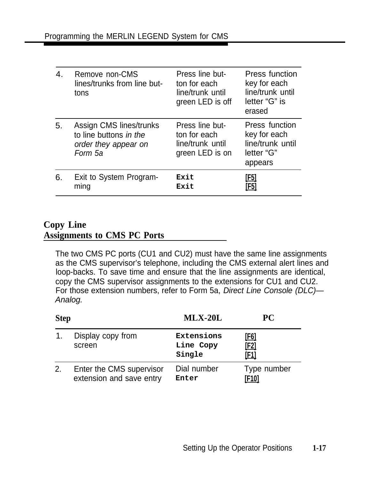<span id="page-32-0"></span>

| 4. | Remove non-CMS<br>lines/trunks from line but-<br>tons                                | Press line but-<br>ton for each<br>line/trunk until<br>green LED is off | <b>Press function</b><br>key for each<br>line/trunk until<br>letter "G" is<br>erased |
|----|--------------------------------------------------------------------------------------|-------------------------------------------------------------------------|--------------------------------------------------------------------------------------|
| 5. | Assign CMS lines/trunks<br>to line buttons in the<br>order they appear on<br>Form 5a | Press line but-<br>ton for each<br>line/trunk until<br>green LED is on  | Press function<br>key for each<br>line/trunk until<br>letter "G"<br>appears          |
| 6. | Exit to System Program-<br>ming                                                      | Exit<br>Exit                                                            | [F5]<br>[F5]                                                                         |

### **Copy Line Assignments to CMS PC Ports**

The two CMS PC ports (CU1 and CU2) must have the same line assignments as the CMS supervisor's telephone, including the CMS external alert lines and loop-backs. To save time and ensure that the line assignments are identical, copy the CMS supervisor assignments to the extensions for CU1 and CU2. For those extension numbers, refer to Form 5a, Direct Line Console (DLC)— Analog.

| <b>Step</b> |                                                      | $MLX-20L$                         | <b>PC</b>            |  |
|-------------|------------------------------------------------------|-----------------------------------|----------------------|--|
|             | Display copy from<br>screen                          | Extensions<br>Line Copy<br>Single | [F6]<br>[F2]<br>[F1] |  |
| 2.          | Enter the CMS supervisor<br>extension and save entry | Dial number<br>Enter              | Type number<br>[F10] |  |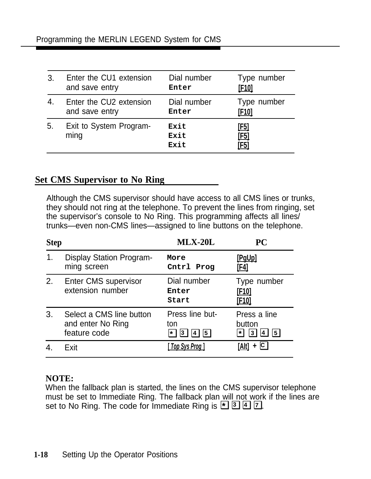<span id="page-33-0"></span>

| 3. | Enter the CU1 extension         | Dial number          | Type number                        |
|----|---------------------------------|----------------------|------------------------------------|
|    | and save entry                  | Enter                | [F <sub>10]</sub>                  |
| 4. | Enter the CU2 extension         | Dial number          | Type number                        |
|    | and save entry                  | Enter                | [F10]                              |
| 5. | Exit to System Program-<br>ming | Exit<br>Exit<br>Exit | <u>[F5]</u><br><u>[F5]</u><br>[F5] |

### **Set CMS Supervisor to No Ring**

Although the CMS supervisor should have access to all CMS lines or trunks, they should not ring at the telephone. To prevent the lines from ringing, set the supervisor's console to No Ring. This programming affects all lines/ trunks—even non-CMS lines—assigned to line buttons on the telephone.

| <b>Step</b>   |                                                               | $MLX-20L$                                                              | <b>PC</b>                                                    |
|---------------|---------------------------------------------------------------|------------------------------------------------------------------------|--------------------------------------------------------------|
| $\mathbf 1$ . | Display Station Program-<br>ming screen                       | More<br>Cntrl<br>Prog                                                  | [PgUp]<br><u>[F4]</u>                                        |
| 2.            | <b>Enter CMS supervisor</b><br>extension number               | Dial number<br>Enter<br>Start                                          | Type number<br>[F <sub>10</sub> ]<br><u>[F10]</u>            |
| 3.            | Select a CMS line button<br>and enter No Ring<br>feature code | Press line but-<br>ton<br> 5 <br><b>3</b><br>$\star$<br>4 <sup>1</sup> | Press a line<br>button<br>$\sqrt{5}$<br><b>3</b><br>∣∗∣<br>4 |
|               | Fxit                                                          | Top Sys Prog 1                                                         | + CI<br>[Alt]                                                |

### **NOTE:**

When the fallback plan is started, the lines on the CMS supervisor telephone must be set to Immediate Ring. The fallback plan will not work if the lines are set to No Ring. The code for Immediate Ring is ❑ ❑ ❑ ❑ **\* 3 4 7** .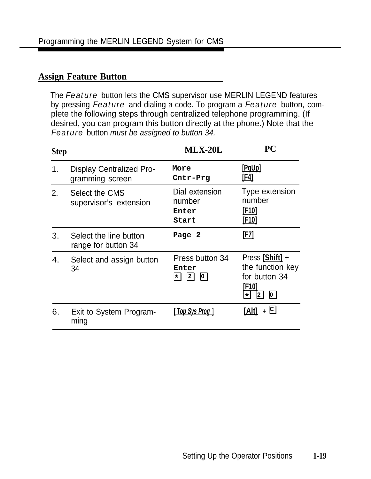### <span id="page-34-0"></span>**Assign Feature Button**

The *Feature* button lets the CMS supervisor use MERLIN LEGEND features by pressing *Feature* and dialing a code. To program a *Feature* button, complete the following steps through centralized telephone programming. (If desired, you can program this button directly at the phone.) Note that the **Feature** button must be assigned to button 34.

| <b>Step</b> |                                                    | $MLX-20L$                                                                        | PС                                                                                          |
|-------------|----------------------------------------------------|----------------------------------------------------------------------------------|---------------------------------------------------------------------------------------------|
| 1.          | <b>Display Centralized Pro-</b><br>gramming screen | More<br>Cntr-Prg                                                                 | [PgUp]<br><u>[F4]</u>                                                                       |
| 2.          | Select the CMS<br>supervisor's extension           | Dial extension<br>number<br>Enter<br>Start                                       | Type extension<br>number<br>[F10]<br>[ <u>F10]</u>                                          |
| 3.          | Select the line button<br>range for button 34      | Page 2                                                                           | [F7]                                                                                        |
| 4.          | Select and assign button<br>34                     | Press button 34<br>Enter<br>$\overline{2}$<br>$\overline{\mathbf{0}}$<br>$\star$ | Press [Shift] +<br>the function key<br>for button 34<br>[F10]<br>$\Omega$<br> 2 <br>$\star$ |
| 6.          | Exit to System Program-<br>ming                    | [ Top Sys Prog ]                                                                 | + Q<br><u>[Alt]</u>                                                                         |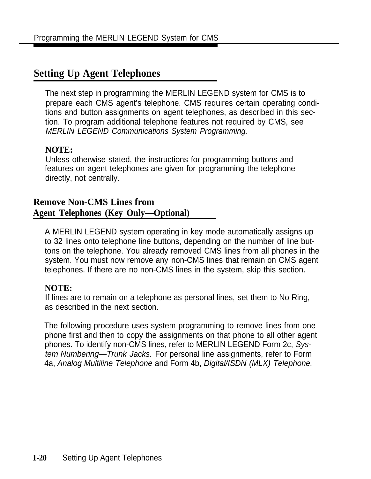### <span id="page-35-0"></span>**Setting Up Agent Telephones**

The next step in programming the MERLIN LEGEND system for CMS is to prepare each CMS agent's telephone. CMS requires certain operating conditions and button assignments on agent telephones, as described in this section. To program additional telephone features not required by CMS, see MERLIN LEGEND Communications System Programming.

### **NOTE:**

Unless otherwise stated, the instructions for programming buttons and features on agent telephones are given for programming the telephone directly, not centrally.

### **Remove Non-CMS Lines from Agent Telephones (Key Only—Optional)**

A MERLIN LEGEND system operating in key mode automatically assigns up to 32 lines onto telephone line buttons, depending on the number of line buttons on the telephone. You already removed CMS lines from all phones in the system. You must now remove any non-CMS lines that remain on CMS agent telephones. If there are no non-CMS lines in the system, skip this section.

### **NOTE:**

If lines are to remain on a telephone as personal lines, set them to No Ring, as described in the next section.

The following procedure uses system programming to remove lines from one phone first and then to copy the assignments on that phone to all other agent phones. To identify non-CMS lines, refer to MERLIN LEGEND Form 2c, System Numbering—Trunk Jacks. For personal line assignments, refer to Form 4a, Analog Multiline Telephone and Form 4b, Digital/ISDN (MLX) Telephone.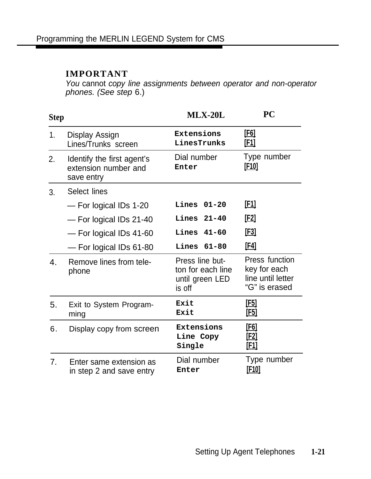#### **IMPORTANT**

You cannot copy line assignments between operator and non-operator phones. (See step 6.)

| <b>Step</b>    |                                                                  | <b>MLX-20L</b>                                                    | PC                                                                   |
|----------------|------------------------------------------------------------------|-------------------------------------------------------------------|----------------------------------------------------------------------|
| 1 <sub>1</sub> | Display Assign<br>Lines/Trunks screen                            | Extensions<br>LinesTrunks                                         | <u>[F6]</u><br><u>[E1]</u>                                           |
| 2.             | Identify the first agent's<br>extension number and<br>save entry | Dial number<br>Enter                                              | Type number<br><u>[F10]</u>                                          |
| 3.             | Select lines                                                     |                                                                   |                                                                      |
|                | - For logical IDs 1-20                                           | Lines<br>$01 - 20$                                                | <u>[E1]</u>                                                          |
|                | - For logical IDs 21-40                                          | $21 - 40$<br>Lines                                                | [E2]                                                                 |
|                | - For logical IDs 41-60                                          | Lines<br>$41 - 60$                                                | <u>[F3]</u>                                                          |
|                | - For logical IDs 61-80                                          | Lines<br>$61 - 80$                                                | [ <b>F4</b> ]                                                        |
| $\mathbf{4}$ . | Remove lines from tele-<br>phone                                 | Press line but-<br>ton for each line<br>until green LED<br>is off | Press function<br>key for each<br>line until letter<br>"G" is erased |
| 5.             | Exit to System Program-<br>ming                                  | Exit<br>Exit                                                      | <u>[F5]</u><br><u>[F5]</u>                                           |
| 6.             | Display copy from screen                                         | Extensions<br>Line Copy<br>Single                                 | <u>[E6]</u><br><u>[F2]</u><br><u>[F1]</u>                            |
| 7 <sub>1</sub> | Enter same extension as<br>in step 2 and save entry              | Dial number<br>Enter                                              | Type number<br><u>[F10]</u>                                          |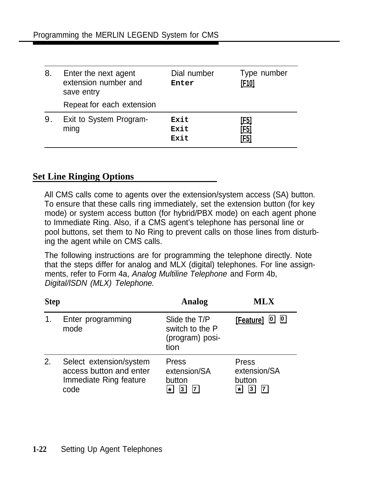| 8. | Enter the next agent<br>extension number and<br>save entry | Dial number<br>Enter | Type number<br>[F <sub>10]</sub> |
|----|------------------------------------------------------------|----------------------|----------------------------------|
|    | Repeat for each extension                                  |                      |                                  |
| 9. | Exit to System Program-<br>ming                            | Exit<br>Exit<br>Exit | [F5]<br>[F5]<br>[F5]             |

### **Set Line Ringing Options**

All CMS calls come to agents over the extension/system access (SA) button. To ensure that these calls ring immediately, set the extension button (for key mode) or system access button (for hybrid/PBX mode) on each agent phone to Immediate Ring. Also, if a CMS agent's telephone has personal line or pool buttons, set them to No Ring to prevent calls on those lines from disturbing the agent while on CMS calls.

The following instructions are for programming the telephone directly. Note that the steps differ for analog and MLX (digital) telephones. For line assignments, refer to Form 4a, Analog Multiline Telephone and Form 4b, Digital/lSDN (MLX) Telephone.

| <b>Step</b> |                                                                                      | Analog                                                      | <b>MLX</b>                                 |  |
|-------------|--------------------------------------------------------------------------------------|-------------------------------------------------------------|--------------------------------------------|--|
|             | Enter programming<br>mode                                                            | Slide the T/P<br>switch to the P<br>(program) posi-<br>tion | <u>[Feature]</u> <u>[</u> ] [1]            |  |
| 2.          | Select extension/system<br>access button and enter<br>Immediate Ring feature<br>code | <b>Press</b><br>extension/SA<br>button<br>$\star$           | Press<br>extension/SA<br>button<br>$\star$ |  |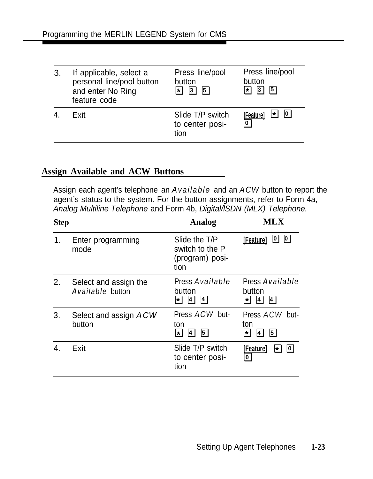| 3. | If applicable, select a<br>personal line/pool button<br>and enter No Ring<br>feature code | Press line/pool<br>button<br>$\overline{3}$<br>$\overline{5}$<br>*l | Press line/pool<br>button<br>$ \mathbf{3} $<br>$\vert 5 \vert$<br>∗I |
|----|-------------------------------------------------------------------------------------------|---------------------------------------------------------------------|----------------------------------------------------------------------|
| 4. | Exit                                                                                      | Slide T/P switch<br>to center posi-<br>tion                         | 0 <br>$\star$<br>[Feature]<br>$\overline{\mathfrak{d}}$              |

## **Assign Available and ACW Buttons**

Assign each agent's telephone an *Available* and an *ACW* button to report the agent's status to the system. For the button assignments, refer to Form 4a, Analog Multiline Telephone and Form 4b, Digital/ISDN (MLX) Telephone.

| <b>Step</b> |                                                  | Analog                                                        | ML X                                                                        |
|-------------|--------------------------------------------------|---------------------------------------------------------------|-----------------------------------------------------------------------------|
| 1.          | Enter programming<br>mode                        | Slide the T/P<br>switch to the P<br>(program) posi-<br>tion   | $\boxed{0}$<br>−<br>[Feature]                                               |
| 2.          | Select and assign the<br><b>Available</b> button | Press <b>Available</b><br>button<br> 4 <br>$\vert$<br>$\star$ | Press <b>Available</b><br>button<br> 4 <br>$\vert 4 \vert$<br>$\star$       |
| 3.          | Select and assign ACW<br>button                  | Press <b>ACW</b> but-<br>ton<br>51<br>*l<br> 4                | Press <b>ACW</b> but-<br>ton<br>$\overline{5}$<br>$\star$<br>$\overline{4}$ |
| 4.          | Exit                                             | Slide T/P switch<br>to center posi-<br>tion                   | [Feature]<br> 0<br>$\ast$<br><u>0</u>                                       |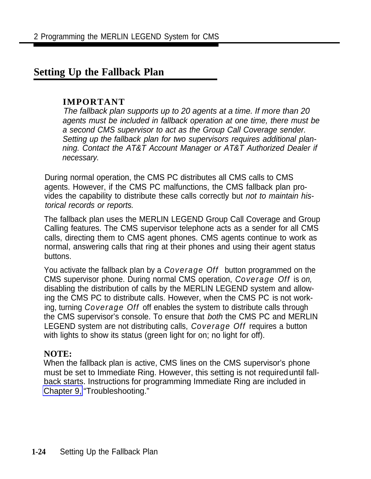# **Setting Up the Fallback Plan**

#### **IMPORTANT**

The fallback plan supports up to 20 agents at a time. If more than 20 agents must be included in fallback operation at one time, there must be a second CMS supervisor to act as the Group Call Coverage sender. Setting up the fallback plan for two supervisors requires additional planning. Contact the AT&T Account Manager or AT&T Authorized Dealer if necessary.

During normal operation, the CMS PC distributes all CMS calls to CMS agents. However, if the CMS PC malfunctions, the CMS fallback plan provides the capability to distribute these calls correctly but not to maintain historical records or reports.

The fallback plan uses the MERLIN LEGEND Group Call Coverage and Group Calling features. The CMS supervisor telephone acts as a sender for all CMS calls, directing them to CMS agent phones. CMS agents continue to work as normal, answering calls that ring at their phones and using their agent status buttons.

You activate the fallback pIan by a *Coverage Off* button programmed on the CMS supervisor phone. During normal CMS operation, *Coverage Off* is on, disabling the distribution of calls by the MERLIN LEGEND system and allowing the CMS PC to distribute calls. However, when the CMS PC is not working, turning *Coverage Off* off enables the system to distribute calls through the CMS supervisor's console. To ensure that both the CMS PC and MERLIN LEGEND system are not distributing calls, *Coverage Off* requires a button with lights to show its status (green light for on; no light for off).

#### **NOTE:**

When the fallback plan is active, CMS lines on the CMS supervisor's phone must be set to Immediate Ring. However, this setting is not required until fallback starts. Instructions for programming Immediate Ring are included in [Chapter 9,](#page-126-0) "Troubleshooting."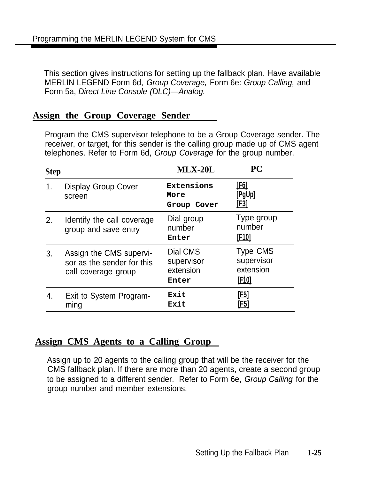This section gives instructions for setting up the fallback plan. Have available MERLIN LEGEND Form 6d, Group Coverage, Form 6e: Group Calling, and Form 5a, Direct Line Console (DLC)—Analog.

### **Assign the Group Coverage Sender**

Program the CMS supervisor telephone to be a Group Coverage sender. The receiver, or target, for this sender is the calling group made up of CMS agent telephones. Refer to Form 6d, Group Coverage for the group number.

| <b>Step</b> |                                                                              | $MLX-20L$                                    | <b>PC</b>                                                  |
|-------------|------------------------------------------------------------------------------|----------------------------------------------|------------------------------------------------------------|
| 1.          | <b>Display Group Cover</b><br>screen                                         | Extensions<br>More<br>Group Cover            | [F6]<br>[PgUp]<br><u>[E3]</u>                              |
| 2.          | Identify the call coverage<br>group and save entry                           | Dial group<br>number<br>Enter                | Type group<br>number<br>[F <sub>10</sub> ]                 |
| 3.          | Assign the CMS supervi-<br>sor as the sender for this<br>call coverage group | Dial CMS<br>supervisor<br>extension<br>Enter | <b>Type CMS</b><br>supervisor<br>extension<br><u>[F10]</u> |
| 4           | Exit to System Program-<br>ming                                              | Exit<br>Exit                                 | <u>[F5]</u><br>[F5]                                        |

#### **Assign CMS Agents to a Calling Group**

Assign up to 20 agents to the calling group that will be the receiver for the CMS fallback plan. If there are more than 20 agents, create a second group to be assigned to a different sender. Refer to Form 6e, Group Calling for the group number and member extensions.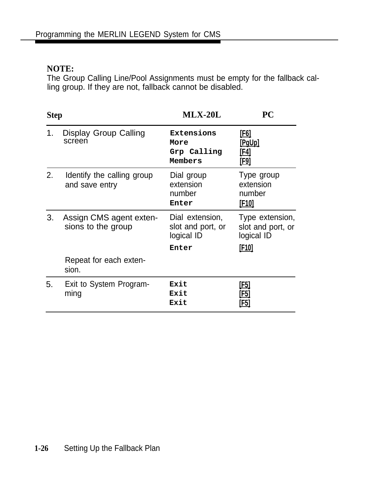#### **NOTE:**

The Group Calling Line/Pool Assignments must be empty for the fallback calling group. If they are not, fallback cannot be disabled.

| <b>Step</b> |                                               | $MLX-20L$                                                   | PC                                                                 |
|-------------|-----------------------------------------------|-------------------------------------------------------------|--------------------------------------------------------------------|
| 1.          | Display Group Calling<br>screen               | Extensions<br>More<br>Grp Calling<br>Members                | <u>[F6]</u><br><u>[PqUp]</u><br><u>[F4]</u><br>[F9]                |
| 2.          | Identify the calling group<br>and save entry  | Dial group<br>extension<br>number<br>Enter                  | Type group<br>extension<br>number<br><u>[F10]</u>                  |
| 3.          | Assign CMS agent exten-<br>sions to the group | Dial extension,<br>slot and port, or<br>logical ID<br>Enter | Type extension,<br>slot and port, or<br>logical ID<br><u>[F10]</u> |
|             | Repeat for each exten-<br>sion.               |                                                             |                                                                    |
| 5.          | Exit to System Program-<br>ming               | Exit<br>Exit<br>Exit                                        | <u>[F5]</u><br>[F5]<br>[F5]                                        |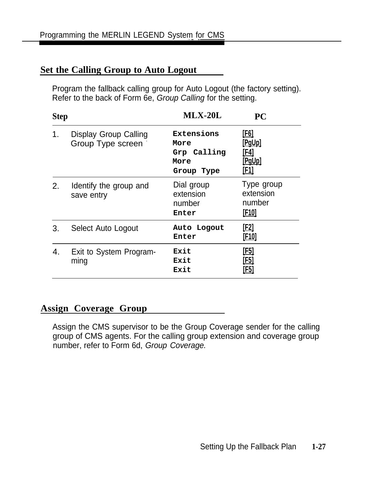## **Set the Calling Group to Auto Logout**

Program the fallback calling group for Auto Logout (the factory setting). Refer to the back of Form 6e, Group Calling for the setting.

| <b>Step</b> |                                            | $MLX-20L$                                               | PC                                                |
|-------------|--------------------------------------------|---------------------------------------------------------|---------------------------------------------------|
| 1.          | Display Group Calling<br>Group Type screen | Extensions<br>More<br>Grp Calling<br>More<br>Group Type | <u>[F6]</u><br>[PgUp]<br>[F4]<br>[PqUp]<br>[F1]   |
| 2.          | Identify the group and<br>save entry       | Dial group<br>extension<br>number<br>Enter              | Type group<br>extension<br>number<br><u>[F10]</u> |
| 3.          | Select Auto Logout                         | Auto Logout<br>Enter                                    | [ <u>F2]</u><br><u>[F10]</u>                      |
| 4.          | Exit to System Program-<br>ming            | Exit<br>Exit<br>Exit                                    | [F5]<br>[F5]<br>[F5]                              |

## **Assign Coverage Group**

Assign the CMS supervisor to be the Group Coverage sender for the calling group of CMS agents. For the calling group extension and coverage group number, refer to Form 6d, Group Coverage.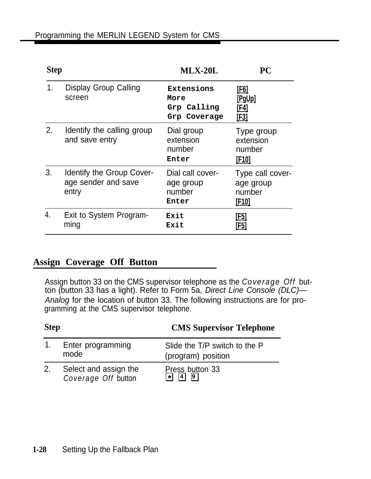| <b>Step</b> |                                                           | <b>MLX-20L</b>                                    | PC                                                            |
|-------------|-----------------------------------------------------------|---------------------------------------------------|---------------------------------------------------------------|
| 1.          | Display Group Calling<br>screen                           | Extensions<br>More<br>Grp Calling<br>Grp Coverage | [F6]<br><u>[PaUp]</u><br>[F4]<br><u>[F3]</u>                  |
| 2.          | Identify the calling group<br>and save entry              | Dial group<br>extension<br>number<br>Enter        | Type group<br>extension<br>number<br>[F <sub>10</sub> ]       |
| 3.          | Identify the Group Cover-<br>age sender and save<br>entry | Dial call cover-<br>age group<br>number<br>Enter  | Type call cover-<br>age group<br>number<br>[F <sub>10</sub> ] |
| 4.          | Exit to System Program-<br>ming                           | Exit<br>Exit                                      | [F5]<br>[F5]                                                  |

#### **Assign Coverage Off Button**

Assign button 33 on the CMS supervisor telephone as the *Coverage Off* button (button 33 has a light). Refer to Form 5a, Direct Line Console (DLC)— Analog for the location of button 33. The following instructions are for programming at the CMS supervisor telephone.

| <b>Step</b> |                                                     | <b>CMS Supervisor Telephone</b>                     |  |
|-------------|-----------------------------------------------------|-----------------------------------------------------|--|
|             | 1. Enter programming<br>mode                        | Slide the T/P switch to the P<br>(program) position |  |
| 2.          | Select and assign the<br><b>Coverage Off button</b> | Press button 33<br>$\overline{9}$<br>41<br>서        |  |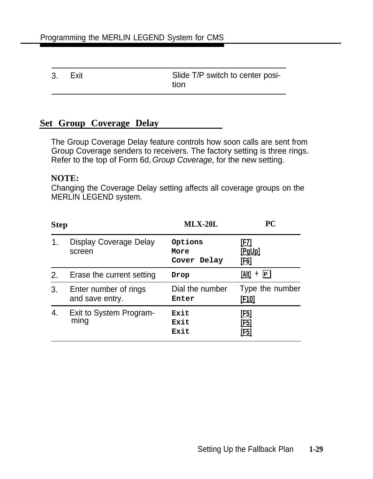| 3. Exit | Slide T/P switch to center posi- |
|---------|----------------------------------|
|         | tion                             |

## **Set Group Coverage Delay**

The Group Coverage Delay feature controls how soon calls are sent from Group Coverage senders to receivers. The factory setting is three rings. Refer to the top of Form 6d, Group Coverage, for the new setting.

#### **NOTE:**

Changing the Coverage Delay setting affects all coverage groups on the MERLIN LEGEND system.

| <b>Step</b> |                                          | $MLX-20L$                      | <b>PC</b>                                 |
|-------------|------------------------------------------|--------------------------------|-------------------------------------------|
| 1.          | <b>Display Coverage Delay</b><br>screen  | Options<br>More<br>Cover Delay | [F7]<br>[PgUp]<br><u>[F6]</u>             |
| 2.          | Erase the current setting                | Drop                           | [Alt]<br>+ P                              |
| 3.          | Enter number of rings<br>and save entry. | Dial the number<br>Enter       | Type the number<br><u>[F10]</u>           |
| 4.          | Exit to System Program-<br>ming          | Exit<br>Exit<br>Exit           | <u>[F5]</u><br><u>[F5]</u><br><u>[F5]</u> |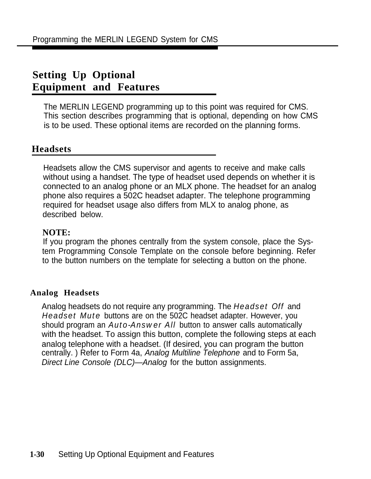# **Setting Up Optional Equipment and Features**

The MERLIN LEGEND programming up to this point was required for CMS. This section describes programming that is optional, depending on how CMS is to be used. These optional items are recorded on the planning forms.

## **Headsets**

Headsets allow the CMS supervisor and agents to receive and make calls without using a handset. The type of headset used depends on whether it is connected to an analog phone or an MLX phone. The headset for an analog phone also requires a 502C headset adapter. The telephone programming required for headset usage also differs from MLX to analog phone, as described below.

#### **NOTE:**

If you program the phones centrally from the system console, place the System Programming Console Template on the console before beginning. Refer to the button numbers on the template for selecting a button on the phone.

#### **Analog Headsets**

Analog headsets do not require any programming. The *Headset Off* and *Headset Mute* buttons are on the 502C headset adapter. However, you should program an *Auto-Answer All* button to answer calls automatically with the headset. To assign this button, complete the following steps at each analog telephone with a headset. (If desired, you can program the button centrally. ) Refer to Form 4a, Analog Multiline Telephone and to Form 5a, Direct Line Console (DLC)—Analog for the button assignments.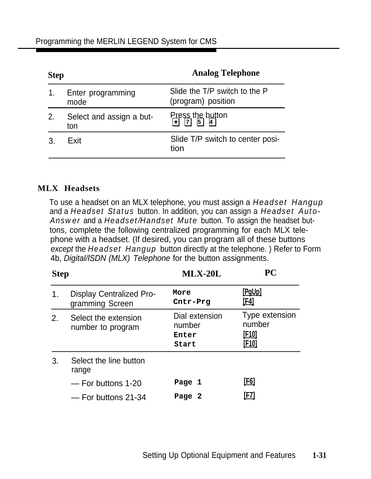| <b>Step</b> |                                 | <b>Analog Telephone</b>                             |  |
|-------------|---------------------------------|-----------------------------------------------------|--|
|             | Enter programming<br>mode       | Slide the T/P switch to the P<br>(program) position |  |
| 2.          | Select and assign a but-<br>ton | Press the button<br>$\overline{5}$<br> 71<br>서      |  |
|             | Exit                            | Slide T/P switch to center posi-<br>tion            |  |

#### **MLX Headsets**

To use a headset on an MLX telephone, you must assign a *Headset Hangup* and a *Headset Status* button. In addition, you can assign a *Headset Auto-Answer* and a *Headset/Handset Mute* button. To assign the headset buttons, complete the following centralized programming for each MLX telephone with a headset. (If desired, you can program all of these buttons except the *Headset Hangup* button directly at the telephone. ) Refer to Form 4b, Digital/lSDN (MLX) Telephone for the button assignments.

| <b>Step</b> |                                                    | $MLX-20L$                                  | PC                                                       |
|-------------|----------------------------------------------------|--------------------------------------------|----------------------------------------------------------|
| 1.          | <b>Display Centralized Pro-</b><br>gramming Screen | More<br>Cntr-Prg                           | <u>[PqUp]</u><br><u>[F4]</u>                             |
| 2.          | Select the extension<br>number to program          | Dial extension<br>number<br>Enter<br>Start | Type extension<br>number<br><u>[F10]</u><br><u>[F10]</u> |
| 3.          | Select the line button<br>range                    |                                            |                                                          |
|             | - For buttons 1-20                                 | Page 1                                     | <u>[F6]</u>                                              |
|             | - For buttons 21-34                                | Page 2                                     | [F7]                                                     |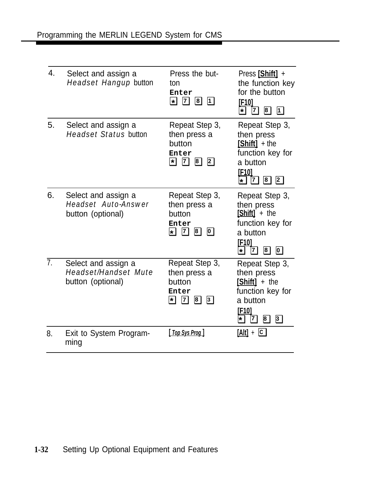| 4.             | Select and assign a<br>Headset Hangup button                            | Press the but-<br>ton<br>Enter<br>* 7 8<br>$\boxed{1}$                                                                                                     | Press [Shift] +<br>the function key<br>for the button<br><u>[F10]</u><br>$\boxed{1}$<br><u>*</u><br>$\mathbf{B}$<br> Z                                         |
|----------------|-------------------------------------------------------------------------|------------------------------------------------------------------------------------------------------------------------------------------------------------|----------------------------------------------------------------------------------------------------------------------------------------------------------------|
| 5.             | Select and assign a<br><b>Headset Status button</b>                     | Repeat Step 3,<br>then press a<br>button<br>Enter<br><b>E</b> 7 8<br>$\boxed{2}$                                                                           | Repeat Step 3,<br>then press<br>[Shift] + the<br>function key for<br>a button<br>[F <sub>10</sub> ]<br>$8$ 2<br>$\star$                                        |
| 6.             | Select and assign a<br><b>Headset Auto-Answer</b><br>button (optional)  | Repeat Step 3,<br>then press a<br>button<br>Enter<br>$\mathbf{1}$ $\mathbf{2}$ $\mathbf{8}$ $\mathbf{0}$                                                   | Repeat Step 3,<br>then press<br>$[Shift] +$ the<br>function key for<br>a button<br>[F10]<br>$\boxed{8}$<br>$\boxed{0}$<br><u> 7 </u><br>*l                     |
| 7 <sub>1</sub> | Select and assign a<br><b>Headset/Handset Mute</b><br>button (optional) | Repeat Step 3,<br>then press a<br>button<br>Enter<br>$\begin{array}{ccc} \hline \mathbf{7} & \mathbf{8} & \mathbf{3} \end{array}$<br>$\blacktriangleright$ | Repeat Step 3,<br>then press<br>[Shift] + the<br>function key for<br>a button<br>[F <sub>10</sub> ]<br>$\overline{\mathbf{8}}$<br> 7 <br>$\overline{3}$<br>l∗l |
| 8.             | Exit to System Program-<br>ming                                         | [ Top Sys Prog ]                                                                                                                                           | $[Alt] + [C]$                                                                                                                                                  |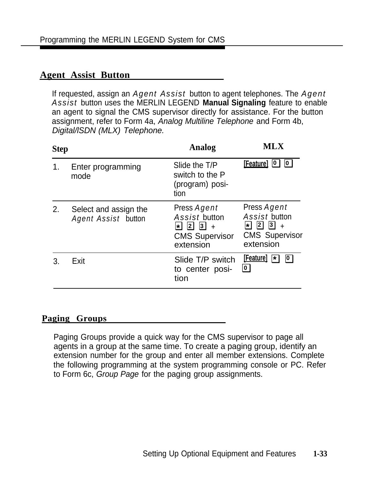### **Agent Assist Button**

If requested, assign an *Agent Assist* button to agent telephones. The *Agent Assist* button uses the MERLIN LEGEND **Manual Signaling** feature to enable an agent to signal the CMS supervisor directly for assistance. For the button assignment, refer to Form 4a, Analog Multiline Telephone and Form 4b, Digital/lSDN (MLX) Telephone.

| <b>Step</b> |                                                     | Analog                                                                                                           | MLX                                                                                                            |
|-------------|-----------------------------------------------------|------------------------------------------------------------------------------------------------------------------|----------------------------------------------------------------------------------------------------------------|
| 1.          | Enter programming<br>mode                           | Slide the T/P<br>switch to the P<br>(program) posi-<br>tion                                                      | <b>[Feature]</b> 0<br>$\boxed{0}$                                                                              |
| 2.          | Select and assign the<br><b>Agent Assist button</b> | Press <b>Agent</b><br><b>Assist button</b><br>$2 \mid 3$<br>$\star$<br>$+$<br><b>CMS Supervisor</b><br>extension | Press Agent<br><b>Assist button</b><br>ื⊌  2]<br>$\vert$ 3)<br>$\ddot{}$<br><b>CMS Supervisor</b><br>extension |
| 3.          | Exit                                                | Slide T/P switch<br>to center posi-<br>tion                                                                      | [Feature]<br>$\star$<br> 0 <br><u>[0]</u>                                                                      |

#### **Paging Groups**

Paging Groups provide a quick way for the CMS supervisor to page all agents in a group at the same time. To create a paging group, identify an extension number for the group and enter all member extensions. Complete the following programming at the system programming console or PC. Refer to Form 6c, Group Page for the paging group assignments.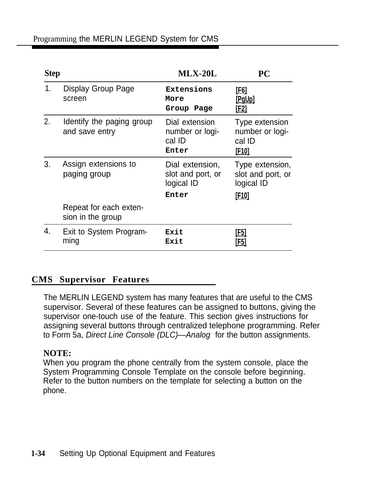| <b>Step</b> |                                             | $MLX-20L$                                            | PC                                                          |
|-------------|---------------------------------------------|------------------------------------------------------|-------------------------------------------------------------|
| 1.          | Display Group Page<br>screen                | Extensions<br>More<br>Group Page                     | <u>[F6]</u><br>[PgUp]<br>[F2]                               |
| 2.          | Identify the paging group<br>and save entry | Dial extension<br>number or logi-<br>cal ID<br>Enter | Type extension<br>number or logi-<br>cal ID<br><u>[F10]</u> |
| 3.          | Assign extensions to<br>paging group        | Dial extension,<br>slot and port, or<br>logical ID   | Type extension,<br>slot and port, or<br>logical ID          |
|             |                                             | Enter                                                | [F <sub>10]</sub>                                           |
|             | Repeat for each exten-<br>sion in the group |                                                      |                                                             |
| 4.          | Exit to System Program-<br>ming             | Exit<br>Exit                                         | F51<br>F5                                                   |

## **CMS Supervisor Features**

The MERLIN LEGEND system has many features that are useful to the CMS supervisor. Several of these features can be assigned to buttons, giving the supervisor one-touch use of the feature. This section gives instructions for assigning several buttons through centralized telephone programming. Refer to Form 5a, Direct Line Console (DLC)—Analog for the button assignments.

#### **NOTE:**

When you program the phone centrally from the system console, place the System Programming Console Template on the console before beginning. Refer to the button numbers on the template for selecting a button on the phone.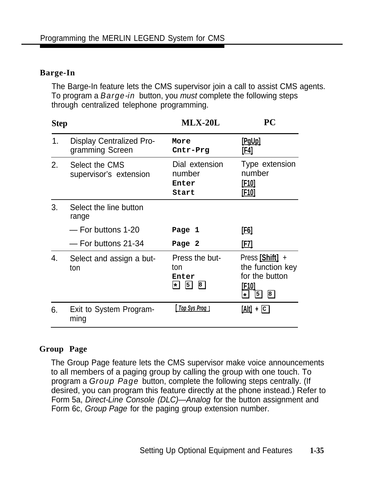#### **Barge-In**

The Barge-In feature lets the CMS supervisor join a call to assist CMS agents. To program a *Barge-in* button, you must complete the following steps through centralized telephone programming.

| <b>Step</b> |                                                    | $MLX-20L$                                                      | PС                                                                                            |
|-------------|----------------------------------------------------|----------------------------------------------------------------|-----------------------------------------------------------------------------------------------|
| 1.          | <b>Display Centralized Pro-</b><br>gramming Screen | More<br>Cntr-Prg                                               | <u>[PqUp]</u><br>[F4]                                                                         |
| 2.          | Select the CMS<br>supervisor's extension           | Dial extension<br>number<br>Enter<br>Start                     | Type extension<br>number<br><u>[F10]</u><br><u>[F10]</u>                                      |
| 3.          | Select the line button<br>range                    |                                                                |                                                                                               |
|             | - For buttons 1-20                                 | Page 1                                                         | <u>[E6]</u>                                                                                   |
|             | - For buttons 21-34                                | Page 2                                                         | [F7]                                                                                          |
| 4.          | Select and assign a but-<br>ton                    | Press the but-<br>ton<br>Enter<br>$\vert$ 5)<br> 8 <br>$\star$ | Press [Shift] +<br>the function key<br>for the button<br>[F10]<br>$\boxed{8}$<br>5<br>$\star$ |
| 6.          | Exit to System Program-<br>ming                    | Top Sys Prog 1                                                 | $[Alt] + [C]$                                                                                 |

#### **Group Page**

The Group Page feature lets the CMS supervisor make voice announcements to all members of a paging group by calling the group with one touch. To program a *Group Page* button, complete the following steps centrally. (If desired, you can program this feature directly at the phone instead.) Refer to Form 5a, Direct-Line Console (DLC)—Analog for the button assignment and Form 6c, Group Page for the paging group extension number.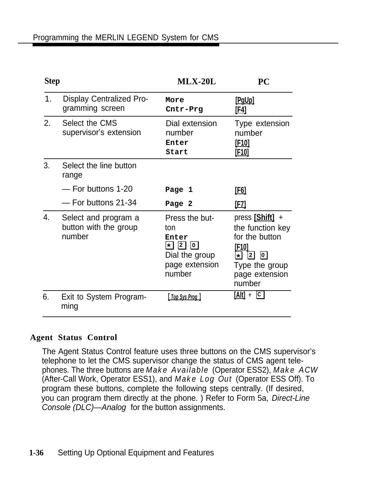| <b>Step</b> |                                                         | $MLX-20L$                                                                                               | <b>PC</b>                                                                                                                                                          |
|-------------|---------------------------------------------------------|---------------------------------------------------------------------------------------------------------|--------------------------------------------------------------------------------------------------------------------------------------------------------------------|
| 1.          | <b>Display Centralized Pro-</b><br>gramming screen      | More<br>Cntr-Prg                                                                                        | [PgUp]<br><u>[F4]</u>                                                                                                                                              |
| 2.          | Select the CMS<br>supervisor's extension                | Dial extension<br>number<br>Enter<br>Start                                                              | Type extension<br>number<br><u>[F10]</u><br><u>[F10]</u>                                                                                                           |
| 3.          | Select the line button<br>range                         |                                                                                                         |                                                                                                                                                                    |
|             | - For buttons 1-20                                      | Page 1                                                                                                  | <u>[F6]</u>                                                                                                                                                        |
|             | - For buttons 21-34                                     | Page 2                                                                                                  | <u>[F7]</u>                                                                                                                                                        |
| 4.          | Select and program a<br>button with the group<br>number | Press the but-<br>ton<br>Enter<br> 2 <br> 0 <br>$\star$  <br>Dial the group<br>page extension<br>number | press [Shift] +<br>the function key<br>for the button<br>[F10]<br>$\overline{\mathbf{0}}$<br>$\star$<br>$\mathbf{2}$<br>Type the group<br>page extension<br>number |
| 6.          | Exit to System Program-<br>ming                         | <u>  Top Sys Prog  </u>                                                                                 | $[Alt] + \Box$                                                                                                                                                     |

#### **Agent Status Control**

The Agent Status Control feature uses three buttons on the CMS supervisor's telephone to let the CMS supervisor change the status of CMS agent telephones. The three buttons are *Make Available* (Operator ESS2), *Make ACW* (After-Call Work, Operator ESS1), and *Make Log Out* (Operator ESS Off). To program these buttons, complete the following steps centrally. (If desired, you can program them directly at the phone. ) Refer to Form 5a, Direct-Line Console (DLC)—Analog for the button assignments.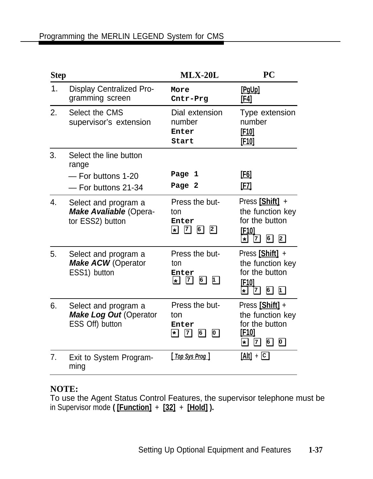| <b>Step</b> |                                                                              | $MLX-20L$                                                                                    | <b>PC</b>                                                                                                                                        |
|-------------|------------------------------------------------------------------------------|----------------------------------------------------------------------------------------------|--------------------------------------------------------------------------------------------------------------------------------------------------|
| 1.          | <b>Display Centralized Pro-</b><br>gramming screen                           | More<br>Cntr-Prg                                                                             | [PgUp]<br><u>[F4]</u>                                                                                                                            |
| 2.          | Select the CMS<br>supervisor's extension                                     | Dial extension<br>number<br>Enter<br>Start                                                   | Type extension<br>number<br><u>[F10]</u><br>[F <sub>10</sub> ]                                                                                   |
| 3.          | Select the line button<br>range<br>- For buttons 1-20<br>- For buttons 21-34 | Page 1<br>Page 2                                                                             | <u>[F6]</u><br>[F7]                                                                                                                              |
| 4.          | Select and program a<br><b>Make Avaliable (Opera-</b><br>tor ESS2) button    | Press the but-<br>ton<br>Enter<br>262<br>$\star$                                             | Press [Shift] +<br>the function key<br>for the button<br>[F <sub>10]</sub><br>6<br>$\overline{2}$<br>세<br>7                                      |
| 5.          | Select and program a<br><b>Make ACW (Operator</b><br>ESS1) button            | Press the but-<br>ton<br>Enter<br>6<br>$\mathbf{1}$<br>$\boxed{7}$<br>$\left  \cdot \right $ | Press [Shift] +<br>the function key<br>for the button<br>[F <sub>10]</sub><br>$\mathbf{D}$<br>$6\overline{)}$<br>$\star$<br>7                    |
| 6.          | Select and program a<br><b>Make Log Out (Operator</b><br>ESS Off) button     | Press the but-<br>ton<br>Enter<br>$\mathbf{F}$   7 <br>6<br>$\boxed{0}$                      | Press [Shift] +<br>the function key<br>for the button<br>[F <sub>10]</sub><br>6<br>$\boxed{7}$<br>$\overline{\mathbf{O}}$<br>$\vert \star \vert$ |
| 7.          | Exit to System Program-<br>ming                                              | [ Top Sys Prog ]                                                                             | $[Alt] + \Box$                                                                                                                                   |

## **NOTE:**

To use the Agent Status Control Features, the supervisor telephone must be in Supervisor mode **( [Function]** + **[32]** + **[Hold] ).**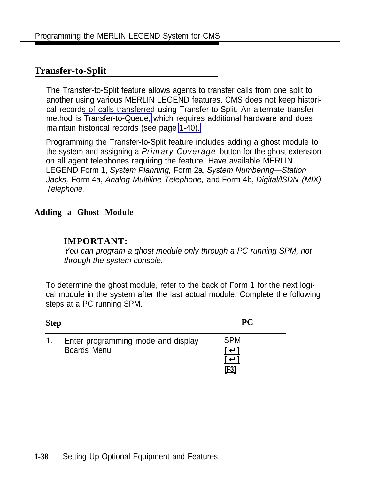## <span id="page-53-0"></span>**Transfer-to-Split**

The Transfer-to-Split feature allows agents to transfer calls from one split to another using various MERLIN LEGEND features. CMS does not keep historical records of calls transferred using Transfer-to-Split. An alternate transfer method is [Transfer-to-Queue,](#page-55-0) which requires additional hardware and does maintain historical records (see page [1-40\).](#page-55-0)

Programming the Transfer-to-Split feature includes adding a ghost module to the system and assigning a *Primary Coverage* button for the ghost extension on all agent telephones requiring the feature. Have available MERLIN LEGEND Form 1, System Planning, Form 2a, System Numbering—Station Jacks, Form 4a, Analog Multiline Telephone, and Form 4b, Digital/lSDN (MIX) Telephone.

#### **Adding a Ghost Module**

#### **IMPORTANT:**

You can program a ghost module only through a PC running SPM, not through the system console.

To determine the ghost module, refer to the back of Form 1 for the next logical module in the system after the last actual module. Complete the following steps at a PC running SPM.

| <b>Step</b>    |                                                          | <b>PC</b>                         |  |
|----------------|----------------------------------------------------------|-----------------------------------|--|
| 1 <sub>1</sub> | Enter programming mode and display<br><b>Boards Menu</b> | <b>SPM</b><br>┃┛┃<br>ىك '<br>[F3] |  |

#### **1-38** Setting Up Optional Equipment and Features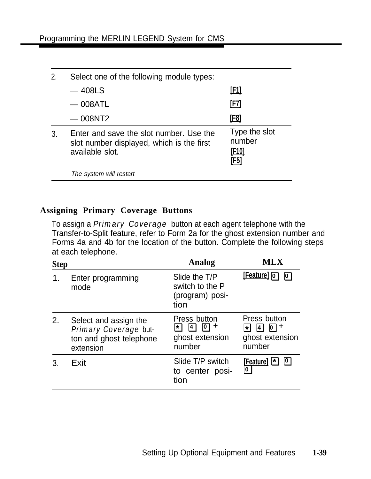|    | Select one of the following module types:                                                               |                                                 |
|----|---------------------------------------------------------------------------------------------------------|-------------------------------------------------|
|    | $-408$ LS                                                                                               | <u>[F1]</u>                                     |
|    | $-$ 008ATL                                                                                              | [F7]                                            |
|    | $-008$ NT2                                                                                              | <u>[F8]</u>                                     |
| 3. | Enter and save the slot number. Use the<br>slot number displayed, which is the first<br>available slot. | Type the slot<br>number<br><u>[F10]</u><br>[F5] |
|    | The system will restart                                                                                 |                                                 |

#### **Assigning Primary Coverage Buttons**

To assign a *Primary Coverage* button at each agent telephone with the Transfer-to-Split feature, refer to Form 2a for the ghost extension number and Forms 4a and 4b for the location of the button. Complete the following steps at each telephone.

| <b>Step</b> |                                                                                        | Analog                                                                                                         | <b>MLX</b>                                                                |
|-------------|----------------------------------------------------------------------------------------|----------------------------------------------------------------------------------------------------------------|---------------------------------------------------------------------------|
| 1.          | Enter programming<br>mode                                                              | Slide the T/P<br>switch to the P<br>(program) posi-<br>tion                                                    | <b>[Feature]</b> 0 0                                                      |
| 2.          | Select and assign the<br>Primary Coverage but-<br>ton and ghost telephone<br>extension | Press button<br>$\sqrt{4}$<br>$\overline{\mathbf{0}}$<br>$\mathbf +$<br>$\star$  <br>ghost extension<br>number | Press button<br>$ 0  +$<br>$\boxed{4}$<br>∗I<br>ghost extension<br>number |
|             | Exit                                                                                   | Slide T/P switch<br>to center posi-<br>tion                                                                    | <u>[Feature]</u> 图<br>$\overline{\textbf{0}}$                             |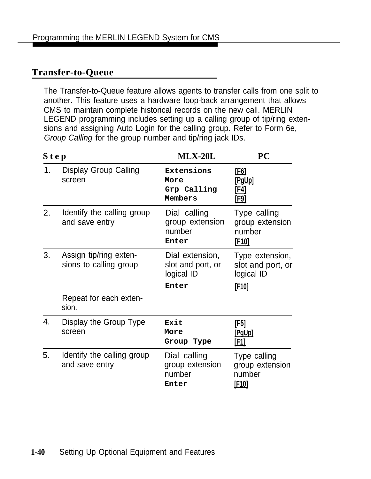## <span id="page-55-0"></span>**Transfer-to-Queue**

The Transfer-to-Queue feature allows agents to transfer calls from one split to another. This feature uses a hardware loop-back arrangement that allows CMS to maintain complete historical records on the new call. MERLIN LEGEND programming includes setting up a calling group of tip/ring extensions and assigning Auto Login for the calling group. Refer to Form 6e, Group Calling for the group number and tip/ring jack IDs.

| Step |                                                  | $MLX-20L$                                          | PC                                                        |
|------|--------------------------------------------------|----------------------------------------------------|-----------------------------------------------------------|
| 1.   | <b>Display Group Calling</b><br>screen           | Extensions<br>More<br>Grp Calling<br>Members       | <u>[F6]</u><br><u>[PgUp]</u><br><u>[F4]</u><br>[F9]       |
| 2.   | Identify the calling group<br>and save entry     | Dial calling<br>group extension<br>number<br>Enter | Type calling<br>group extension<br>number<br><u>[F10]</u> |
| 3.   | Assign tip/ring exten-<br>sions to calling group | Dial extension,<br>slot and port, or<br>logical ID | Type extension,<br>slot and port, or<br>logical ID        |
|      | Repeat for each exten-<br>sion.                  | Enter                                              | [F <sub>10]</sub>                                         |
| 4.   | Display the Group Type<br>screen                 | Exit<br>More<br>Group Type                         | <u>[E5]</u><br>[PgUp]<br>[F1]                             |
| 5.   | Identify the calling group<br>and save entry     | Dial calling<br>group extension<br>number<br>Enter | Type calling<br>group extension<br>number<br><u>[F10]</u> |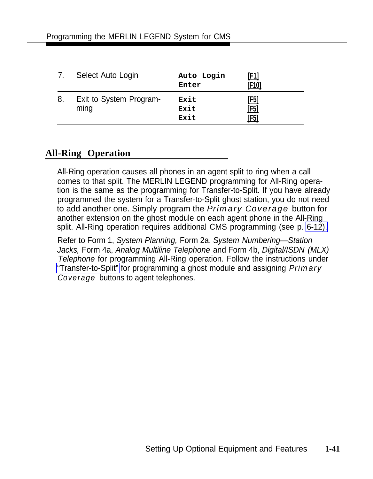|    | Select Auto Login               | Auto Login<br>Enter  | <u>[E1]</u><br>[F10]               |
|----|---------------------------------|----------------------|------------------------------------|
| 8. | Exit to System Program-<br>ming | Exit<br>Exit<br>Exit | <u>[F5]</u><br><u>[F5]</u><br>[F5] |

## **All-Ring Operation**

All-Ring operation causes all phones in an agent split to ring when a call comes to that split. The MERLIN LEGEND programming for All-Ring operation is the same as the programming for Transfer-to-Split. If you have already programmed the system for a Transfer-to-Split ghost station, you do not need to add another one. Simply program the *Primary Coverage* button for another extension on the ghost module on each agent phone in the All-Ring split. All-Ring operation requires additional CMS programming (see p. [6-12\).](#page-108-0)

Refer to Form 1, System Planning, Form 2a, System Numbering—Station Jacks, Form 4a, Analog Multiline Telephone and Form 4b, Digital/ISDN (MLX) Telephone for programming All-Ring operation. Follow the instructions under ["Transfer-to-Split"](#page-53-0) for programming a ghost module and assigning *Primary Coverage* buttons to agent telephones.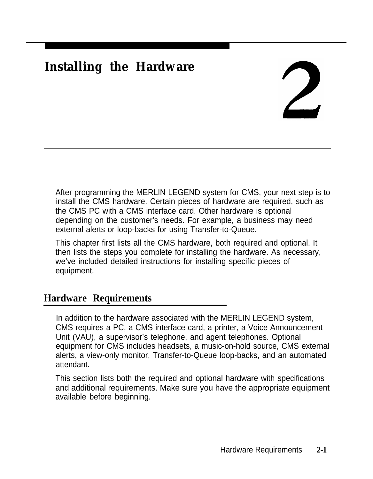# **Installing the Hardware**

After programming the MERLIN LEGEND system for CMS, your next step is to install the CMS hardware. Certain pieces of hardware are required, such as the CMS PC with a CMS interface card. Other hardware is optional depending on the customer's needs. For example, a business may need external alerts or loop-backs for using Transfer-to-Queue.

This chapter first lists all the CMS hardware, both required and optional. It then lists the steps you complete for installing the hardware. As necessary, we've included detailed instructions for installing specific pieces of equipment.

# **Hardware Requirements**

In addition to the hardware associated with the MERLIN LEGEND system, CMS requires a PC, a CMS interface card, a printer, a Voice Announcement Unit (VAU), a supervisor's telephone, and agent telephones. Optional equipment for CMS includes headsets, a music-on-hold source, CMS external alerts, a view-only monitor, Transfer-to-Queue loop-backs, and an automated attendant.

This section lists both the required and optional hardware with specifications and additional requirements. Make sure you have the appropriate equipment available before beginning.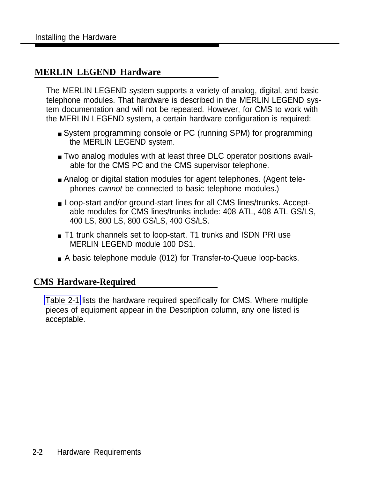## **MERLIN LEGEND Hardware**

The MERLIN LEGEND system supports a variety of analog, digital, and basic telephone modules. That hardware is described in the MERLIN LEGEND system documentation and will not be repeated. However, for CMS to work with the MERLIN LEGEND system, a certain hardware configuration is required:

- System programming console or PC (running SPM) for programming the MERLIN LEGEND system.
- Two analog modules with at least three DLC operator positions available for the CMS PC and the CMS supervisor telephone.
- Analog or digital station modules for agent telephones. (Agent telephones cannot be connected to basic telephone modules.)
- Loop-start and/or ground-start lines for all CMS lines/trunks. Acceptable modules for CMS lines/trunks include: 408 ATL, 408 ATL GS/LS, 400 LS, 800 LS, 800 GS/LS, 400 GS/LS.
- T1 trunk channels set to loop-start. T1 trunks and ISDN PRI use MERLIN LEGEND module 100 DS1.
- A basic telephone module (012) for Transfer-to-Queue loop-backs.

## **CMS Hardware-Required**

[Table 2-1](#page-59-0) lists the hardware required specifically for CMS. Where multiple pieces of equipment appear in the Description column, any one listed is acceptable.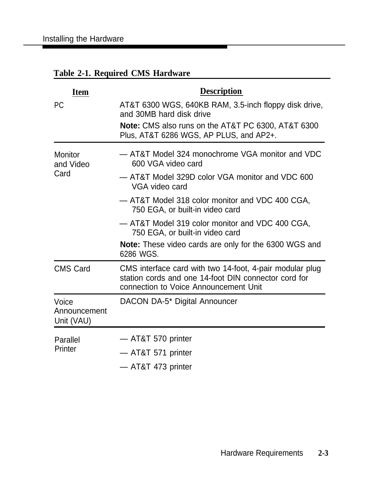| <b>Item</b>                         | <b>Description</b>                                                                                                                                        |
|-------------------------------------|-----------------------------------------------------------------------------------------------------------------------------------------------------------|
| <b>PC</b>                           | AT&T 6300 WGS, 640KB RAM, 3.5-inch floppy disk drive,<br>and 30MB hard disk drive                                                                         |
|                                     | <b>Note:</b> CMS also runs on the AT&T PC 6300, AT&T 6300<br>Plus, AT&T 6286 WGS, AP PLUS, and AP2+.                                                      |
| Monitor<br>and Video                | - AT&T Model 324 monochrome VGA monitor and VDC<br>600 VGA video card                                                                                     |
| Card                                | - AT&T Model 329D color VGA monitor and VDC 600<br>VGA video card                                                                                         |
|                                     | - AT&T Model 318 color monitor and VDC 400 CGA,<br>750 EGA, or built-in video card                                                                        |
|                                     | - AT&T Model 319 color monitor and VDC 400 CGA,<br>750 EGA, or built-in video card                                                                        |
|                                     | <b>Note:</b> These video cards are only for the 6300 WGS and<br>6286 WGS.                                                                                 |
| <b>CMS Card</b>                     | CMS interface card with two 14-foot, 4-pair modular plug<br>station cords and one 14-foot DIN connector cord for<br>connection to Voice Announcement Unit |
| Voice<br>Announcement<br>Unit (VAU) | DACON DA-5* Digital Announcer                                                                                                                             |
| Parallel                            | - AT&T 570 printer                                                                                                                                        |
| Printer                             | - AT&T 571 printer                                                                                                                                        |
|                                     | — AT&T 473 printer                                                                                                                                        |

# <span id="page-59-0"></span>**Table 2-1. Required CMS Hardware**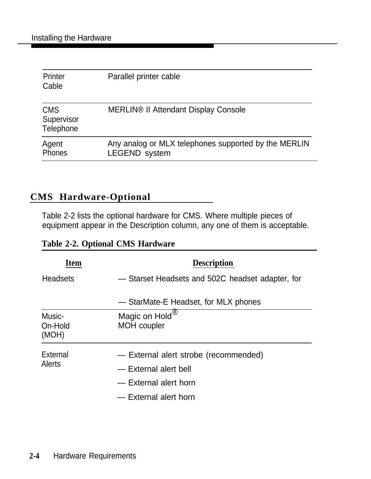| Printer<br>Cable                      | Parallel printer cable                                                       |
|---------------------------------------|------------------------------------------------------------------------------|
| <b>CMS</b><br>Supervisor<br>Telephone | <b>MERLIN® II Attendant Display Console</b>                                  |
| Agent<br>Phones                       | Any analog or MLX telephones supported by the MERLIN<br><b>LEGEND</b> system |

## **CMS Hardware-Optional**

Table 2-2 lists the optional hardware for CMS. Where multiple pieces of equipment appear in the Description column, any one of them is acceptable.

|  |  |  | <b>Table 2-2. Optional CMS Hardware</b> |
|--|--|--|-----------------------------------------|
|--|--|--|-----------------------------------------|

| <b>Item</b>                | <b>Description</b>                                                                                               |
|----------------------------|------------------------------------------------------------------------------------------------------------------|
| <b>Headsets</b>            | - Starset Headsets and 502C headset adapter, for                                                                 |
|                            | — StarMate-E Headset, for MLX phones                                                                             |
| Music-<br>On-Hold<br>(MOH) | Magic on Hold <sup>®</sup><br><b>MOH</b> coupler                                                                 |
| External<br><b>Alerts</b>  | - External alert strobe (recommended)<br>- External alert bell<br>- External alert horn<br>- External alert horn |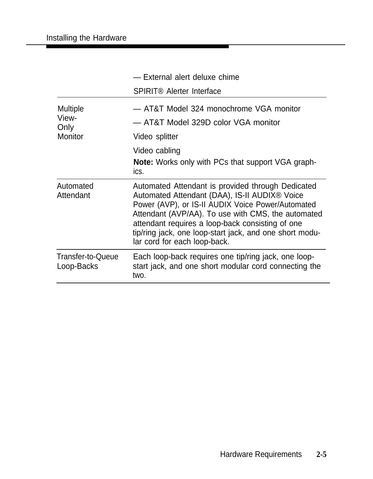|                                 | - External alert deluxe chime                                                                                                                                                                                                                                                                                                                                |
|---------------------------------|--------------------------------------------------------------------------------------------------------------------------------------------------------------------------------------------------------------------------------------------------------------------------------------------------------------------------------------------------------------|
|                                 | <b>SPIRIT® Alerter Interface</b>                                                                                                                                                                                                                                                                                                                             |
| Multiple<br>View-<br>Only       | - AT&T Model 324 monochrome VGA monitor<br>- AT&T Model 329D color VGA monitor                                                                                                                                                                                                                                                                               |
| <b>Monitor</b>                  | Video splitter                                                                                                                                                                                                                                                                                                                                               |
|                                 | Video cabling<br><b>Note:</b> Works only with PCs that support VGA graph-<br>ics.                                                                                                                                                                                                                                                                            |
| Automated<br>Attendant          | Automated Attendant is provided through Dedicated<br>Automated Attendant (DAA), IS-II AUDIX® Voice<br>Power (AVP), or IS-II AUDIX Voice Power/Automated<br>Attendant (AVP/AA). To use with CMS, the automated<br>attendant requires a loop-back consisting of one<br>tip/ring jack, one loop-start jack, and one short modu-<br>lar cord for each loop-back. |
| Transfer-to-Queue<br>Loop-Backs | Each loop-back requires one tip/ring jack, one loop-<br>start jack, and one short modular cord connecting the<br>two.                                                                                                                                                                                                                                        |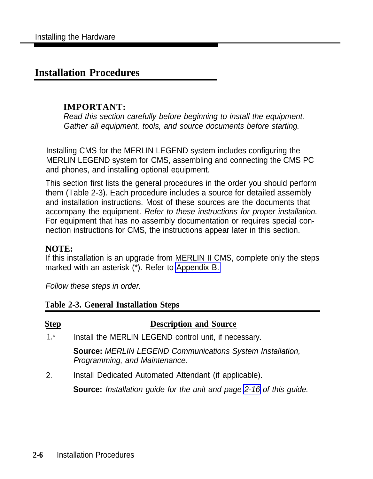## **Installation Procedures**

#### **IMPORTANT:**

Read this section carefully before beginning to install the equipment. Gather all equipment, tools, and source documents before starting.

Installing CMS for the MERLIN LEGEND system includes configuring the MERLIN LEGEND system for CMS, assembling and connecting the CMS PC and phones, and installing optional equipment.

This section first lists the general procedures in the order you should perform them (Table 2-3). Each procedure includes a source for detailed assembly and installation instructions. Most of these sources are the documents that accompany the equipment. Refer to these instructions for proper installation. For equipment that has no assembly documentation or requires special connection instructions for CMS, the instructions appear later in this section.

#### **NOTE:**

If this installation is an upgrade from MERLIN II CMS, complete only the steps marked with an asterisk (\*). Refer to [Appendix B.](#page-156-0)

Follow these steps in order.

#### **Table 2-3. General Installation Steps**

| Step                                                         | <b>Description and Source</b>                                                                     |  |  |
|--------------------------------------------------------------|---------------------------------------------------------------------------------------------------|--|--|
| $1.*$                                                        | Install the MERLIN LEGEND control unit, if necessary.                                             |  |  |
|                                                              | <b>Source: MERLIN LEGEND Communications System Installation,</b><br>Programming, and Maintenance. |  |  |
| Install Dedicated Automated Attendant (if applicable).<br>2. |                                                                                                   |  |  |
|                                                              | <b>Source:</b> Installation guide for the unit and page 2-16 of this guide.                       |  |  |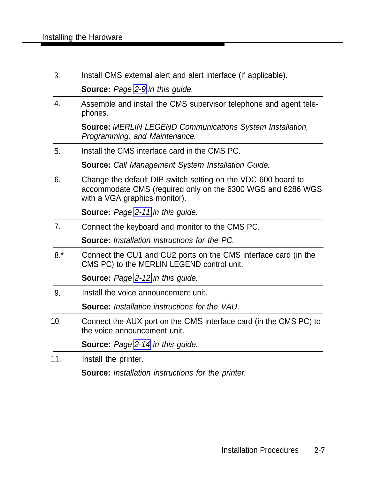| 3.               | Install CMS external alert and alert interface (if applicable).                                                                                               |  |  |
|------------------|---------------------------------------------------------------------------------------------------------------------------------------------------------------|--|--|
|                  | <b>Source:</b> Page 2-9 in this guide.                                                                                                                        |  |  |
| $\overline{4}$ . | Assemble and install the CMS supervisor telephone and agent tele-<br>phones.                                                                                  |  |  |
|                  | <b>Source: MERLIN LEGEND Communications System Installation,</b><br>Programming, and Maintenance.                                                             |  |  |
| 5.               | Install the CMS interface card in the CMS PC.                                                                                                                 |  |  |
|                  | <b>Source:</b> Call Management System Installation Guide.                                                                                                     |  |  |
| 6.               | Change the default DIP switch setting on the VDC 600 board to<br>accommodate CMS (required only on the 6300 WGS and 6286 WGS<br>with a VGA graphics monitor). |  |  |
|                  | <b>Source:</b> Page 2-11 in this guide.                                                                                                                       |  |  |
| 7.               | Connect the keyboard and monitor to the CMS PC.                                                                                                               |  |  |
|                  | <b>Source:</b> Installation instructions for the PC.                                                                                                          |  |  |
| $8.*$            | Connect the CU1 and CU2 ports on the CMS interface card (in the<br>CMS PC) to the MERLIN LEGEND control unit.                                                 |  |  |
|                  | <b>Source:</b> Page 2-12 in this guide.                                                                                                                       |  |  |
| 9.               | Install the voice announcement unit.                                                                                                                          |  |  |
|                  | <b>Source:</b> Installation instructions for the VAU.                                                                                                         |  |  |
| 10.              | Connect the AUX port on the CMS interface card (in the CMS PC) to<br>the voice announcement unit.                                                             |  |  |
|                  | <b>Source:</b> Page 2-14 in this guide.                                                                                                                       |  |  |
| 11.              | Install the printer.                                                                                                                                          |  |  |
|                  | <b>Source:</b> Installation instructions for the printer.                                                                                                     |  |  |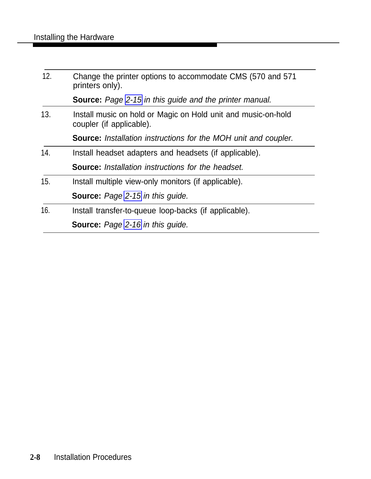| 12. | Change the printer options to accommodate CMS (570 and 571)<br>printers only).            |
|-----|-------------------------------------------------------------------------------------------|
|     | <b>Source:</b> Page 2-15 in this guide and the printer manual.                            |
| 13. | Install music on hold or Magic on Hold unit and music-on-hold<br>coupler (if applicable). |
|     | <b>Source:</b> Installation instructions for the MOH unit and coupler.                    |
| 14. | Install headset adapters and headsets (if applicable).                                    |
|     | <b>Source:</b> Installation instructions for the headset.                                 |
| 15. | Install multiple view-only monitors (if applicable).                                      |
|     | <b>Source:</b> Page 2-15 in this guide.                                                   |
| 16. | Install transfer-to-queue loop-backs (if applicable).                                     |
|     | <b>Source:</b> Page 2-16 in this quide.                                                   |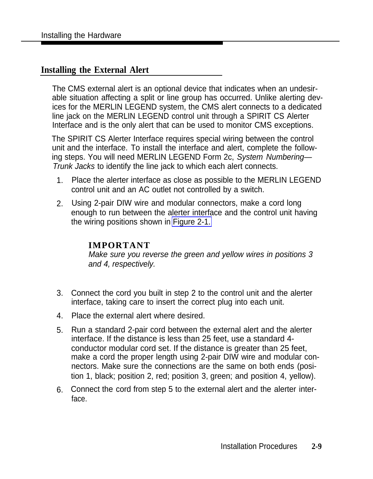#### <span id="page-65-0"></span>**Installing the External Alert**

The CMS external alert is an optional device that indicates when an undesirable situation affecting a split or line group has occurred. Unlike alerting devices for the MERLIN LEGEND system, the CMS alert connects to a dedicated line jack on the MERLIN LEGEND control unit through a SPIRIT CS Alerter Interface and is the only alert that can be used to monitor CMS exceptions.

The SPIRIT CS Alerter Interface requires special wiring between the control unit and the interface. To install the interface and alert, complete the following steps. You will need MERLIN LEGEND Form 2c, System Numbering— Trunk Jacks to identify the line jack to which each alert connects.

- 1. Place the alerter interface as close as possible to the MERLIN LEGEND control unit and an AC outlet not controlled by a switch.
- 2. Using 2-pair DIW wire and modular connectors, make a cord long enough to run between the alerter interface and the control unit having the wiring positions shown in [Figure 2-1.](#page-66-0)

#### **IMPORTANT**

Make sure you reverse the green and yellow wires in positions 3 and 4, respectively.

- 3. Connect the cord you built in step 2 to the control unit and the alerter interface, taking care to insert the correct plug into each unit.
- 4. Place the external alert where desired.
- 5. Run a standard 2-pair cord between the external alert and the alerter interface. If the distance is less than 25 feet, use a standard 4 conductor modular cord set. If the distance is greater than 25 feet, make a cord the proper length using 2-pair DIW wire and modular connectors. Make sure the connections are the same on both ends (position 1, black; position 2, red; position 3, green; and position 4, yellow).
- 6. Connect the cord from step 5 to the external alert and the alerter interface.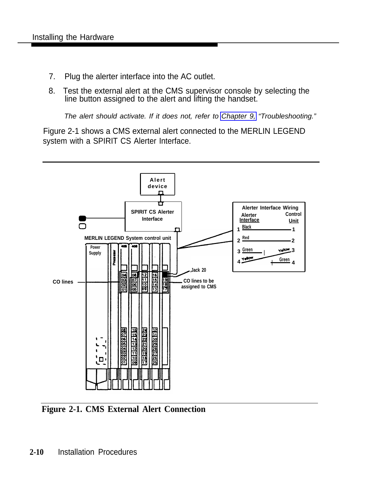- <span id="page-66-0"></span>7. Plug the alerter interface into the AC outlet.
- 8. Test the external alert at the CMS supervisor console by selecting the line button assigned to the alert and lifting the handset.

The alert should activate. If it does not, refer to [Chapter 9,](#page-126-1) "Troubleshooting."

Figure 2-1 shows a CMS external alert connected to the MERLIN LEGEND system with a SPIRIT CS Alerter Interface.



**Figure 2-1. CMS External Alert Connection**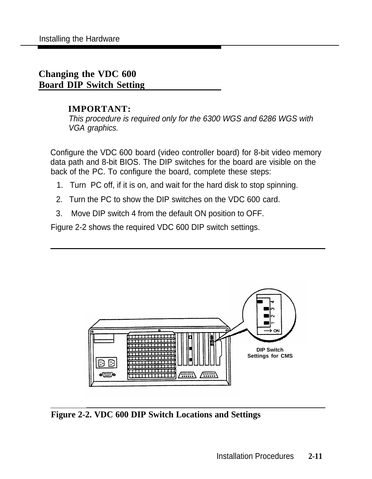## <span id="page-67-0"></span>**Changing the VDC 600 Board DIP Switch Setting**

#### **IMPORTANT:**

This procedure is required only for the 6300 WGS and 6286 WGS with VGA graphics.

Configure the VDC 600 board (video controller board) for 8-bit video memory data path and 8-bit BIOS. The DIP switches for the board are visible on the back of the PC. To configure the board, complete these steps:

- 1. Turn PC off, if it is on, and wait for the hard disk to stop spinning.
- 2. Turn the PC to show the DIP switches on the VDC 600 card.
- 3. Move DIP switch 4 from the default ON position to OFF.

Figure 2-2 shows the required VDC 600 DIP switch settings.



**Figure 2-2. VDC 600 DIP Switch Locations and Settings**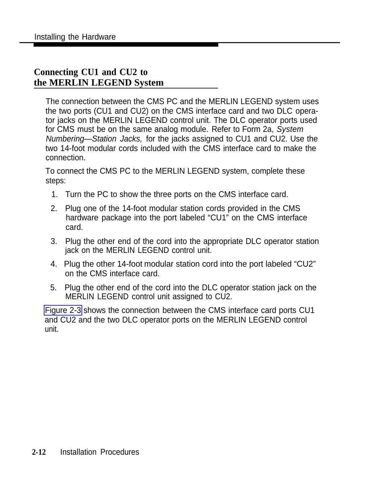## <span id="page-68-0"></span>**Connecting CU1 and CU2 to the MERLIN LEGEND System**

The connection between the CMS PC and the MERLIN LEGEND system uses the two ports (CU1 and CU2) on the CMS interface card and two DLC operator jacks on the MERLIN LEGEND control unit. The DLC operator ports used for CMS must be on the same analog module. Refer to Form 2a, System Numbering—Station Jacks, for the jacks assigned to CU1 and CU2. Use the two 14-foot modular cords included with the CMS interface card to make the connection.

To connect the CMS PC to the MERLIN LEGEND system, complete these steps:

- 1. Turn the PC to show the three ports on the CMS interface card.
- 2. Plug one of the 14-foot modular station cords provided in the CMS hardware package into the port labeled "CU1" on the CMS interface card.
- 3. Plug the other end of the cord into the appropriate DLC operator station jack on the MERLIN LEGEND control unit.
- 4. Plug the other 14-foot modular station cord into the port labeled "CU2" on the CMS interface card.
- 5. Plug the other end of the cord into the DLC operator station jack on the MERLIN LEGEND control unit assigned to CU2.

[Figure 2-3](#page-69-0) shows the connection between the CMS interface card ports CU1 and CU2 and the two DLC operator ports on the MERLIN LEGEND control unit.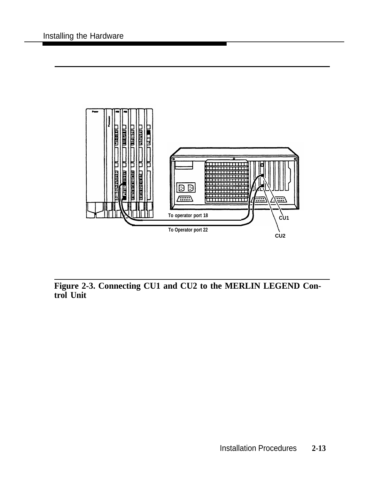<span id="page-69-0"></span>

**Figure 2-3. Connecting CU1 and CU2 to the MERLIN LEGEND Control Unit**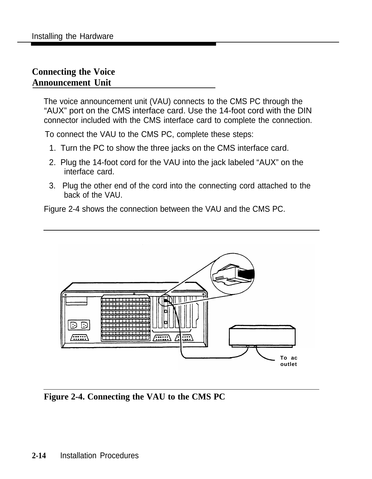## <span id="page-70-0"></span>**Connecting the Voice Announcement Unit**

The voice announcement unit (VAU) connects to the CMS PC through the "AUX" port on the CMS interface card. Use the 14-foot cord with the DIN connector included with the CMS interface card to complete the connection.

To connect the VAU to the CMS PC, complete these steps:

- 1. Turn the PC to show the three jacks on the CMS interface card.
- 2. Plug the 14-foot cord for the VAU into the jack labeled "AUX" on the interface card.
- 3. Plug the other end of the cord into the connecting cord attached to the back of the VAU.

Figure 2-4 shows the connection between the VAU and the CMS PC.



**Figure 2-4. Connecting the VAU to the CMS PC**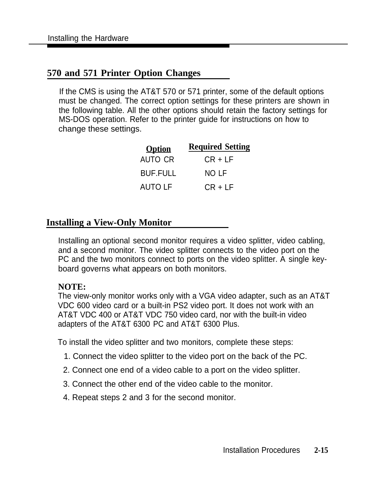## <span id="page-71-0"></span>**570 and 571 Printer Option Changes**

If the CMS is using the AT&T 570 or 571 printer, some of the default options must be changed. The correct option settings for these printers are shown in the following table. All the other options should retain the factory settings for MS-DOS operation. Refer to the printer guide for instructions on how to change these settings.

| <b>Option</b>   | <b>Required Setting</b> |
|-----------------|-------------------------|
| AUTO CR         | $CR + LF$               |
| <b>BUF.FULL</b> | NO LF                   |
| <b>AUTO LF</b>  | $CR + LF$               |

#### **Installing a View-Only Monitor**

Installing an optional second monitor requires a video splitter, video cabling, and a second monitor. The video splitter connects to the video port on the PC and the two monitors connect to ports on the video splitter. A single keyboard governs what appears on both monitors.

#### **NOTE:**

The view-only monitor works only with a VGA video adapter, such as an AT&T VDC 600 video card or a built-in PS2 video port. It does not work with an AT&T VDC 400 or AT&T VDC 750 video card, nor with the built-in video adapters of the AT&T 6300 PC and AT&T 6300 Plus.

To install the video splitter and two monitors, complete these steps:

- 1. Connect the video splitter to the video port on the back of the PC.
- 2. Connect one end of a video cable to a port on the video splitter.
- 3. Connect the other end of the video cable to the monitor.
- 4. Repeat steps 2 and 3 for the second monitor.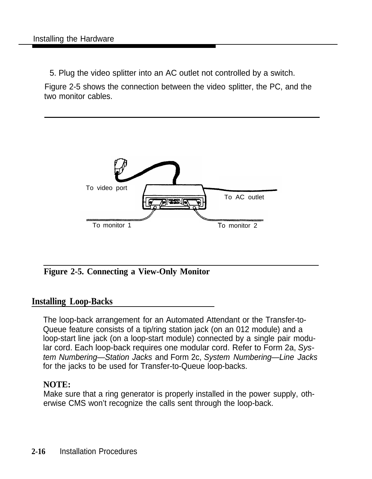5. Plug the video splitter into an AC outlet not controlled by a switch.

Figure 2-5 shows the connection between the video splitter, the PC, and the two monitor cables.



### **Figure 2-5. Connecting a View-Only Monitor**

### **Installing Loop-Backs**

The loop-back arrangement for an Automated Attendant or the Transfer-to-Queue feature consists of a tip/ring station jack (on an 012 module) and a loop-start line jack (on a loop-start module) connected by a single pair modular cord. Each loop-back requires one modular cord. Refer to Form 2a, System Numbering—Station Jacks and Form 2c, System Numbering—Line Jacks for the jacks to be used for Transfer-to-Queue loop-backs.

### **NOTE:**

Make sure that a ring generator is properly installed in the power supply, otherwise CMS won't recognize the calls sent through the loop-back.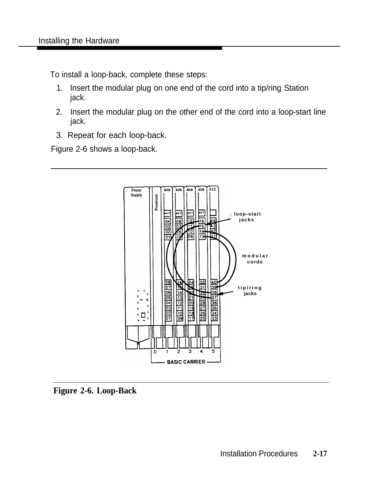To install a loop-back, complete these steps:

- 1. Insert the modular plug on one end of the cord into a tip/ring Station jack.
- 2. Insert the modular plug on the other end of the cord into a loop-start line jack.
- 3. Repeat for each loop-back.

Figure 2-6 shows a loop-back.



**Figure 2-6. Loop-Back**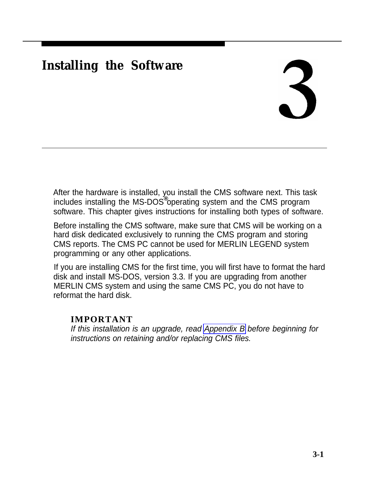# **Installing the Software**

# 3

After the hardware is installed, you install the CMS software next. This task includes installing the MS-DOS<sup>®</sup> operating system and the CMS program software. This chapter gives instructions for installing both types of software.

Before installing the CMS software, make sure that CMS will be working on a hard disk dedicated exclusively to running the CMS program and storing CMS reports. The CMS PC cannot be used for MERLIN LEGEND system programming or any other applications.

If you are installing CMS for the first time, you will first have to format the hard disk and install MS-DOS, version 3.3. If you are upgrading from another MERLIN CMS system and using the same CMS PC, you do not have to reformat the hard disk.

### **IMPORTANT**

If this installation is an upgrade, read [Appendix B](#page-156-0) before beginning for instructions on retaining and/or replacing CMS files.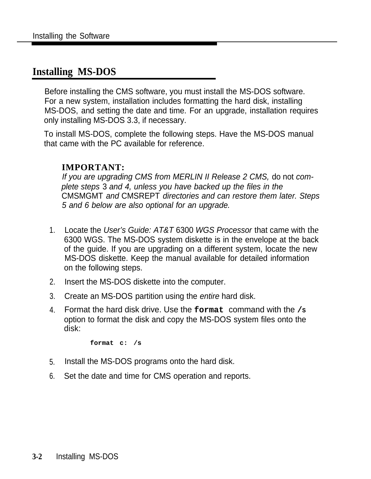# **Installing MS-DOS**

Before installing the CMS software, you must install the MS-DOS software. For a new system, installation includes formatting the hard disk, installing MS-DOS, and setting the date and time. For an upgrade, installation requires only installing MS-DOS 3.3, if necessary.

To install MS-DOS, complete the following steps. Have the MS-DOS manual that came with the PC available for reference.

### **IMPORTANT:**

If you are upgrading CMS from MERLIN II Release 2 CMS, do not complete steps 3 and 4, unless you have backed up the files in the CMSMGMT and CMSREPT directories and can restore them later. Steps 5 and 6 below are also optional for an upgrade.

- 1. Locate the User's Guide: AT&T 6300 WGS Processor that came with the 6300 WGS. The MS-DOS system diskette is in the envelope at the back of the guide. If you are upgrading on a different system, locate the new MS-DOS diskette. Keep the manual available for detailed information on the following steps.
- 2. Insert the MS-DOS diskette into the computer.
- 3. Create an MS-DOS partition using the entire hard disk.
- 4. Format the hard disk drive. Use the **format** command with the **/S** option to format the disk and copy the MS-DOS system files onto the disk:

**format c: /s**

- 5. Install the MS-DOS programs onto the hard disk.
- 6. Set the date and time for CMS operation and reports.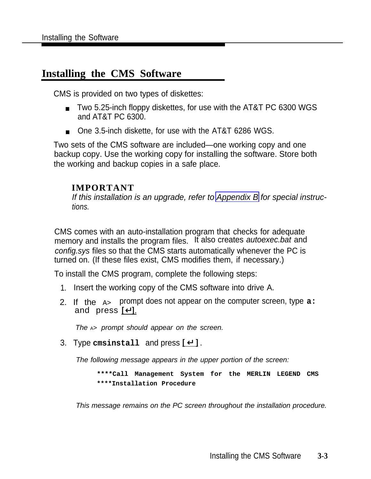### **Installing the CMS Software**

CMS is provided on two types of diskettes:

- Two 5.25-inch floppy diskettes, for use with the AT&T PC 6300 WGS and AT&T PC 6300.
- One 3.5-inch diskette, for use with the AT&T 6286 WGS.

Two sets of the CMS software are included—one working copy and one backup copy. Use the working copy for installing the software. Store both the working and backup copies in a safe place.

### **IMPORTANT**

If this installation is an upgrade, refer to [Appendix B](#page-156-1) for special instructions.

CMS comes with an auto-installation program that checks for adequate memory and installs the program files. It also creates *autoexec.bat* and config.sys files so that the CMS starts automatically whenever the PC is turned on. (If these files exist, CMS modifies them, if necessary.)

To install the CMS program, complete the following steps:

- 1. Insert the working copy of the CMS software into drive A.
- 2. If the A> prompt does not appear on the computer screen, type **a:** and press  $\boxed{1}$ .

The  $A>$  prompt should appear on the screen.

3. Type **cmsinstall** and press [ ↵ ] .

The following message appears in the upper portion of the screen:

**\*\*\*\*Call Management System for the MERLIN LEGEND CMS \*\*\*\*Installation Procedure**

This message remains on the PC screen throughout the installation procedure.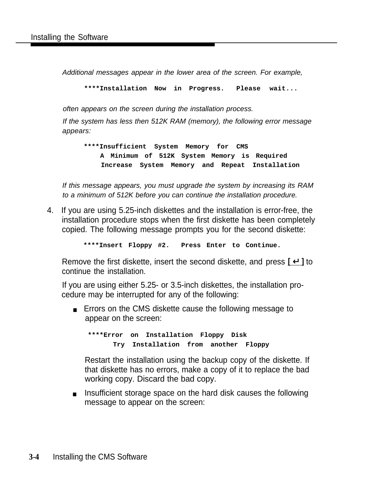Additional messages appear in the lower area of the screen. For example,

**\*\*\*\*Installation Now in Progress. Please wait...**

often appears on the screen during the installation process.

If the system has less then 512K RAM (memory), the following error message appears:

**\*\*\*\*Insufficient System Memory for CMS A Minimum of 512K System Memory is Required Increase System Memory and Repeat Installation**

If this message appears, you must upgrade the system by increasing its RAM to a minimum of 512K before you can continue the installation procedure.

4. If you are using 5.25-inch diskettes and the installation is error-free, the installation procedure stops when the first diskette has been completely copied. The following message prompts you for the second diskette:

**\*\*\*\*Insert Floppy #2. Press Enter to Continue.**

Remove the first diskette, insert the second diskette, and press  $\lceil \frac{1}{r} \rceil$  to continue the installation.

If you are using either 5.25- or 3.5-inch diskettes, the installation procedure may be interrupted for any of the following:

■ Errors on the CMS diskette cause the following message to appear on the screen:

**\*\*\*\*Error on Installation Floppy Disk Try Installation from another Floppy**

Restart the installation using the backup copy of the diskette. If that diskette has no errors, make a copy of it to replace the bad working copy. Discard the bad copy.

■ Insufficient storage space on the hard disk causes the following message to appear on the screen: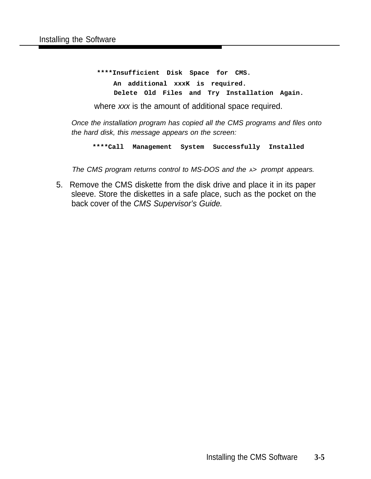**\*\*\*\*Insufficient Disk Space for CMS. An additional xxxK is required. Delete Old Files and Try Installation Again.**

where xxx is the amount of additional space required.

Once the installation program has copied all the CMS programs and files onto the hard disk, this message appears on the screen:

**\*\*\*\*Call Management System Successfully Installed**

The CMS program returns control to MS-DOS and the  $A$  prompt appears.

5. Remove the CMS diskette from the disk drive and place it in its paper sleeve. Store the diskettes in a safe place, such as the pocket on the back cover of the CMS Supervisor's Guide.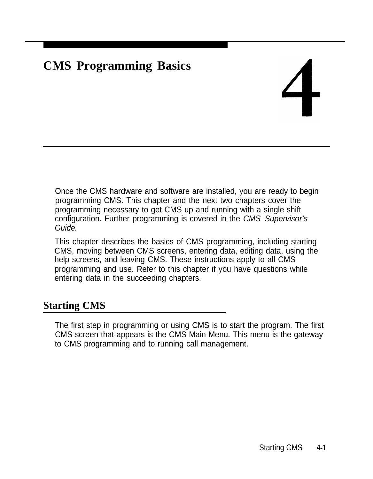# **CMS Programming Basics**

Once the CMS hardware and software are installed, you are ready to begin programming CMS. This chapter and the next two chapters cover the programming necessary to get CMS up and running with a single shift configuration. Further programming is covered in the CMS Supervisor's Guide.

This chapter describes the basics of CMS programming, including starting CMS, moving between CMS screens, entering data, editing data, using the help screens, and leaving CMS. These instructions apply to all CMS programming and use. Refer to this chapter if you have questions while entering data in the succeeding chapters.

# **Starting CMS**

The first step in programming or using CMS is to start the program. The first CMS screen that appears is the CMS Main Menu. This menu is the gateway to CMS programming and to running call management.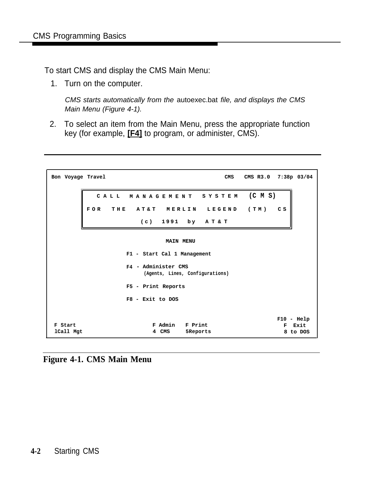To start CMS and display the CMS Main Menu:

1. Turn on the computer.

CMS starts automatically from the autoexec.bat file, and displays the CMS Main Menu (Figure 4-1).

2. To select an item from the Main Menu, press the appropriate function key (for example, **[F4]** to program, or administer, CMS).

| Bon Voyage Travel    |                    |                                                        | CMS      | CMS R3.0 7:38p 03/04                  |
|----------------------|--------------------|--------------------------------------------------------|----------|---------------------------------------|
|                      | CALL               | MANAGEMENT SYSTEM (CMS)                                |          |                                       |
|                      | <b>FOR</b>         | THE AT&T MERLIN LEGEND (TM)                            |          | C S                                   |
|                      |                    | $(c)$ 1991 by AT&T                                     |          |                                       |
|                      |                    | <b>MAIN MENU</b>                                       |          |                                       |
|                      |                    | F1 - Start Cal 1 Management                            |          |                                       |
|                      |                    | F4 - Administer CMS<br>(Agents, Lines, Configurations) |          |                                       |
|                      |                    | F5 - Print Reports                                     |          |                                       |
|                      | $F8$ - Exit to DOS |                                                        |          |                                       |
| F Start<br>1Call Mgt |                    | F Print<br>F Admin<br>4 CMS                            | 5Reports | $F10 - He1p$<br>Exit<br>F<br>8 to DOS |

**Figure 4-1. CMS Main Menu**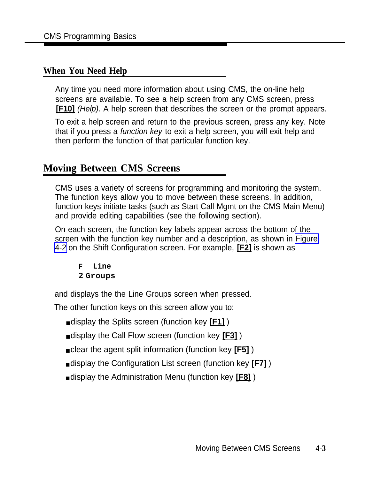### **When You Need Help**

Any time you need more information about using CMS, the on-line help screens are available. To see a help screen from any CMS screen, press **[F10]** (Help). A help screen that describes the screen or the prompt appears.

To exit a help screen and return to the previous screen, press any key. Note that if you press a function key to exit a help screen, you will exit help and then perform the function of that particular function key.

# **Moving Between CMS Screens**

CMS uses a variety of screens for programming and monitoring the system. The function keys allow you to move between these screens. In addition, function keys initiate tasks (such as Start Call Mgmt on the CMS Main Menu) and provide editing capabilities (see the following section).

On each screen, the function key labels appear across the bottom of the screen with the function key number and a description, as shown in [Figure](#page-82-0) [4-2](#page-82-0) on the Shift Configuration screen. For example, **[F2]** is shown as

**F Line 2 Groups**

and displays the the Line Groups screen when pressed.

The other function keys on this screen allow you to:

- display the Splits screen (function key **[F1]**)
- display the Call Flow screen (function key **[F3]** )
- clear the agent split information (function key **[F5]** )
- display the Configuration List screen (function key **[F7]** )
- display the Administration Menu (function key **[F8]** )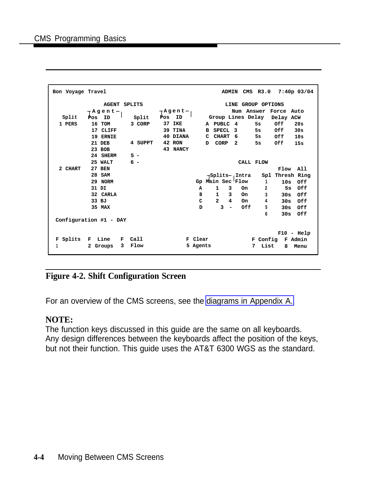<span id="page-82-0"></span>

| Bon Voyage Travel |                        |         |                      |                                        |                      | ADMIN CMS R3.0 7:40p 03/04 |
|-------------------|------------------------|---------|----------------------|----------------------------------------|----------------------|----------------------------|
|                   | <b>AGENT SPLITS</b>    |         |                      |                                        | LINE GROUP OPTIONS   |                            |
|                   | ーAgentー                |         | ⊢Agent- <sub>i</sub> |                                        |                      | Num Answer Force Auto      |
| Split             | ID<br>Pos              | Split   | Pos<br>ID            |                                        | Group Lines Delay    | Delay ACW                  |
| 1 PERS            | 16 TOM                 | 3 CORP  | 37 IKE               | A PUBLC 4                              | 5s                   | Of f<br>20s                |
|                   | 17 CLIFF               |         | 39 TINA              | SPECL 3<br>в                           |                      | 5s Off<br>30ຮ              |
|                   | 19 ERNIE               |         | 40 DIANA             | C CHART 6                              |                      | 5s Off<br>10s              |
|                   | 21 DEB                 | 4 SUPPT | 42 RON               | CORP<br>D                              | $\mathbf{2}$<br>5s — | Off<br>15s                 |
|                   | 23 BOB                 |         | 43 NANCY             |                                        |                      |                            |
|                   | 24 SHERM               | $5 -$   |                      |                                        |                      |                            |
|                   | 25 WALT                | $6 -$   |                      |                                        | CALL FLOW            |                            |
| 2 CHART           | 27 BEN                 |         |                      |                                        |                      | Flow All                   |
|                   | 28 SAM                 |         |                      |                                        | -Splits-, Intra      | Spl Thresh Ring            |
|                   | 29 NORM                |         |                      | Gp Main Sec Flow                       |                      | $\mathbf{1}$<br>10s Off    |
|                   | 31 DI                  |         |                      | $\mathbf{1}$<br>3<br>A                 | On.                  | 5s Off<br>$\overline{a}$   |
|                   | 32 CARLA               |         |                      | в<br>1                                 | 3 On                 | 3<br>$30s$ Off             |
|                   | 33 BJ                  |         |                      | $2^{\circ}$<br>c                       | $\overline{4}$<br>On | 4<br>30s Off               |
|                   | 35 MAX                 |         |                      | 3<br>D<br>$\qquad \qquad \blacksquare$ | Off                  | 5<br>30s Off               |
|                   |                        |         |                      |                                        |                      | 6<br>30s<br>Off            |
|                   | Configuration #1 - DAY |         |                      |                                        |                      |                            |
|                   |                        |         |                      |                                        |                      |                            |
|                   |                        |         |                      |                                        |                      | $F10 - He1p$               |
| F Splits          | F Line<br>F            | Call    |                      | F Clear                                |                      | F Config<br>F Admin        |
| 1                 | 2 Groups<br>3          | Flow    |                      | 5 Agents                               | 7                    | List<br>8<br>Menu          |
|                   |                        |         |                      |                                        |                      |                            |

### **Figure 4-2. Shift Configuration Screen**

For an overview of the CMS screens, see the [diagrams in Appendix A.](#page-154-0)

### **NOTE:**

The function keys discussed in this guide are the same on all keyboards. Any design differences between the keyboards affect the position of the keys, but not their function. This guide uses the AT&T 6300 WGS as the standard.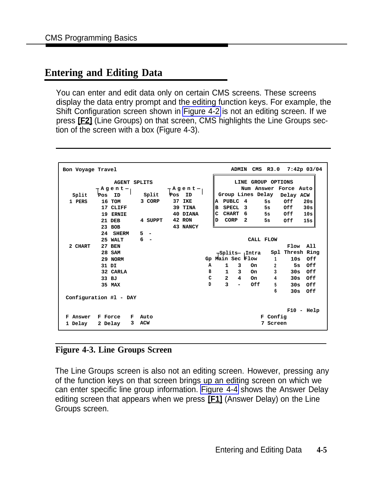### **Entering and Editing Data**

You can enter and edit data only on certain CMS screens. These screens display the data entry prompt and the editing function keys. For example, the Shift Configuration screen shown in [Figure 4-2](#page-82-0) is not an editing screen. If we press **[F2]** (Line Groups) on that screen, CMS highlights the Line Groups section of the screen with a box (Figure 4-3).

| Bon Voyage Travel |                        |                        |                  |     |                |                          |                         | ADMIN CMS R3.0     |                       | $7:42p$ 03/04   |
|-------------------|------------------------|------------------------|------------------|-----|----------------|--------------------------|-------------------------|--------------------|-----------------------|-----------------|
|                   | <b>AGENT SPLITS</b>    |                        |                  |     |                |                          |                         | LINE GROUP OPTIONS |                       |                 |
|                   | ーAgentー                |                        | ーAgent﹁          |     |                |                          |                         |                    | Num Answer Force Auto |                 |
| Split             | Pos<br>ID              | Split                  | Pos<br>ID        |     |                |                          | Group Lines Delay       |                    | Delay ACW             |                 |
| 1 PERS            | 16 TOM                 | 3 CORP                 | 37<br><b>IKE</b> |     | A              | PUBLC 4                  |                         | <b>5s</b>          | 0ff                   | 20s             |
|                   | 17 CLIFF               |                        | 39 TINA          |     | B              | <b>SPECL</b>             | $\overline{\mathbf{3}}$ | 5s                 | 0ff                   | 30s             |
|                   | 19 ERNIE               |                        | 40 DIANA         |     | c              | <b>CHART</b>             | - 6                     | 5s                 | Off                   | 10s             |
|                   |                        | 4 SUPPT                | 42 RON           |     | D              | CORP                     | $\mathbf{2}$            | 5s                 |                       |                 |
|                   | 21 DEB                 |                        |                  |     |                |                          |                         |                    | 0ff                   | 15s             |
|                   | 23 BOB                 |                        | 43 NANCY         |     |                |                          |                         |                    |                       |                 |
|                   | 24<br><b>SHERM</b>     | 5<br>$\qquad \qquad -$ |                  |     |                |                          |                         |                    |                       |                 |
|                   | 25 WALT                | 6                      |                  |     |                |                          |                         | CALL FLOW          |                       |                 |
| 2 CHART           | <b>27 BEN</b>          |                        |                  |     |                |                          |                         |                    | Flow                  | A11             |
|                   | 28 SAM                 |                        |                  |     |                |                          | -Splits-, Intra         |                    |                       | Spl Thresh Ring |
|                   | 29 NORM                |                        |                  | Gp. |                |                          | Main Sec'Flow           | 1                  | 10s                   | Off             |
|                   | 31 DI                  |                        |                  | Α   | 1              | 3                        | <b>On</b>               | $\overline{a}$     | 5s                    | Off             |
|                   | 32 CARLA               |                        |                  | в   | $\mathbf{1}$   | 3                        | On.                     | 3                  | 30s                   | Off             |
|                   | 33 BJ                  |                        |                  | C   | $\overline{a}$ | 4                        | On                      | 4                  | 30s                   | Off             |
|                   | 35 MAX                 |                        |                  | D   | 3              | $\overline{\phantom{0}}$ | Off                     | 5                  | 30s                   | Off             |
|                   |                        |                        |                  |     |                |                          |                         | 6                  | 30s                   | Off             |
|                   | Configuration #1 - DAY |                        |                  |     |                |                          |                         |                    |                       |                 |
|                   |                        |                        |                  |     |                |                          |                         |                    |                       |                 |
|                   |                        |                        |                  |     |                |                          |                         |                    |                       | $F10 - He1p$    |
| Answer<br>F       | F Force<br>F.          | Auto                   |                  |     |                |                          |                         | F Config           |                       |                 |
| 1 Delay           | 3<br>2 Delay           | <b>ACW</b>             |                  |     |                |                          |                         | 7<br>Screen        |                       |                 |
|                   |                        |                        |                  |     |                |                          |                         |                    |                       |                 |

### **Figure 4-3. Line Groups Screen**

The Line Groups screen is also not an editing screen. However, pressing any of the function keys on that screen brings up an editing screen on which we can enter specific line group information. [Figure](#page-84-0) 4-4 shows the Answer Delay editing screen that appears when we press **[F1]** (Answer Delay) on the Line Groups screen.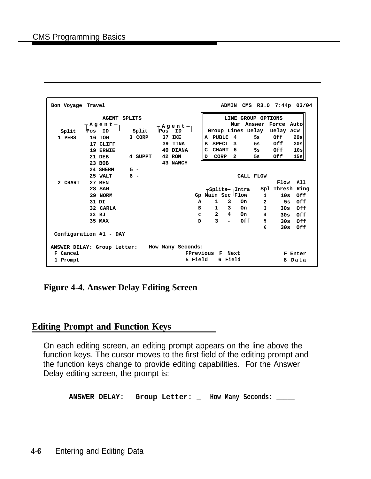<span id="page-84-0"></span>

**Figure 4-4. Answer Delay Editing Screen**

### **Editing Prompt and Function Keys**

On each editing screen, an editing prompt appears on the line above the function keys. The cursor moves to the first field of the editing prompt and the function keys change to provide editing capabilities. For the Answer Delay editing screen, the prompt is:

**ANSWER DELAY: Group Letter: \_ How Many Seconds: \_\_\_\_\_**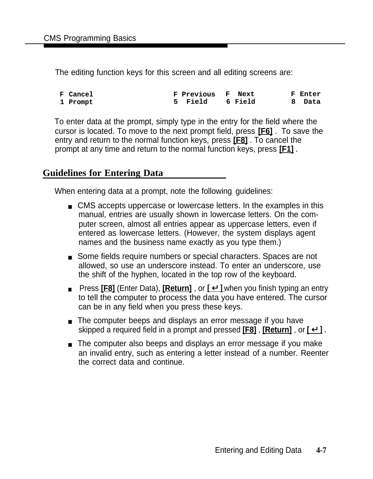The editing function keys for this screen and all editing screens are:

| <b>F</b> Cancel | <b>F Previous F Next</b> |  | F Enter |
|-----------------|--------------------------|--|---------|
| 1 Prompt        | 5 Field 6 Field          |  | 8 Data  |

To enter data at the prompt, simply type in the entry for the field where the cursor is located. To move to the next prompt field, press **[F6]** . To save the entry and return to the normal function keys, press **[F8]** . To cancel the prompt at any time and return to the normal function keys, press **[F1]** .

### **Guidelines for Entering Data**

When entering data at a prompt, note the following guidelines:

- CMS accepts uppercase or lowercase letters. In the examples in this manual, entries are usually shown in lowercase letters. On the computer screen, almost all entries appear as uppercase letters, even if entered as lowercase letters. (However, the system displays agent names and the business name exactly as you type them.)
- Some fields require numbers or special characters. Spaces are not allowed, so use an underscore instead. To enter an underscore, use the shift of the hyphen, located in the top row of the keyboard.
- Press **[F8]** (Enter Data), **[Return]**, or  $\lceil \frac{1}{2} \rceil$  when you finish typing an entry to tell the computer to process the data you have entered. The cursor can be in any field when you press these keys.
- The computer beeps and displays an error message if you have skipped a required field in a prompt and pressed **[F8]** , **[Return]** , or **[** ↵ ] .
- The computer also beeps and displays an error message if you make an invalid entry, such as entering a letter instead of a number. Reenter the correct data and continue.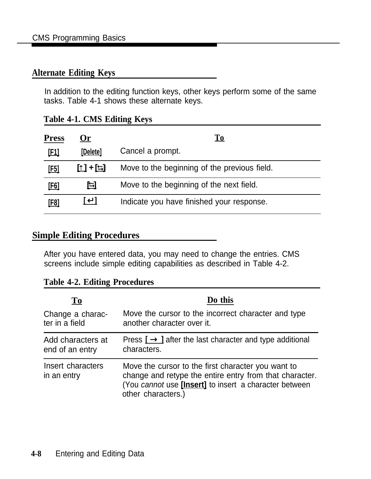### **Alternate Editing Keys**

In addition to the editing function keys, other keys perform some of the same tasks. Table 4-1 shows these alternate keys.

| Table 4-1. CMS Editing Keys |  |  |  |
|-----------------------------|--|--|--|
|-----------------------------|--|--|--|

| <b>Press</b> | <u> Or</u>        | To                                           |
|--------------|-------------------|----------------------------------------------|
| <u>[F1]</u>  | [Delete]          | Cancel a prompt.                             |
| <u>[F5]</u>  | <u> [1] + [1]</u> | Move to the beginning of the previous field. |
| <u>[F6]</u>  | 旦                 | Move to the beginning of the next field.     |
| [F8]         | ∐—∐               | Indicate you have finished your response.    |

### **Simple Editing Procedures**

After you have entered data, you may need to change the entries. CMS screens include simple editing capabilities as described in Table 4-2.

|  |  |  | <b>Table 4-2. Editing Procedures</b> |
|--|--|--|--------------------------------------|
|--|--|--|--------------------------------------|

| T <sub>0</sub>                   | Do this                                                                                                                                                                                              |
|----------------------------------|------------------------------------------------------------------------------------------------------------------------------------------------------------------------------------------------------|
| Change a charac-                 | Move the cursor to the incorrect character and type                                                                                                                                                  |
| ter in a field                   | another character over it.                                                                                                                                                                           |
| Add characters at                | Press $\Gamma \rightarrow \Gamma$ after the last character and type additional                                                                                                                       |
| end of an entry                  | characters.                                                                                                                                                                                          |
| Insert characters<br>in an entry | Move the cursor to the first character you want to<br>change and retype the entire entry from that character.<br>(You cannot use <i>[lnsert]</i> to insert a character between<br>other characters.) |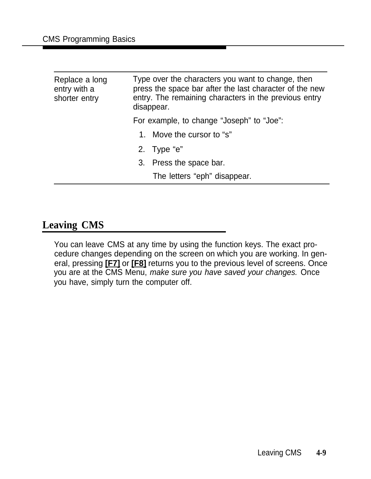| Replace a long<br>entry with a<br>shorter entry | Type over the characters you want to change, then<br>press the space bar after the last character of the new<br>entry. The remaining characters in the previous entry<br>disappear. |  |  |  |
|-------------------------------------------------|-------------------------------------------------------------------------------------------------------------------------------------------------------------------------------------|--|--|--|
|                                                 | For example, to change "Joseph" to "Joe":                                                                                                                                           |  |  |  |
|                                                 | 1. Move the cursor to "s"                                                                                                                                                           |  |  |  |
|                                                 | 2. Type " $e$ "                                                                                                                                                                     |  |  |  |
|                                                 | 3. Press the space bar.                                                                                                                                                             |  |  |  |
|                                                 | The letters "eph" disappear.                                                                                                                                                        |  |  |  |

# **Leaving CMS**

You can leave CMS at any time by using the function keys. The exact procedure changes depending on the screen on which you are working. In general, pressing **[F7]** or **[F8]** returns you to the previous level of screens. Once you are at the CMS Menu, make sure you have saved your changes. Once you have, simply turn the computer off.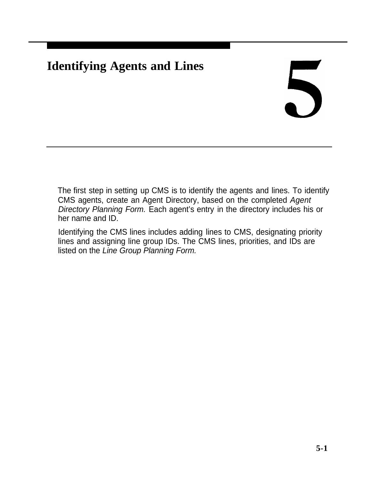# **Identifying Agents and Lines**

# 5

The first step in setting up CMS is to identify the agents and lines. To identify CMS agents, create an Agent Directory, based on the completed Agent Directory Planning Form. Each agent's entry in the directory includes his or her name and ID.

Identifying the CMS lines includes adding lines to CMS, designating priority lines and assigning line group IDs. The CMS lines, priorities, and IDs are listed on the Line Group Planning Form.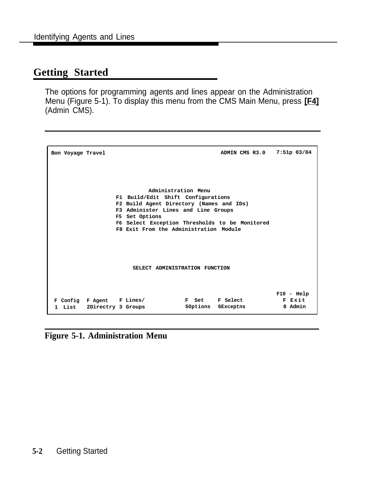# **Getting Started**

The options for programming agents and lines appear on the Administration Menu (Figure 5-1). To display this menu from the CMS Main Menu, press **[F4]** (Admin CMS).

| Bon Voyage Travel |                           |                                                |          |                 | ADMIN CMS R3.0 | $7:51p$ 03/04 |
|-------------------|---------------------------|------------------------------------------------|----------|-----------------|----------------|---------------|
|                   |                           |                                                |          |                 |                |               |
|                   |                           | Administration Menu                            |          |                 |                |               |
|                   |                           | F1 Build/Edit Shift Configurations             |          |                 |                |               |
|                   |                           | F2 Build Agent Directory (Names and IDs)       |          |                 |                |               |
|                   |                           | F3 Administer Lines and Line Groups            |          |                 |                |               |
|                   |                           | F5 Set Options                                 |          |                 |                |               |
|                   |                           | F6 Select Exception Thresholds to be Monitored |          |                 |                |               |
|                   |                           | F8 Exit From the Administration Module         |          |                 |                |               |
|                   |                           |                                                |          |                 |                |               |
|                   |                           |                                                |          |                 |                |               |
|                   |                           |                                                |          |                 |                |               |
|                   |                           |                                                |          |                 |                |               |
|                   |                           | SELECT ADMINISTRATION FUNCTION                 |          |                 |                |               |
|                   |                           |                                                |          |                 |                |               |
|                   |                           |                                                |          |                 |                |               |
|                   |                           |                                                |          |                 |                |               |
|                   |                           |                                                |          |                 |                | $F10 - He1p$  |
|                   | F Config F Agent F Lines/ |                                                | F Set    | <b>F</b> Select |                | F Exit        |
|                   | 1 List 2Directry 3 Groups |                                                | 50ptions | 6Exceptns       |                | 8 Admin       |
|                   |                           |                                                |          |                 |                |               |

**Figure 5-1. Administration Menu**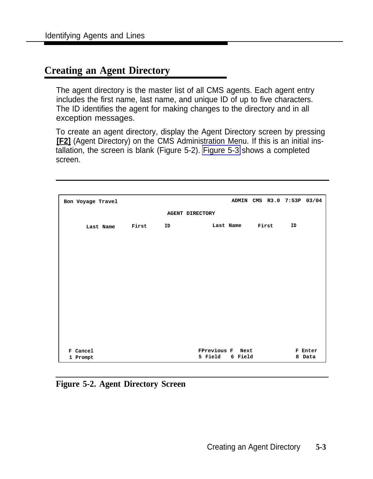# <span id="page-90-0"></span>**Creating an Agent Directory**

The agent directory is the master list of all CMS agents. Each agent entry includes the first name, last name, and unique ID of up to five characters. The ID identifies the agent for making changes to the directory and in all exception messages.

To create an agent directory, display the Agent Directory screen by pressing **[F2]** (Agent Directory) on the CMS Administration Menu. If this is an initial installation, the screen is blank (Figure 5-2). [Figure 5-3](#page-92-0) shows a completed screen.

| Bon Voyage Travel    |       |                        |                             |                 |  | ADMIN CMS R3.0 7:53P 03/04 |                   |
|----------------------|-------|------------------------|-----------------------------|-----------------|--|----------------------------|-------------------|
|                      |       | <b>AGENT DIRECTORY</b> |                             |                 |  |                            |                   |
| Last Name            | First | ID                     |                             | Last Name First |  | ID                         |                   |
|                      |       |                        |                             |                 |  |                            |                   |
|                      |       |                        |                             |                 |  |                            |                   |
|                      |       |                        |                             |                 |  |                            |                   |
|                      |       |                        |                             |                 |  |                            |                   |
|                      |       |                        |                             |                 |  |                            |                   |
|                      |       |                        |                             |                 |  |                            |                   |
|                      |       |                        |                             |                 |  |                            |                   |
|                      |       |                        |                             |                 |  |                            |                   |
|                      |       |                        |                             |                 |  |                            |                   |
| F Cancel<br>1 Prompt |       |                        | FPrevious F Next<br>5 Field | 6 Field         |  |                            | F Enter<br>8 Data |

**Figure 5-2. Agent Directory Screen**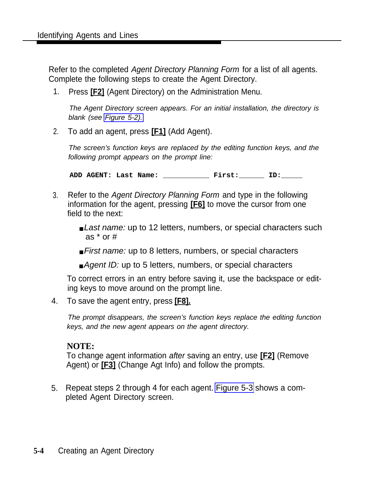Refer to the completed Agent Directory Planning Form for a list of all agents. Complete the following steps to create the Agent Directory.

1. Press **[F2]** (Agent Directory) on the Administration Menu.

The Agent Directory screen appears. For an initial installation, the directory is blank (see [Figure 5-2\).](#page-90-0)

2. To add an agent, press **[F1]** (Add Agent).

The screen's function keys are replaced by the editing function keys, and the following prompt appears on the prompt line:

**ADD AGENT: Last Name: \_\_\_\_\_\_\_\_\_\_\_ First:\_\_\_\_\_\_ ID:\_\_\_\_\_**

- 3. Refer to the Agent Directory Planning Form and type in the following information for the agent, pressing **[F6]** to move the cursor from one field to the next:
	- Last name: up to 12 letters, numbers, or special characters such as \* or #
	- First name: up to 8 letters, numbers, or special characters
	- Agent ID: up to 5 letters, numbers, or special characters

To correct errors in an entry before saving it, use the backspace or editing keys to move around on the prompt line.

4. To save the agent entry, press **[F8].**

The prompt disappears, the screen's function keys replace the editing function keys, and the new agent appears on the agent directory.

### **NOTE:**

To change agent information after saving an entry, use **[F2]** (Remove Agent) or **[F3]** (Change Agt Info) and follow the prompts.

5. Repeat steps 2 through 4 for each agent. [Figure 5-3](#page-92-1) shows a completed Agent Directory screen.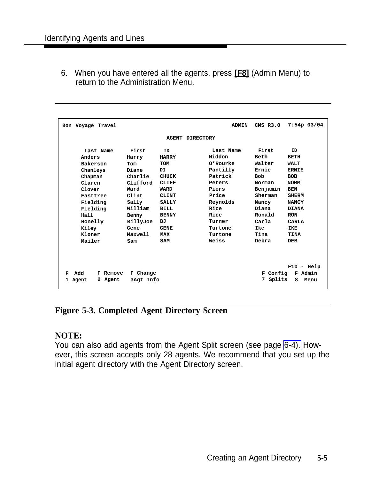<span id="page-92-1"></span><span id="page-92-0"></span>6. When you have entered all the agents, press **[F8]** (Admin Menu) to return to the Administration Menu.

| Bon Voyage Travel     |           |                        | <b>ADMIN</b> | $CMS$ $R3.0$ | $7:54p$ 03/04 |
|-----------------------|-----------|------------------------|--------------|--------------|---------------|
|                       |           | <b>AGENT DIRECTORY</b> |              |              |               |
|                       |           |                        |              |              |               |
| Last Name             | First     | <b>TD</b>              | Last Name    | First        | <b>TD</b>     |
| Anders                | Harry     | <b>HARRY</b>           | Middon       | Beth         | <b>BETH</b>   |
| Bakerson              | Tom       | TOM                    | O'Rourke     | Walter       | <b>WALT</b>   |
| Chanleys              | Diane     | DT                     | Pantilly     | Ernie        | <b>ERNIE</b>  |
| Chapman               | Charlie   | <b>CHUCK</b>           | Patrick      | <b>Bob</b>   | <b>BOB</b>    |
| Claren                | Clifford  | <b>CLIFF</b>           | Peters       | Norman       | <b>NORM</b>   |
| Clover                | Ward      | <b>WARD</b>            | Piers        | Benjamin     | <b>BEN</b>    |
| Easttree              | Clint     | <b>CLINT</b>           | Price        | Sherman      | <b>SHERM</b>  |
| Fielding              | Sally     | <b>SALLY</b>           | Reynolds     | Nancy        | <b>NANCY</b>  |
| Fielding              | William   | <b>BILL</b>            | Rice         | Diana        | <b>DIANA</b>  |
| Hall                  | Benny     | <b>BENNY</b>           | Rice         | Ronald       | <b>RON</b>    |
| Honelly               | BillyJoe  | вJ                     | Turner       | Carla        | CARLA         |
| Kiley                 | Gene      | <b>GENE</b>            | Turtone      | Ike          | <b>IKE</b>    |
| Kloner                | Maxwell   | <b>MAX</b>             | Turtone      | Tina         | <b>TINA</b>   |
| Mailer                | Sam       | SAM                    | Weiss        | Debra        | <b>DEB</b>    |
|                       |           |                        |              |              |               |
|                       |           |                        |              |              |               |
|                       |           |                        |              |              |               |
|                       |           |                        |              |              | $F10 - He1p$  |
| Add<br>F Remove<br>F  | F Change  |                        |              | F Config     | F Admin       |
| 2 Agent<br>Agent<br>1 | 3Agt Info |                        |              | Splits<br>7  | 8<br>Menu     |
|                       |           |                        |              |              |               |

**Figure 5-3. Completed Agent Directory Screen**

### **NOTE:**

You can also add agents from the Agent Split screen (see page [6-4\).](#page-100-0) However, this screen accepts only 28 agents. We recommend that you set up the initial agent directory with the Agent Directory screen.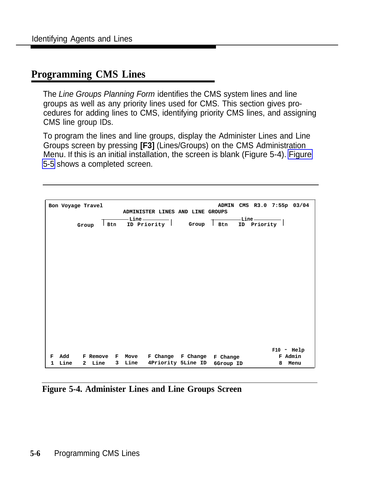### **Programming CMS Lines**

The Line Groups Planning Form identifies the CMS system lines and line groups as well as any priority lines used for CMS. This section gives procedures for adding lines to CMS, identifying priority CMS lines, and assigning CMS line group IDs.

To program the lines and line groups, display the Administer Lines and Line Groups screen by pressing **[F3]** (Lines/Groups) on the CMS Administration Menu. If this is an initial installation, the screen is blank (Figure 5-4). [Figure](#page-96-0) [5-5](#page-96-0) shows a completed screen.

|   | Bon Voyage Travel |              |                 |     |      |         |  | ADMINISTER LINES AND LINE GROUPS | <b>ADMIN</b>               |               |              | CMS R3.0 7:55p 03/04 |
|---|-------------------|--------------|-----------------|-----|------|---------|--|----------------------------------|----------------------------|---------------|--------------|----------------------|
|   |                   |              |                 |     |      | $-Line$ |  |                                  |                            | -Line ————    |              |                      |
|   |                   | Group        |                 | Btn |      |         |  | ID Priority Group                | <b>Btn</b>                 | ID Priority ' |              |                      |
|   |                   |              |                 |     |      |         |  |                                  |                            |               |              |                      |
|   |                   |              |                 |     |      |         |  |                                  |                            |               |              |                      |
|   |                   |              |                 |     |      |         |  |                                  |                            |               |              |                      |
|   |                   |              |                 |     |      |         |  |                                  |                            |               |              |                      |
|   |                   |              |                 |     |      |         |  |                                  |                            |               |              |                      |
|   |                   |              |                 |     |      |         |  |                                  |                            |               |              |                      |
|   |                   |              |                 |     |      |         |  |                                  |                            |               |              |                      |
|   |                   |              |                 |     |      |         |  |                                  |                            |               |              |                      |
|   |                   |              |                 |     |      |         |  |                                  |                            |               |              |                      |
|   |                   |              |                 |     |      |         |  |                                  |                            |               |              |                      |
|   |                   |              |                 |     |      |         |  |                                  |                            |               |              |                      |
|   |                   |              |                 |     |      |         |  |                                  |                            |               |              |                      |
|   |                   |              |                 |     |      |         |  |                                  |                            |               |              |                      |
|   |                   |              |                 |     |      |         |  |                                  |                            |               |              |                      |
|   |                   |              |                 |     |      |         |  |                                  |                            |               | $F10 - He1p$ |                      |
| F | Add               |              | F Remove F Move |     |      |         |  |                                  | F Change F Change F Change |               |              | F Admin              |
| 1 | Line              | $\mathbf{2}$ | Line            | 3   | Line |         |  | 4Priority 5Line ID               | 6Group ID                  |               | 8            | Menu                 |

**Figure 5-4. Administer Lines and Line Groups Screen**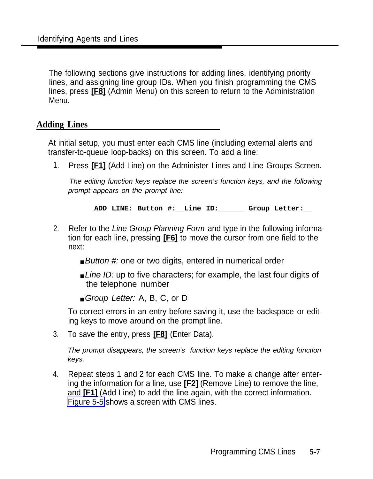The following sections give instructions for adding lines, identifying priority lines, and assigning line group IDs. When you finish programming the CMS lines, press **[F8]** (Admin Menu) on this screen to return to the Administration Menu.

### **Adding Lines**

At initial setup, you must enter each CMS line (including external alerts and transfer-to-queue loop-backs) on this screen. To add a line:

1. Press **[F1]** (Add Line) on the Administer Lines and Line Groups Screen.

The editing function keys replace the screen's function keys, and the following prompt appears on the prompt line:

**ADD LINE: Button #:\_\_Line ID:\_\_\_\_\_\_ Group Letter:\_\_**

- 2. Refer to the Line Group Planning Form and type in the following information for each line, pressing **[F6]** to move the cursor from one field to the next:
	- Button #: one or two digits, entered in numerical order
	- Line ID: up to five characters; for example, the last four digits of the telephone number
	- Group Letter: A, B, C, or D

To correct errors in an entry before saving it, use the backspace or editing keys to move around on the prompt line.

3. To save the entry, press **[F8]** (Enter Data).

The prompt disappears, the screen's function keys replace the editing function keys.

4. Repeat steps 1 and 2 for each CMS line. To make a change after entering the information for a line, use **[F2]** (Remove Line) to remove the line, and **[F1]** (Add Line) to add the line again, with the correct information. [Figure 5-5](#page-96-1) shows a screen with CMS lines.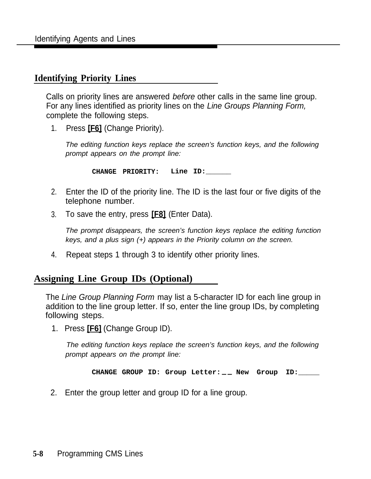### **Identifying Priority Lines**

Calls on priority lines are answered before other calls in the same line group. For any lines identified as priority lines on the Line Groups Planning Form, complete the following steps.

1. Press **[F6]** (Change Priority).

The editing function keys replace the screen's function keys, and the following prompt appears on the prompt line:

**CHANGE PRIORITY: Line ID:\_\_\_\_\_\_**

- 2. Enter the ID of the priority line. The ID is the last four or five digits of the telephone number.
- 3. To save the entry, press **[F8]** (Enter Data).

The prompt disappears, the screen's function keys replace the editing function keys, and a plus sign (+) appears in the Priority column on the screen.

4. Repeat steps 1 through 3 to identify other priority lines.

### **Assigning Line Group IDs (Optional)**

The Line Group Planning Form may list a 5-character ID for each line group in addition to the line group letter. If so, enter the line group IDs, by completing following steps.

1. Press **[F6]** (Change Group ID).

The editing function keys replace the screen's function keys, and the following prompt appears on the prompt line:

**CHANGE GROUP ID: Group Letter: — — New Group ID:\_\_\_\_\_**

2. Enter the group letter and group ID for a line group.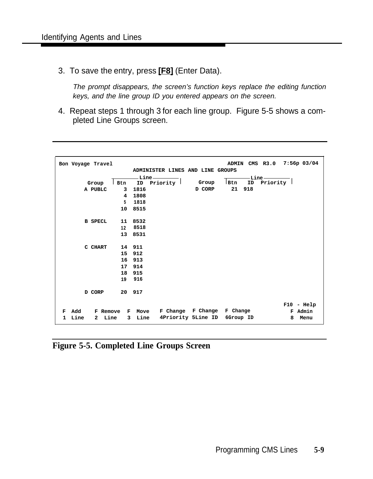<span id="page-96-1"></span><span id="page-96-0"></span>3. To save the entry, press **[F8]** (Enter Data).

The prompt disappears, the screen's function keys replace the editing function keys, and the line group ID you entered appears on the screen.

4. Repeat steps 1 through 3 for each line group. Figure 5-5 shows a completed Line Groups screen.

| Bon Voyage Travel                 |                |         |                       |                                  |                                   | ADMIN CMS R3.0 7:56p 03/04 |
|-----------------------------------|----------------|---------|-----------------------|----------------------------------|-----------------------------------|----------------------------|
|                                   |                |         |                       | ADMINISTER LINES AND LINE GROUPS |                                   |                            |
|                                   |                | -Line - |                       |                                  | -Line —                           |                            |
| Group                             | Btn            | ID      | Priority <sup>1</sup> | Group                            | $\mathsf{Btn}$<br>ID              | Priority <sup>1</sup>      |
| A PUBLC                           | $\mathbf{3}$   | 1816    |                       | D CORP                           | 21 918                            |                            |
|                                   | $\overline{4}$ | 1808    |                       |                                  |                                   |                            |
|                                   | 5 <sup>1</sup> | 1818    |                       |                                  |                                   |                            |
|                                   | 10 8515        |         |                       |                                  |                                   |                            |
|                                   |                |         |                       |                                  |                                   |                            |
| <b>B SPECL</b>                    | 11 8532        |         |                       |                                  |                                   |                            |
|                                   | 12 8518        |         |                       |                                  |                                   |                            |
|                                   | 13 8531        |         |                       |                                  |                                   |                            |
|                                   |                |         |                       |                                  |                                   |                            |
| C CHART                           | 14 911         |         |                       |                                  |                                   |                            |
|                                   | 15 912         |         |                       |                                  |                                   |                            |
|                                   | 16 913         |         |                       |                                  |                                   |                            |
|                                   | 17 914         |         |                       |                                  |                                   |                            |
|                                   | 18 915         |         |                       |                                  |                                   |                            |
|                                   | 19 916         |         |                       |                                  |                                   |                            |
| D CORP                            | 20 917         |         |                       |                                  |                                   |                            |
|                                   |                |         |                       |                                  |                                   |                            |
|                                   |                |         |                       |                                  |                                   | $F10 - He1p$               |
| Add<br><b>F</b> Remove<br>F       | $\mathbf{F}$   |         |                       | Move F Change F Change           | F Change                          | F Admin                    |
| Line<br>Line<br>$\mathbf{2}$<br>1 | 3 <sup>7</sup> |         |                       |                                  | Line 4Priority 5Line ID 6Group ID | 8<br>Menu                  |
|                                   |                |         |                       |                                  |                                   |                            |

**Figure 5-5. Completed Line Groups Screen**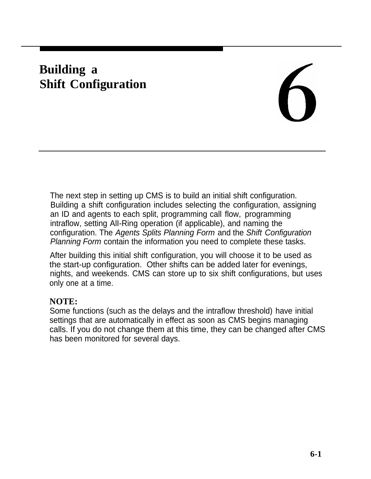# **Building a Shift Configuration**

The next step in setting up CMS is to build an initial shift configuration. Building a shift configuration includes selecting the configuration, assigning an ID and agents to each split, programming call flow, programming intraflow, setting AlI-Ring operation (if applicable), and naming the configuration. The Agents Splits Planning Form and the Shift Configuration Planning Form contain the information you need to complete these tasks.

After building this initial shift configuration, you will choose it to be used as the start-up configuration. Other shifts can be added later for evenings, nights, and weekends. CMS can store up to six shift configurations, but uses only one at a time.

### **NOTE:**

Some functions (such as the delays and the intraflow threshold) have initial settings that are automatically in effect as soon as CMS begins managing calls. If you do not change them at this time, they can be changed after CMS has been monitored for several days.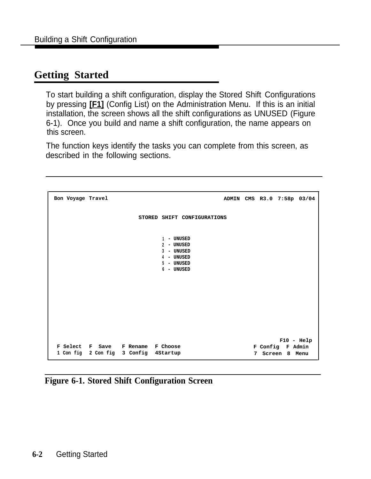# **Getting Started**

To start building a shift configuration, display the Stored Shift Configurations by pressing **[F1]** (Config List) on the Administration Menu. If this is an initial installation, the screen shows all the shift configurations as UNUSED (Figure this screen. 6-1). Once you build and name a shift configuration, the name appears on

The function keys identify the tasks you can complete from this screen, as described in the following sections.

```
1 - UNUSED
                         2 - UNUSED
                        3 - UNUSED
                        4 - UNUSED
                        5 - UNUSED
                         6 - UNUSED
Bon Voyage Travel ADMIN CMS R3.0 7:58p 03/04
                   STORED SHIFT CONFIGURATIONS
                                                    F10 - Help
F Select F Save F Rename F Choose F Config F Admin
1 Con fig 2 Con fig 3 Config 4Startup 7 Screen 8 Menu
```
**Figure 6-1. Stored Shift Configuration Screen**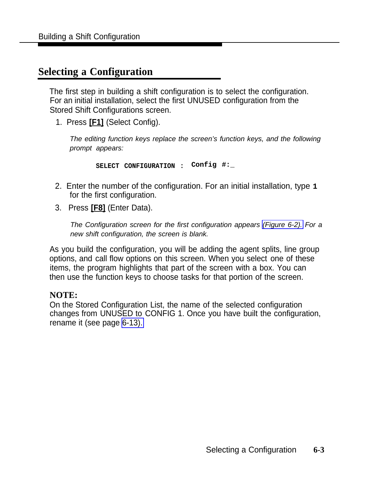# **Selecting a Configuration**

The first step in building a shift configuration is to select the configuration. For an initial installation, select the first UNUSED configuration from the Stored Shift Configurations screen.

1. Press **[F1]** (Select Config).

The editing function keys replace the screen's function keys, and the following prompt appears:

**SELECT CONFIGURATION : Config #:\_**

- 2. Enter the number of the configuration. For an initial installation, type **1** for the first configuration.
- 3. Press **[F8]** (Enter Data).

The Configuration screen for the first configuration appears [\(Figure 6-2\).](#page-100-1) For a new shift configuration, the screen is blank.

As you build the configuration, you will be adding the agent splits, line group options, and call flow options on this screen. When you select one of these items, the program highlights that part of the screen with a box. You can then use the function keys to choose tasks for that portion of the screen.

### **NOTE:**

On the Stored Configuration List, the name of the selected configuration changes from UNUSED to CONFIG 1. Once you have built the configuration, rename it (see page [6-13\).](#page-109-0)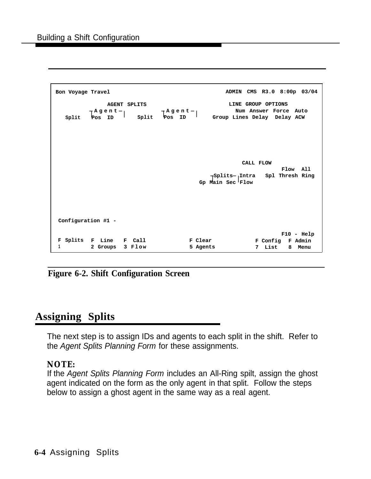<span id="page-100-1"></span><span id="page-100-0"></span>

| Bon Voyage Travel                                                    | ADMIN CMS R3.0 8:00p 03/04                                                                                                                         |
|----------------------------------------------------------------------|----------------------------------------------------------------------------------------------------------------------------------------------------|
| <b>AGENT SPLITS</b>                                                  | LINE GROUP OPTIONS<br>Num Answer Force Auto<br>Fagent   Fagent   Fagent   Split Pos ID   Split Pos ID   Split Pos ID   Group Lines Delay Delay ACW |
|                                                                      | CALL FLOW<br>Flow All<br>$\bigcap$ Splits $\neg$ Intra Spl Thresh Ring<br>Gp Main Sec Flow                                                         |
| Configuration #1 -<br>F Splits F Line F Call<br>2 Groups 3 Flow<br>1 | $F10 - He1p$<br>F Clear<br>F Config F Admin<br>7 List<br>5 Agents<br>8 Menu                                                                        |

**Figure 6-2. Shift Configuration Screen**

# **Assigning Splits**

The next step is to assign IDs and agents to each split in the shift. Refer to the Agent Splits Planning Form for these assignments.

### **NOTE:**

If the Agent Splits Planning Form includes an All-Ring spilt, assign the ghost agent indicated on the form as the only agent in that split. Follow the steps below to assign a ghost agent in the same way as a real agent.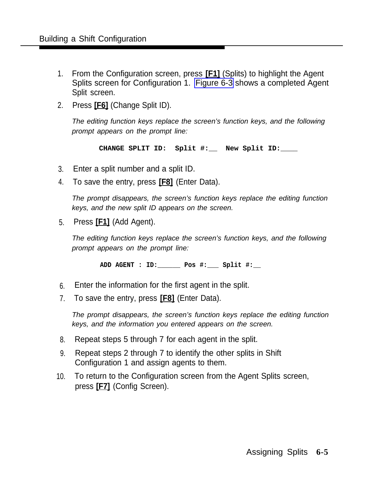- 1. From the Configuration screen, press **[F1]** (Splits) to highlight the Agent Splits screen for Configuration 1. [Figure 6-3](#page-102-0) shows a completed Agent Split screen.
- 2. Press **[F6]** (Change Split ID).

The editing function keys replace the screen's function keys, and the following prompt appears on the prompt line:

**CHANGE SPLIT ID: Split #:\_\_ New Split ID:\_\_\_\_**

- 3. Enter a split number and a split ID.
- 4. To save the entry, press **[F8]** (Enter Data).

The prompt disappears, the screen's function keys replace the editing function keys, and the new split ID appears on the screen.

5. Press **[F1]** (Add Agent).

The editing function keys replace the screen's function keys, and the following prompt appears on the prompt line:

**ADD AGENT : ID:\_\_\_\_\_\_ Pos #:\_\_\_ Split #:\_\_**

- 6. Enter the information for the first agent in the split.
- 7. To save the entry, press **[F8]** (Enter Data).

The prompt disappears, the screen's function keys replace the editing function keys, and the information you entered appears on the screen.

- 8. Repeat steps 5 through 7 for each agent in the split.
- 9. Repeat steps 2 through 7 to identify the other splits in Shift Configuration 1 and assign agents to them.
- 10. To return to the Configuration screen from the Agent Splits screen, press **[F7]** (Config Screen).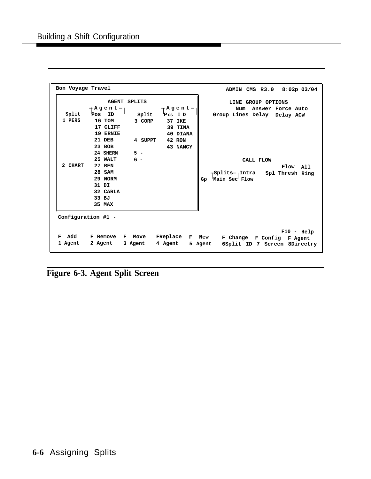<span id="page-102-0"></span>

| Bon Voyage Travel |                            |                     |               | ADMIN CMS R3.0 8:02p 03/04                     |
|-------------------|----------------------------|---------------------|---------------|------------------------------------------------|
|                   |                            | <b>AGENT SPLITS</b> |               | LINE GROUP OPTIONS<br>Answer Force Auto<br>Num |
| Split             | ┌ A g e n t ┐<br>Pos<br>ID |                     | — A g e n t - |                                                |
| 1 PERS            |                            | Split               | Pos ID        | Group Lines Delay Delay ACW                    |
|                   | 16 TOM                     | 3 CORP              | 37 IKE        |                                                |
|                   | 17 CLIFF                   |                     | 39 TINA       |                                                |
|                   | 19 ERNIE                   |                     | 40 DIANA      |                                                |
|                   | 21 DEB                     | 4 SUPPT             | 42 RON        |                                                |
|                   | 23 BOB                     |                     | 43 NANCY      |                                                |
|                   | 24 SHERM                   | $5 -$               |               |                                                |
|                   | 25 WALT                    | $6 -$               |               | CALL FLOW                                      |
| 2 CHART           | <b>27 BEN</b>              |                     |               | Flow All                                       |
|                   | 28 SAM                     |                     |               | ⊢Splits¬ Intra<br>Spl Thresh Ring              |
|                   | 29 NORM                    |                     |               | Main Sec Flow<br>Gp                            |
|                   | 31 DI                      |                     |               |                                                |
|                   | 32 CARLA                   |                     |               |                                                |
|                   | 33 BJ                      |                     |               |                                                |
|                   | 35 MAX                     |                     |               |                                                |
|                   |                            |                     |               |                                                |
|                   |                            |                     |               |                                                |
|                   | Configuration #1 -         |                     |               |                                                |
|                   |                            |                     |               |                                                |
|                   |                            |                     |               | $F10 - He1p$                                   |
| Add<br>F          | <b>F</b> Remove            | F Move              | FReplace      | F New<br>F Change F Config F Agent             |
| 1 Agent           | 2 Agent                    | 3 Agent             | 4 Agent       | 5 Agent<br>6Split ID 7 Screen 8Directry        |

**Figure 6-3. Agent Split Screen**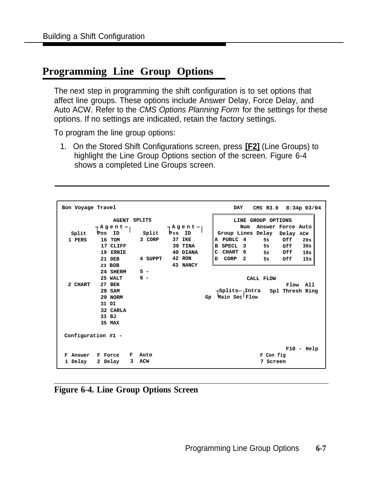# **Programming Line Group Options**

The next step in programming the shift configuration is to set options that affect line groups. These options include Answer Delay, Force Delay, and Auto ACW. Refer to the CMS Options Planning Form for the settings for these options. If no settings are indicated, retain the factory settings.

To program the line group options:

1. On the Stored Shift Configurations screen, press **[F2]** (Line Groups) to highlight the Line Group Options section of the screen. Figure 6-4 shows a completed Line Groups screen.

| Bon Voyage Travel |                    |   |                                | DAY<br>CMS R3.0 8:34p 03/04 |          |    |                                                |  |  |  |
|-------------------|--------------------|---|--------------------------------|-----------------------------|----------|----|------------------------------------------------|--|--|--|
|                   | — A g e n t ¬      |   | <b>AGENT SPLITS</b><br>⊢Agent⊣ |                             |          |    | LINE GROUP OPTIONS<br>Answer Force Auto<br>Num |  |  |  |
| Split             | Pos<br>ID          |   | Split                          | Pos                         | ID       |    | Group Lines Delay<br>Delay ACW                 |  |  |  |
| 1 PERS            | 16 TOM             |   | 3 CORP                         |                             | 37 IKE   |    | A PUBLC 4<br>Off<br>5s<br>20s                  |  |  |  |
|                   | 17 CLIFF           |   |                                |                             | 39 TINA  |    | 30s<br>B SPECL 3<br>Off                        |  |  |  |
|                   | 19 ERNIE           |   |                                |                             | 40 DIANA |    | C CHART 6<br>5s Off<br>10s                     |  |  |  |
|                   | 21 DEB             |   | 4 SUPPT                        |                             | 42 RON   |    | D CORP 2<br>15s<br>0ff<br>5s                   |  |  |  |
|                   | 23 BOB             |   |                                |                             | 43 NANCY |    |                                                |  |  |  |
|                   | 24 SHERM           |   | $5 -$                          |                             |          |    |                                                |  |  |  |
|                   | 25 WALT            |   | $6 -$                          |                             |          |    | CALL FLOW                                      |  |  |  |
| 2 CHART           | <b>27 BEN</b>      |   |                                |                             |          |    | Flow All                                       |  |  |  |
|                   | <b>28 SAM</b>      |   |                                |                             |          |    | ⊢Splits¬ Intra<br>Spl Thresh Ring              |  |  |  |
|                   | 29 NORM            |   |                                |                             |          | Gp | Main Sec Flow                                  |  |  |  |
|                   | 31 DI              |   |                                |                             |          |    |                                                |  |  |  |
|                   | 32 CARLA           |   |                                |                             |          |    |                                                |  |  |  |
|                   | 33 BJ              |   |                                |                             |          |    |                                                |  |  |  |
|                   | 35 MAX             |   |                                |                             |          |    |                                                |  |  |  |
|                   | Configuration #1 - |   |                                |                             |          |    |                                                |  |  |  |
|                   |                    |   |                                |                             |          |    | $F10 - He1p$                                   |  |  |  |
| Answer<br>F       | F Force            | F | Auto                           |                             |          |    | F Con fig                                      |  |  |  |
| 1 Delay           | 2 Delay            | 3 | <b>ACW</b>                     |                             |          |    | 7 Screen                                       |  |  |  |

**Figure 6-4. Line Group Options Screen**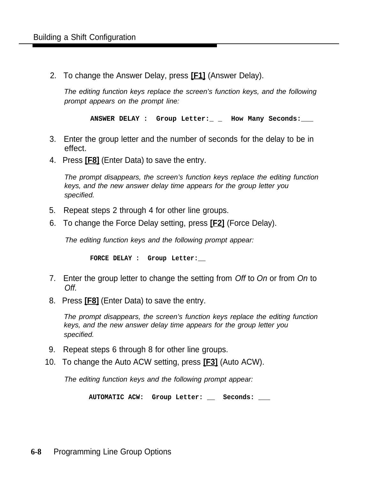2. To change the Answer Delay, press **[F1]** (Answer Delay).

The editing function keys replace the screen's function keys, and the following prompt appears on the prompt line:

**ANSWER DELAY : Group Letter:\_ \_ How Many Seconds:\_\_\_**

- 3. Enter the group letter and the number of seconds for the delay to be in effect.
- 4. Press **[F8]** (Enter Data) to save the entry.

The prompt disappears, the screen's function keys replace the editing function keys, and the new answer delay time appears for the group letter you specified.

- 5. Repeat steps 2 through 4 for other line groups.
- 6. To change the Force Delay setting, press **[F2]** (Force Delay).

The editing function keys and the following prompt appear:

**FORCE DELAY : Group Letter:\_\_**

- 7. Enter the group letter to change the setting from Off to On or from On to Off.
- 8. Press **[F8]** (Enter Data) to save the entry.

The prompt disappears, the screen's function keys replace the editing function keys, and the new answer delay time appears for the group letter you specified.

- 9. Repeat steps 6 through 8 for other line groups.
- 10. To change the Auto ACW setting, press **[F3]** (Auto ACW).

The editing function keys and the following prompt appear:

**AUTOMATIC ACW: Group Letter: \_\_ Seconds: \_\_\_**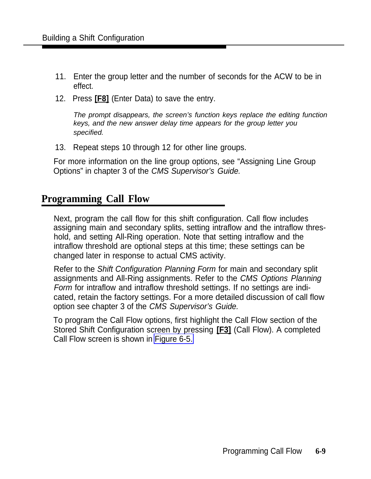- 11. Enter the group letter and the number of seconds for the ACW to be in effect.
- 12. Press **[F8]** (Enter Data) to save the entry.

The prompt disappears, the screen's function keys replace the editing function keys, and the new answer delay time appears for the group letter you specified.

13. Repeat steps 10 through 12 for other line groups.

For more information on the line group options, see "Assigning Line Group Options" in chapter 3 of the CMS Supervisor's Guide.

### **Programming Call Flow**

Next, program the call flow for this shift configuration. Call flow includes assigning main and secondary splits, setting intraflow and the intraflow threshold, and setting All-Ring operation. Note that setting intraflow and the intraflow threshold are optional steps at this time; these settings can be changed later in response to actual CMS activity.

Refer to the Shift Configuration Planning Form for main and secondary split assignments and All-Ring assignments. Refer to the CMS Options Planning Form for intraflow and intraflow threshold settings. If no settings are indicated, retain the factory settings. For a more detailed discussion of call flow option see chapter 3 of the CMS Supervisor's Guide.

To program the Call Flow options, first highlight the Call Flow section of the Stored Shift Configuration screen by pressing **[F3]** (Call Flow). A completed Call Flow screen is shown in [Figure 6-5.](#page-106-0)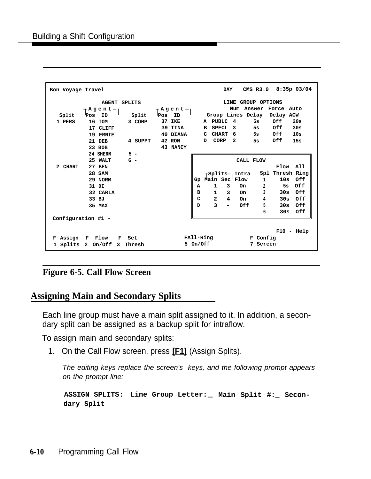<span id="page-106-0"></span>

| <b>DAY</b><br>CMS R3.0 8:35p 03/04<br>Bon Voyage Travel |                            |                     |        |                                                         |           |   |                |                         |                             |  |                        |                             |              |
|---------------------------------------------------------|----------------------------|---------------------|--------|---------------------------------------------------------|-----------|---|----------------|-------------------------|-----------------------------|--|------------------------|-----------------------------|--------------|
|                                                         |                            | <b>AGENT SPLITS</b> |        |                                                         |           |   |                |                         |                             |  | LINE GROUP OPTIONS     |                             |              |
|                                                         | $\Gamma$ Agent $\eta$      |                     |        | $\overline{\phantom{a}}$ Agent $\overline{\phantom{a}}$ |           |   |                |                         |                             |  |                        | Num Answer Force Auto       |              |
| Split                                                   | Pos<br>ID                  | Split               | Pos ID |                                                         |           |   |                |                         |                             |  |                        | Group Lines Delay Delay ACW |              |
| 1 PERS                                                  | 16 TOM                     | 3 CORP              |        | 37 IKE                                                  |           |   |                | A PUBLC 4               |                             |  | 5s                     | Off                         | 20s          |
|                                                         | 17 CLIFF                   |                     |        | 39 TINA                                                 |           |   |                |                         |                             |  |                        | B SPECL 3 5s Off 30s        |              |
|                                                         | 19 ERNIE                   |                     |        | 40 DIANA                                                |           |   |                | C CHART 6               |                             |  |                        | 5s Off                      | 10s          |
|                                                         | 21 DEB                     | 4 SUPPT             |        | 42 RON                                                  |           | D | CORP           |                         | $\mathbf{2}$                |  |                        | Off                         | 15s          |
|                                                         | 23 BOB                     |                     |        | 43 NANCY                                                |           |   |                |                         |                             |  |                        |                             |              |
|                                                         | 24 SHERM                   | $5 -$               |        |                                                         |           |   |                |                         |                             |  |                        |                             |              |
|                                                         | 25 WALT                    | $6 -$               |        |                                                         |           |   |                |                         |                             |  |                        |                             |              |
|                                                         |                            |                     |        |                                                         |           |   |                |                         |                             |  | CALL FLOW              |                             |              |
| 2 CHART                                                 | 27 BEN                     |                     |        |                                                         |           |   |                |                         |                             |  |                        | Flow All                    |              |
|                                                         | 28 SAM                     |                     |        |                                                         |           |   |                |                         | <sub>I</sub> —Splits— Intra |  |                        | Spl Thresh Ring             |              |
|                                                         | 29 NORM                    |                     |        |                                                         | Gp        |   |                |                         | Main Sec Flow               |  | $1 \quad \blacksquare$ |                             | 10s Off      |
|                                                         | 31 DI                      |                     |        |                                                         | A         |   | $\mathbf{1}$   |                         | $3$ On                      |  | $\overline{a}$         |                             | 5s Off       |
|                                                         | 32 CARLA                   |                     |        |                                                         | в         |   |                | $1 \quad \blacksquare$  | $3$ On                      |  | 3                      |                             | 30s Off      |
|                                                         | 33 BJ                      |                     |        |                                                         | C         |   |                | $\overline{\mathbf{2}}$ | $4$ On                      |  | 4                      |                             | 30s Off      |
|                                                         | 35 MAX                     |                     |        |                                                         | D         |   | $\overline{3}$ |                         | Off                         |  | 5                      |                             | 30s Off      |
|                                                         |                            |                     |        |                                                         |           |   |                |                         |                             |  | 6                      |                             | 30s Off      |
| Configuration #1 -                                      |                            |                     |        |                                                         |           |   |                |                         |                             |  |                        |                             |              |
|                                                         |                            |                     |        |                                                         |           |   |                |                         |                             |  |                        |                             | $F10 - Help$ |
|                                                         |                            |                     |        |                                                         |           |   |                |                         |                             |  |                        |                             |              |
|                                                         | F Assign F Flow            | F Set               |        |                                                         | FAll-Ring |   |                |                         |                             |  | F Config               |                             |              |
|                                                         | 1 Splits 2 On/Off 3 Thresh |                     |        |                                                         | 5 On/Off  |   |                |                         |                             |  | 7 Screen               |                             |              |

### **Figure 6-5. Call Flow Screen**

### **Assigning Main and Secondary Splits**

Each line group must have a main split assigned to it. In addition, a secondary split can be assigned as a backup split for intraflow.

To assign main and secondary splits:

1. On the Call Flow screen, press **[F1]** (Assign Splits).

The editing keys replace the screen's keys, and the following prompt appears on the prompt line:

**ASSIGN SPLITS: Line Group Letter: — Main Split #:\_ Secondary Split**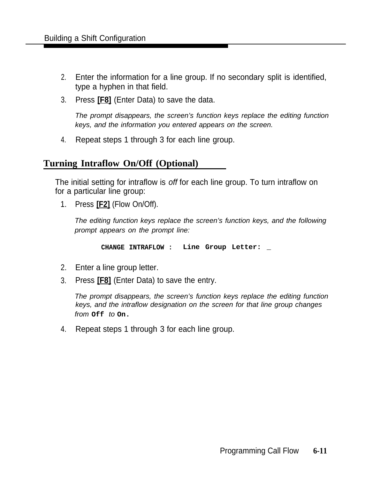- 2. Enter the information for a line group. If no secondary split is identified, type a hyphen in that field.
- 3. Press **[F8]** (Enter Data) to save the data.

The prompt disappears, the screen's function keys replace the editing function keys, and the information you entered appears on the screen.

4. Repeat steps 1 through 3 for each line group.

### **Turning Intraflow On/Off (Optional)**

The initial setting for intraflow is off for each line group. To turn intraflow on for a particular line group:

1. Press **[F2]** (Flow On/Off).

The editing function keys replace the screen's function keys, and the following prompt appears on the prompt line:

**CHANGE INTRAFLOW : Line Group Letter: \_**

- 2. Enter a line group letter.
- 3. Press **[F8]** (Enter Data) to save the entry.

The prompt disappears, the screen's function keys replace the editing function keys, and the intraflow designation on the screen for that line group changes from **Off** to **On.**

4. Repeat steps 1 through 3 for each line group.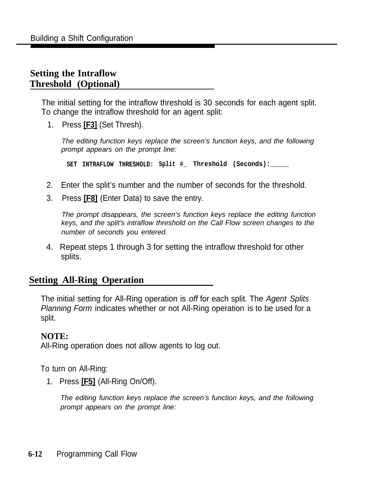# **Setting the Intraflow Threshold (Optional)**

The initial setting for the intraflow threshold is 30 seconds for each agent split. To change the intraflow threshold for an agent split:

1. Press **[F3]** (Set Thresh).

The editing function keys replace the screen's function keys, and the following prompt appears on the prompt line:

**SET INTRAFLOW THRESHOLD: Split #\_ Threshold (Seconds):\_\_\_\_\_**

- 2. Enter the split's number and the number of seconds for the threshold.
- 3. Press **[F8]** (Enter Data) to save the entry.

The prompt disappears, the screen's function keys replace the editing function keys, and the split's intraflow threshold on the Call Flow screen changes to the number of seconds you entered.

4. Repeat steps 1 through 3 for setting the intraflow threshold for other splits.

### **Setting All-Ring Operation**

The initial setting for All-Ring operation is off for each split. The Agent Splits Planning Form indicates whether or not All-Ring operation is to be used for a split.

### **NOTE:**

All-Ring operation does not allow agents to log out.

To turn on All-Ring:

1. Press **[F5]** (All-Ring On/Off).

The editing function keys replace the screen's function keys, and the following prompt appears on the prompt line: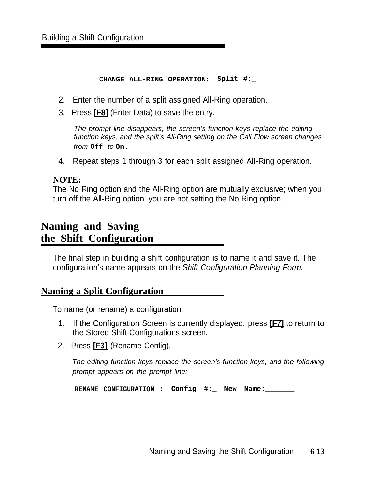#### **CHANGE ALL-RING OPERATION: Split #:\_**

- 2. Enter the number of a split assigned All-Ring operation.
- 3. Press **[F8]** (Enter Data) to save the entry.

The prompt line disappears, the screen's function keys replace the editing function keys, and the split's All-Ring setting on the Call Flow screen changes from **Off** to **On.**

4. Repeat steps 1 through 3 for each split assigned AlI-Ring operation.

### **NOTE:**

The No Ring option and the All-Ring option are mutually exclusive; when you turn off the All-Ring option, you are not setting the No Ring option.

# **Naming and Saving the Shift Configuration**

The final step in building a shift configuration is to name it and save it. The configuration's name appears on the Shift Configuration Planning Form.

### **Naming a Split Configuration**

To name (or rename) a configuration:

- 1. If the Configuration Screen is currently displayed, press **[F7]** to return to the Stored Shift Configurations screen.
- 2. Press **[F3]** (Rename Config).

The editing function keys replace the screen's function keys, and the following prompt appears on the prompt line:

**RENAME CONFIGURATION : Config #:\_ New Name:\_\_\_\_\_\_\_**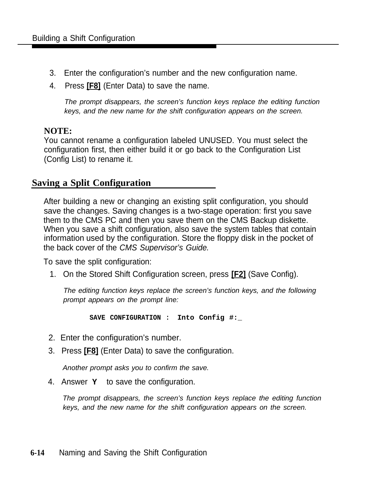- 3. Enter the configuration's number and the new configuration name.
- 4. Press **[F8]** (Enter Data) to save the name.

The prompt disappears, the screen's function keys replace the editing function keys, and the new name for the shift configuration appears on the screen.

### **NOTE:**

You cannot rename a configuration labeled UNUSED. You must select the configuration first, then either build it or go back to the Configuration List (Config List) to rename it.

### **Saving a Split Configuration**

After building a new or changing an existing split configuration, you should save the changes. Saving changes is a two-stage operation: first you save them to the CMS PC and then you save them on the CMS Backup diskette. When you save a shift configuration, also save the system tables that contain information used by the configuration. Store the floppy disk in the pocket of the back cover of the CMS Supervisor's Guide.

To save the split configuration:

1. On the Stored Shift Configuration screen, press **[F2]** (Save Config).

The editing function keys replace the screen's function keys, and the following prompt appears on the prompt line:

**SAVE CONFIGURATION : Into Config #:\_**

- 2. Enter the configuration's number.
- 3. Press **[F8]** (Enter Data) to save the configuration.

Another prompt asks you to confirm the save.

4. Answer **Y** to save the configuration.

The prompt disappears, the screen's function keys replace the editing function keys, and the new name for the shift configuration appears on the screen.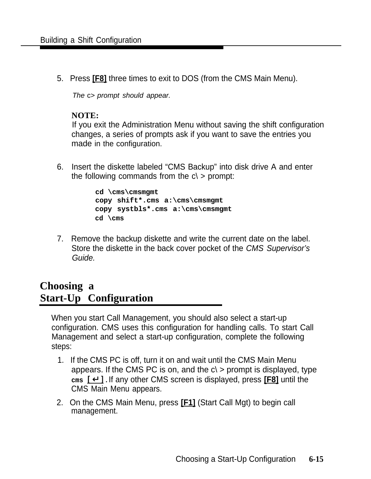5. Press **[F8]** three times to exit to DOS (from the CMS Main Menu).

The c> prompt should appear.

### **NOTE:**

If you exit the Administration Menu without saving the shift configuration changes, a series of prompts ask if you want to save the entries you made in the configuration.

6. Insert the diskette labeled "CMS Backup" into disk drive A and enter the following commands from the  $c \geq$  prompt:

```
cd \cms\cmsmgmt
copy shift*.cms a:\cms\cmsmgmt
copy systbls*.cms a:\cms\cmsmgmt
cd \cms
```
7. Remove the backup diskette and write the current date on the label. Store the diskette in the back cover pocket of the CMS Supervisor's Guide.

# **Choosing a Start-Up Configuration**

When you start Call Management, you should also select a start-up configuration. CMS uses this configuration for handling calls. To start Call Management and select a start-up configuration, complete the following steps:

- 1. If the CMS PC is off, turn it on and wait until the CMS Main Menu appears. If the CMS PC is on, and the  $c$   $>$  prompt is displayed, type **cms** [ ↵ ] . If any other CMS screen is displayed, press **[F8]** until the CMS Main Menu appears.
- 2. On the CMS Main Menu, press **[F1]** (Start Call Mgt) to begin call management.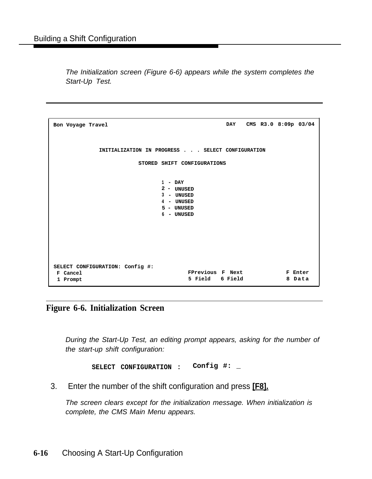The Initialization screen (Figure 6-6) appears while the system completes the Start-Up Test.

```
Bon Voyage Travel DAY CMS R3.0 8:09p 03/04
         INITIALIZATION IN PROGRESS . . . SELECT CONFIGURATION
                  STORED SHIFT CONFIGURATIONS
                       1 - DAY
                       2 - UNUSED
                       3 - UNUSED
                       4 - UNUSED
                       5 - UNUSED
                       6 - UNUSED
SELECT CONFIGURATION: Config #:
F Cancel FPrevious F Next F Enter
1 Prompt 5 Field 6 Field 8 Data
```
**Figure 6-6. Initialization Screen**

During the Start-Up Test, an editing prompt appears, asking for the number of the start-up shift configuration:

**SELECT CONFIGURATION : Config #: \_**

3. Enter the number of the shift configuration and press **[F8].**

The screen clears except for the initialization message. When initialization is complete, the CMS Main Menu appears.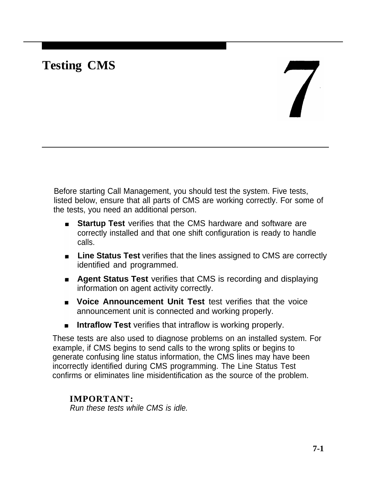# **Testing CMS**

# $\overline{\mathbf{X}}$

Before starting Call Management, you should test the system. Five tests, listed below, ensure that all parts of CMS are working correctly. For some of the tests, you need an additional person.

- **Startup Test** verifies that the CMS hardware and software are correctly installed and that one shift configuration is ready to handle calls.
- **E** Line Status Test verifies that the lines assigned to CMS are correctly identified and programmed.
- **Agent Status Test** verifies that CMS is recording and displaying information on agent activity correctly.
- **F** Voice Announcement Unit Test test verifies that the voice announcement unit is connected and working properly.
- **Intraflow Test** verifies that intraflow is working properly.

These tests are also used to diagnose problems on an installed system. For example, if CMS begins to send calls to the wrong splits or begins to generate confusing line status information, the CMS lines may have been incorrectly identified during CMS programming. The Line Status Test confirms or eliminates line misidentification as the source of the problem.

### **IMPORTANT:**

Run these tests while CMS is idle.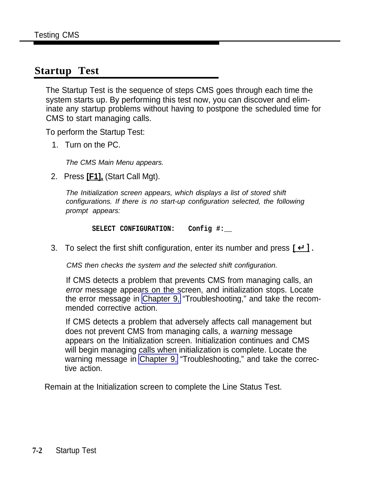# **Startup Test**

The Startup Test is the sequence of steps CMS goes through each time the system starts up. By performing this test now, you can discover and eliminate any startup problems without having to postpone the scheduled time for CMS to start managing calls.

To perform the Startup Test:

1. Turn on the PC.

The CMS Main Menu appears.

2. Press **[F1],** (Start Call Mgt).

The Initialization screen appears, which displays a list of stored shift configurations. If there is no start-up configuration selected, the following prompt appears:

**SELECT CONFIGURATION: Config #:\_\_**

3. To select the first shift configuration, enter its number and press **[** ↵ ] .

CMS then checks the system and the selected shift configuration.

If CMS detects a problem that prevents CMS from managing calls, an error message appears on the screen, and initialization stops. Locate the error message in [Chapter 9,](#page-126-0) "Troubleshooting," and take the recommended corrective action.

If CMS detects a problem that adversely affects call management but does not prevent CMS from managing calls, a warning message appears on the Initialization screen. Initialization continues and CMS will begin managing calls when initialization is complete. Locate the warning message in [Chapter 9,](#page-126-0) "Troubleshooting," and take the corrective action.

Remain at the Initialization screen to complete the Line Status Test.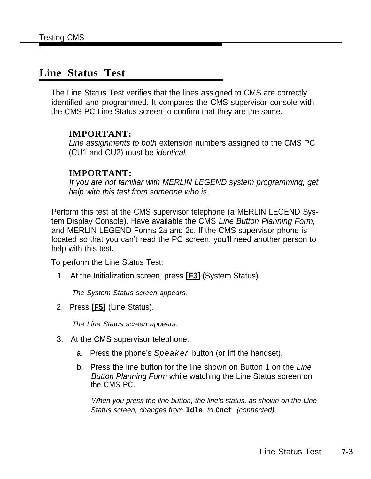# <span id="page-115-1"></span><span id="page-115-0"></span>**Line Status Test**

The Line Status Test verifies that the lines assigned to CMS are correctly identified and programmed. It compares the CMS supervisor console with the CMS PC Line Status screen to confirm that they are the same.

### **IMPORTANT:**

Line assignments to both extension numbers assigned to the CMS PC (CU1 and CU2) must be identical.

### **IMPORTANT:**

If you are not familiar with MERLIN LEGEND system programming, get help with this test from someone who is.

Perform this test at the CMS supervisor telephone (a MERLIN LEGEND System Display Console). Have available the CMS Line Button Planning Form, and MERLIN LEGEND Forms 2a and 2c. If the CMS supervisor phone is located so that you can't read the PC screen, you'll need another person to help with this test.

To perform the Line Status Test:

1. At the Initialization screen, press **[F3]** (System Status).

The System Status screen appears.

2. Press **[F5]** (Line Status).

The Line Status screen appears.

- 3. At the CMS supervisor telephone:
	- a. Press the phone's *Speaker* button (or lift the handset).
	- b. Press the line button for the line shown on Button 1 on the Line Button Planning Form while watching the Line Status screen on the CMS PC.

When you press the line button, the line's status, as shown on the Line Status screen, changes from **Idle** to **Cnct** (connected).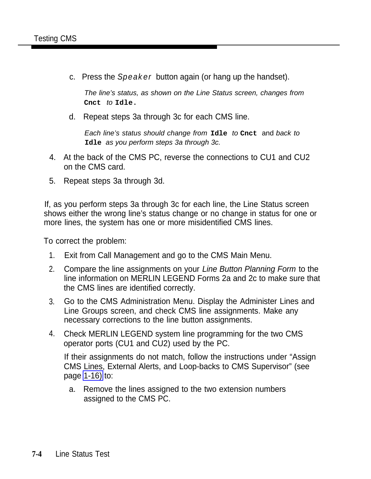c. Press the *Speaker* button again (or hang up the handset).

The line's status, as shown on the Line Status screen, changes from **Cnct** to **Idle.**

d. Repeat steps 3a through 3c for each CMS line.

Each line's status should change from **Idle** to **Cnct** and back to **Idle** as you perform steps 3a through 3c.

- 4. At the back of the CMS PC, reverse the connections to CU1 and CU2 on the CMS card.
- 5. Repeat steps 3a through 3d.

If, as you perform steps 3a through 3c for each line, the Line Status screen shows either the wrong line's status change or no change in status for one or more lines, the system has one or more misidentified CMS lines.

To correct the problem:

- 1. Exit from Call Management and go to the CMS Main Menu.
- 2. Compare the line assignments on your Line Button Planning Form to the line information on MERLIN LEGEND Forms 2a and 2c to make sure that the CMS lines are identified correctly.
- 3. Go to the CMS Administration Menu. Display the Administer Lines and Line Groups screen, and check CMS line assignments. Make any necessary corrections to the line button assignments.
- 4. Check MERLIN LEGEND system line programming for the two CMS operator ports (CU1 and CU2) used by the PC.

If their assignments do not match, follow the instructions under "Assign CMS Lines, External Alerts, and Loop-backs to CMS Supervisor" (see page [1-16\)](#page-31-0) to:

a. Remove the lines assigned to the two extension numbers assigned to the CMS PC.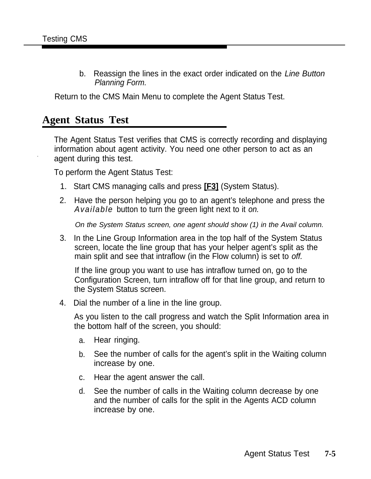b. Reassign the lines in the exact order indicated on the Line Button Planning Form.

Return to the CMS Main Menu to complete the Agent Status Test.

# **Agent Status Test**

The Agent Status Test verifies that CMS is correctly recording and displaying information about agent activity. You need one other person to act as an . agent during this test.

To perform the Agent Status Test:

- 1. Start CMS managing calls and press **[F3]** (System Status).
- 2. Have the person helping you go to an agent's telephone and press the *Available* button to turn the green light next to it on.

On the System Status screen, one agent should show (1) in the Avail column.

3. In the Line Group Information area in the top half of the System Status screen, locate the line group that has your helper agent's split as the main split and see that intraflow (in the Flow column) is set to off.

If the line group you want to use has intraflow turned on, go to the Configuration Screen, turn intraflow off for that line group, and return to the System Status screen.

4. Dial the number of a line in the line group.

As you listen to the call progress and watch the Split Information area in the bottom half of the screen, you should:

- a. Hear ringing.
- b. See the number of calls for the agent's split in the Waiting column increase by one.
- c. Hear the agent answer the call.
- d. See the number of calls in the Waiting column decrease by one and the number of calls for the split in the Agents ACD column increase by one.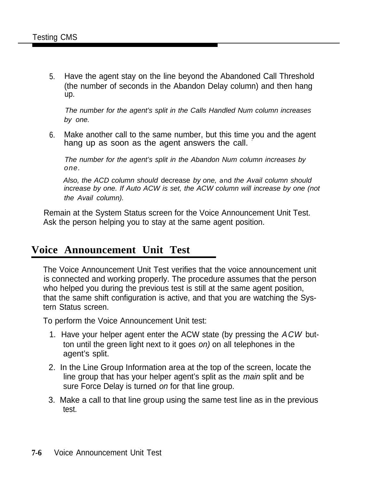5. Have the agent stay on the line beyond the Abandoned Call Threshold (the number of seconds in the Abandon Delay column) and then hang up.

The number for the agent's split in the Calls Handled Num column increases by one.

6. Make another call to the same number, but this time you and the agent hang up as soon as the agent answers the call.

The number for the agent's split in the Abandon Num column increases by one.

Also, the ACD column should decrease by one, *and* the Avail column should increase by one. If Auto ACW is set, the ACW column will increase by one (not the Avail column).

Remain at the System Status screen for the Voice Announcement Unit Test. Ask the person helping you to stay at the same agent position.

# **Voice Announcement Unit Test**

The Voice Announcement Unit Test verifies that the voice announcement unit is connected and working properly. The procedure assumes that the person who helped you during the previous test is still at the same agent position, that the same shift configuration is active, and that you are watching the Systern Status screen.

To perform the Voice Announcement Unit test:

- 1. Have your helper agent enter the ACW state (by pressing the *ACW* button until the green light next to it goes on) on all telephones in the agent's split.
- 2. In the Line Group Information area at the top of the screen, locate the line group that has your helper agent's split as the main split and be sure Force Delay is turned on for that line group.
- 3. Make a call to that line group using the same test line as in the previous test.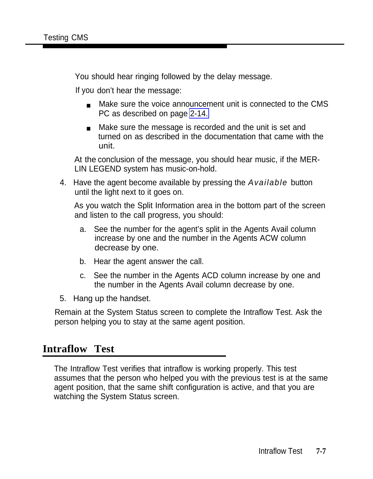You should hear ringing followed by the delay message.

If you don't hear the message:

- Make sure the voice announcement unit is connected to the CMS PC as described on page [2-14.](#page-70-0)
- Make sure the message is recorded and the unit is set and turned on as described in the documentation that came with the unit.

At the conclusion of the message, you should hear music, if the MER-LIN LEGEND system has music-on-hold.

4. Have the agent become available by pressing the *Available* button until the light next to it goes on.

As you watch the Split Information area in the bottom part of the screen and listen to the call progress, you should:

- a. See the number for the agent's split in the Agents Avail column increase by one and the number in the Agents ACW column decrease by one.
- b. Hear the agent answer the call.
- c. See the number in the Agents ACD column increase by one and the number in the Agents Avail column decrease by one.
- 5. Hang up the handset.

Remain at the System Status screen to complete the Intraflow Test. Ask the person helping you to stay at the same agent position.

# **Intraflow Test**

The Intraflow Test verifies that intraflow is working properly. This test assumes that the person who helped you with the previous test is at the same agent position, that the same shift configuration is active, and that you are watching the System Status screen.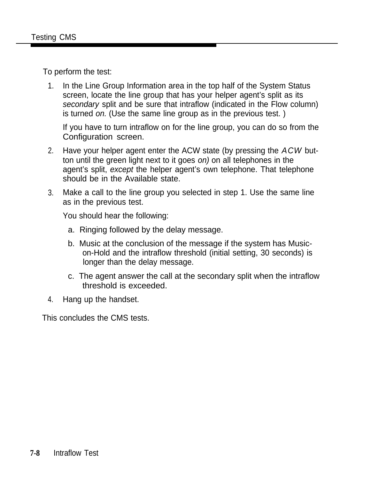To perform the test:

1. In the Line Group Information area in the top half of the System Status screen, locate the line group that has your helper agent's split as its secondary split and be sure that intraflow (indicated in the Flow column) is turned on. (Use the same line group as in the previous test. )

If you have to turn intraflow on for the line group, you can do so from the Configuration screen.

- 2. Have your helper agent enter the ACW state (by pressing the *ACW* button until the green light next to it goes on) on all telephones in the agent's split, except the helper agent's own telephone. That telephone should be in the Available state.
- 3. Make a call to the line group you selected in step 1. Use the same line as in the previous test.

You should hear the following:

- a. Ringing followed by the delay message.
- b. Music at the conclusion of the message if the system has Musicon-Hold and the intraflow threshold (initial setting, 30 seconds) is longer than the delay message.
- c. The agent answer the call at the secondary split when the intraflow threshold is exceeded.
- 4. Hang up the handset.

This concludes the CMS tests.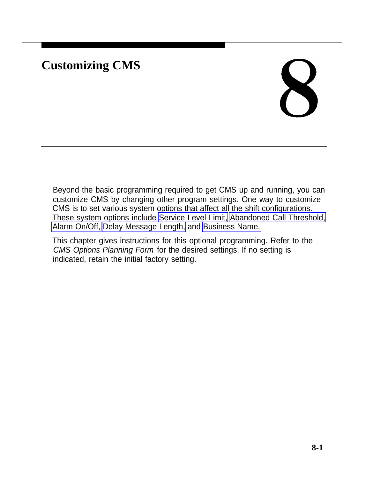# **Customizing CMS**

# X

Beyond the basic programming required to get CMS up and running, you can customize CMS by changing other program settings. One way to customize CMS is to set various system options that affect all the shift configurations. These system options include [Service Level Limit, Abandoned Call Threshold,](#page-123-0) [Alarm On/Off, Delay Message Length,](#page-124-0) and [Business Name.](#page-125-0)

This chapter gives instructions for this optional programming. Refer to the CMS Options Planning Form for the desired settings. If no setting is indicated, retain the initial factory setting.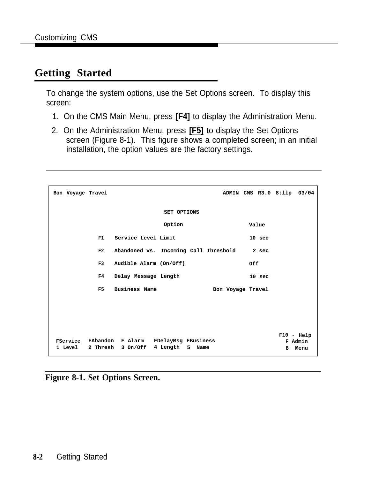# **Getting Started**

To change the system options, use the Set Options screen. To display this screen:

- 1. On the CMS Main Menu, press **[F4]** to display the Administration Menu.
- 2. On the Administration Menu, press **[F5]** to display the Set Options screen (Figure 8-1). This figure shows a completed screen; in an initial installation, the option values are the factory settings.

| Bon Voyage Travel |                  | ADMIN CMS R3.0 8:11p 03/04                                                   |   |                                 |
|-------------------|------------------|------------------------------------------------------------------------------|---|---------------------------------|
|                   |                  | <b>SET OPTIONS</b>                                                           |   |                                 |
|                   |                  | Option<br>Value                                                              |   |                                 |
|                   | F1               | Service Level Limit<br>10 <sub>sec</sub>                                     |   |                                 |
|                   | F2               | Abandoned vs. Incoming Call Threshold<br>2 <sub>sec</sub>                    |   |                                 |
|                   | F3               | Audible Alarm (On/Off)<br>0ff                                                |   |                                 |
|                   | F4               | Delay Message Length<br>10 <sub>sec</sub>                                    |   |                                 |
|                   | F5               | <b>Business Name</b><br>Bon Voyage Travel                                    |   |                                 |
|                   |                  |                                                                              |   |                                 |
|                   |                  |                                                                              |   |                                 |
|                   | 1 Level 2 Thresh | FService FAbandon F Alarm FDelayMsg FBusiness<br>3 On/Off 4 Length 5<br>Name | 8 | $F10 - Help$<br>F Admin<br>Menu |

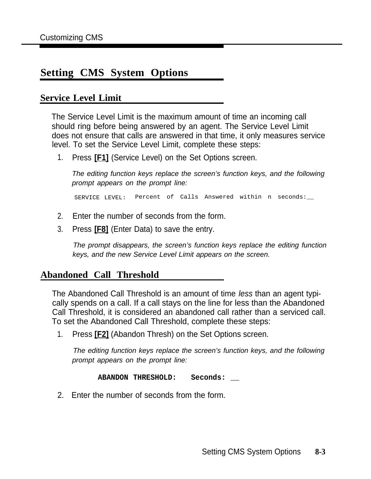# <span id="page-123-0"></span>**Setting CMS System Options**

## **Service Level Limit**

The Service Level Limit is the maximum amount of time an incoming call should ring before being answered by an agent. The Service Level Limit does not ensure that calls are answered in that time, it only measures service level. To set the Service Level Limit, complete these steps:

1. Press **[F1]** (Service Level) on the Set Options screen.

The editing function keys replace the screen's function keys, and the following prompt appears on the prompt line:

SERVICE LEVEL: Percent of Calls Answered within n seconds:\_\_

- 2. Enter the number of seconds from the form.
- 3. Press **[F8]** (Enter Data) to save the entry.

The prompt disappears, the screen's function keys replace the editing function keys, and the new Service Level Limit appears on the screen.

### **Abandoned Call Threshold**

The Abandoned Call Threshold is an amount of time less than an agent typically spends on a call. If a call stays on the line for less than the Abandoned Call Threshold, it is considered an abandoned call rather than a serviced call. To set the Abandoned Call Threshold, complete these steps:

1. Press **[F2]** (Abandon Thresh) on the Set Options screen.

The editing function keys replace the screen's function keys, and the following prompt appears on the prompt line:

**ABANDON THRESHOLD: Seconds: \_\_**

2. Enter the number of seconds from the form.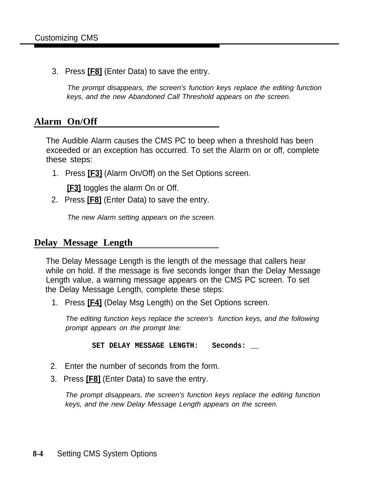<span id="page-124-0"></span>3. Press **[F8]** (Enter Data) to save the entry.

The prompt disappears, the screen's function keys replace the editing function keys, and the new Abandoned Call Threshold appears on the screen.

### **Alarm On/Off**

The Audible Alarm causes the CMS PC to beep when a threshold has been exceeded or an exception has occurred. To set the Alarm on or off, complete these steps:

1. Press **[F3]** (Alarm On/Off) on the Set Options screen.

**[F3]** toggles the alarm On or Off.

2. Press **[F8]** (Enter Data) to save the entry.

The new Alarm setting appears on the screen.

### **Delay Message Length**

The Delay Message Length is the length of the message that callers hear while on hold. If the message is five seconds longer than the Delay Message Length value, a warning message appears on the CMS PC screen. To set the Delay Message Length, complete these steps:

1. Press **[F4]** (Delay Msg Length) on the Set Options screen.

The editing function keys replace the screen's function keys, and the following prompt appears on the prompt line:

SET DELAY MESSAGE LENGTH: Seconds:

- 2. Enter the number of seconds from the form.
- 3. Press **[F8]** (Enter Data) to save the entry.

The prompt disappears, the screen's function keys replace the editing function keys, and the new Delay Message Length appears on the screen.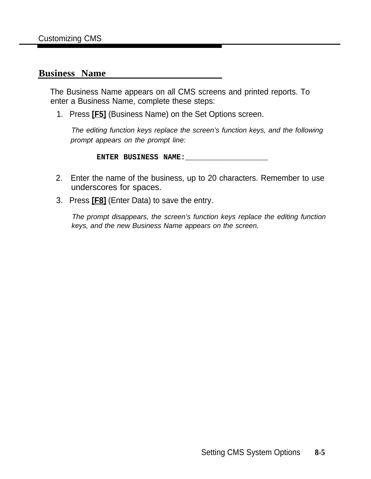### <span id="page-125-0"></span>**Business Name**

The Business Name appears on all CMS screens and printed reports. To enter a Business Name, complete these steps:

1. Press **[F5]** (Business Name) on the Set Options screen.

The editing function keys replace the screen's function keys, and the following prompt appears on the prompt line:

**ENTER BUSINESS NAME:\_\_\_\_\_\_\_\_\_\_\_\_\_\_\_\_\_\_\_**

- 2. Enter the name of the business, up to 20 characters. Remember to use underscores for spaces.
- 3. Press **[F8]** (Enter Data) to save the entry.

The prompt disappears, the screen's function keys replace the editing function keys, and the new Business Name appears on the screen.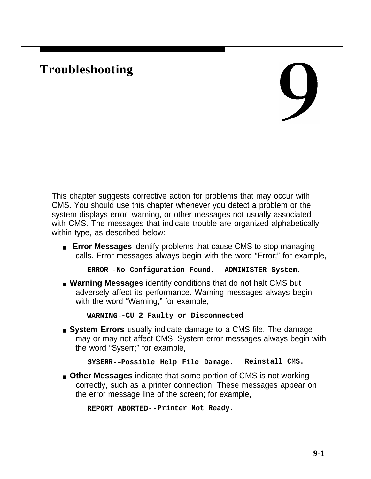# <span id="page-126-0"></span>**Troubleshooting**

# $\bigcup$

This chapter suggests corrective action for problems that may occur with CMS. You should use this chapter whenever you detect a problem or the system displays error, warning, or other messages not usually associated with CMS. The messages that indicate trouble are organized alphabetically within type, as described below:

■ **Error Messages** identify problems that cause CMS to stop managing calls. Error messages always begin with the word "Error;" for example,

**ERROR–-No Configuration Found. ADMINISTER System.**

■ **Warning Messages** identify conditions that do not halt CMS but adversely affect its performance. Warning messages always begin with the word "Warning;" for example,

**WARNING--CU 2 Faulty or Disconnected**

■ **System Errors** usually indicate damage to a CMS file. The damage may or may not affect CMS. System error messages always begin with the word "Syserr;" for example,

**SYSERR-–Possible Help File Damage. Reinstall CMS.**

■ **Other Messages** indicate that some portion of CMS is not working correctly, such as a printer connection. These messages appear on the error message line of the screen; for example,

**REPORT ABORTED--Printer Not Ready.**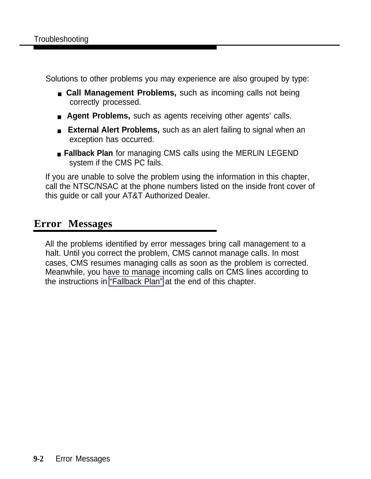Solutions to other problems you may experience are also grouped by type:

- **Call Management Problems**, such as incoming calls not being correctly processed.
- **Agent Problems,** such as agents receiving other agents' calls.
- **External Alert Problems,** such as an alert failing to signal when an exception has occurred.
- **Fallback Plan** for managing CMS calls using the MERLIN LEGEND system if the CMS PC fails.

If you are unable to solve the problem using the information in this chapter, call the NTSC/NSAC at the phone numbers listed on the inside front cover of this guide or call your AT&T Authorized Dealer.

# **Error Messages**

All the problems identified by error messages bring call management to a halt. Until you correct the problem, CMS cannot manage calls. In most cases, CMS resumes managing calls as soon as the problem is corrected. Meanwhile, you have to manage incoming calls on CMS lines according to the instructions in ["Fallback Plan"](#page-152-0) at the end of this chapter.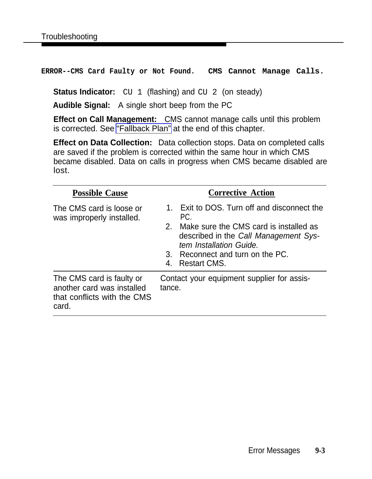**ERROR--CMS Card Faulty or Not Found. CMS Cannot Manage Calls.**

**Status Indicator:** CU 1 (flashing) and CU 2 (on steady)

**Audible Signal:** A single short beep from the PC

**Effect on Call Management:** CMS cannot manage calls until this problem is corrected. See ["Fallback Plan"](#page-152-1) at the end of this chapter.

**Effect on Data Collection:** Data collection stops. Data on completed calls are saved if the problem is corrected within the same hour in which CMS became disabled. Data on calls in progress when CMS became disabled are lost.

| <b>Possible Cause</b>                                                                           | <b>Corrective Action</b>                                                                                                                                                                                                                                       |
|-------------------------------------------------------------------------------------------------|----------------------------------------------------------------------------------------------------------------------------------------------------------------------------------------------------------------------------------------------------------------|
| The CMS card is loose or<br>was improperly installed.                                           | Exit to DOS. Turn off and disconnect the<br>$1_{-}$<br>PC.<br>Make sure the CMS card is installed as<br>2 <sub>1</sub><br>described in the Call Management Sys-<br>tem Installation Guide.<br>Reconnect and turn on the PC.<br>3.<br><b>Restart CMS.</b><br>4. |
| The CMS card is faulty or<br>another card was installed<br>that conflicts with the CMS<br>card. | Contact your equipment supplier for assis-<br>tance.                                                                                                                                                                                                           |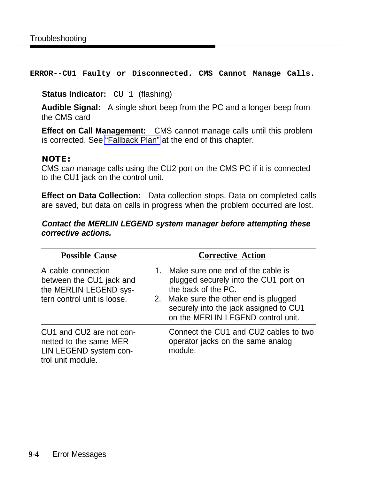**ERROR--CU1 Faulty or Disconnected. CMS Cannot Manage Calls.**

### **Status Indicator:** CU 1 (flashing)

**Audible Signal:** A single short beep from the PC and a longer beep from the CMS card

**Effect on Call Management:** CMS cannot manage calls until this problem is corrected. See ["Fallback Plan"](#page-152-2) at the end of this chapter.

### **NOTE:**

CMS can manage calls using the CU2 port on the CMS PC if it is connected to the CU1 jack on the control unit.

**Effect on Data Collection:** Data collection stops. Data on completed calls are saved, but data on calls in progress when the problem occurred are lost.

### **Contact the MERLIN LEGEND system manager before attempting these corrective actions.**

| <b>Possible Cause</b>                                                                                   | <b>Corrective Action</b>                                                                                                                                                                                                      |
|---------------------------------------------------------------------------------------------------------|-------------------------------------------------------------------------------------------------------------------------------------------------------------------------------------------------------------------------------|
| A cable connection<br>between the CU1 jack and<br>the MERLIN LEGEND sys-<br>tern control unit is loose. | 1. Make sure one end of the cable is<br>plugged securely into the CU1 port on<br>the back of the PC.<br>2. Make sure the other end is plugged<br>securely into the jack assigned to CU1<br>on the MERLIN LEGEND control unit. |
| CU1 and CU2 are not con-<br>netted to the same MER-<br>LIN LEGEND system con-<br>trol unit module.      | Connect the CU1 and CU2 cables to two<br>operator jacks on the same analog<br>module.                                                                                                                                         |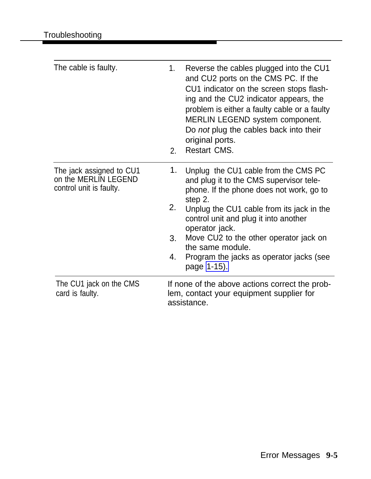| The cable is faulty.                                                        | 1.<br>2.             | Reverse the cables plugged into the CU1<br>and CU2 ports on the CMS PC. If the<br>CU1 indicator on the screen stops flash-<br>ing and the CU2 indicator appears, the<br>problem is either a faulty cable or a faulty<br><b>MERLIN LEGEND system component.</b><br>Do not plug the cables back into their<br>original ports.<br><b>Restart CMS.</b>                      |
|-----------------------------------------------------------------------------|----------------------|-------------------------------------------------------------------------------------------------------------------------------------------------------------------------------------------------------------------------------------------------------------------------------------------------------------------------------------------------------------------------|
| The jack assigned to CU1<br>on the MERLIN LEGEND<br>control unit is faulty. | 1.<br>2.<br>3.<br>4. | Unplug the CU1 cable from the CMS PC<br>and plug it to the CMS supervisor tele-<br>phone. If the phone does not work, go to<br>step 2.<br>Unplug the CU1 cable from its jack in the<br>control unit and plug it into another<br>operator jack.<br>Move CU2 to the other operator jack on<br>the same module.<br>Program the jacks as operator jacks (see<br>page 1-15). |
| The CU1 jack on the CMS<br>card is faulty.                                  |                      | If none of the above actions correct the prob-<br>lem, contact your equipment supplier for<br>assistance.                                                                                                                                                                                                                                                               |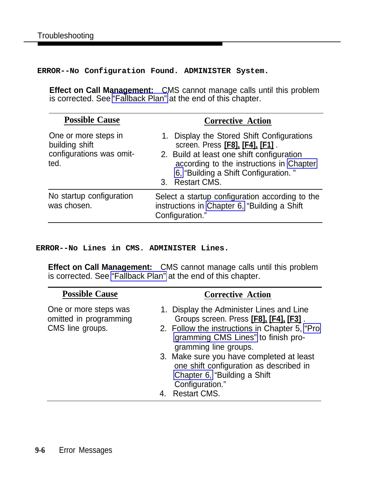**ERROR--No Configuration Found. ADMINISTER System.**

**Effect on Call Management:** CMS cannot manage calls until this problem is corrected. See ["Fallback Plan"](#page-152-2) at the end of this chapter.

| <b>Possible Cause</b>                                                      | <b>Corrective Action</b>                                                                                                                                                                                                                    |  |  |
|----------------------------------------------------------------------------|---------------------------------------------------------------------------------------------------------------------------------------------------------------------------------------------------------------------------------------------|--|--|
| One or more steps in<br>building shift<br>configurations was omit-<br>ted. | 1. Display the Stored Shift Configurations<br>screen. Press [F8]. [F4]. [F1].<br>2. Build at least one shift configuration<br>according to the instructions in Chapter<br>6, "Building a Shift Configuration."<br><b>Restart CMS.</b><br>3. |  |  |
| No startup configuration<br>was chosen.                                    | Select a startup configuration according to the<br>instructions in Chapter 6, "Building a Shift<br>Configuration."                                                                                                                          |  |  |

**ERROR--No Lines in CMS. ADMINISTER Lines.**

**Effect on Call Management:** CMS cannot manage calls until this problem is corrected. See ["Fallback Plan"](#page-152-2) at the end of this chapter.

| <b>Possible Cause</b>                                               | <b>Corrective Action</b>                                                                                                                                                                                                                                                                                                                                            |
|---------------------------------------------------------------------|---------------------------------------------------------------------------------------------------------------------------------------------------------------------------------------------------------------------------------------------------------------------------------------------------------------------------------------------------------------------|
| One or more steps was<br>omitted in programming<br>CMS line groups. | 1. Display the Administer Lines and Line<br>Groups screen. Press [F8], [F4], [F3].<br>2. Follow the instructions in Chapter 5, "Pro<br>gramming CMS Lines" to finish pro-<br>gramming line groups.<br>3. Make sure you have completed at least<br>one shift configuration as described in<br>Chapter 6, "Building a Shift<br>Configuration."<br><b>Restart CMS.</b> |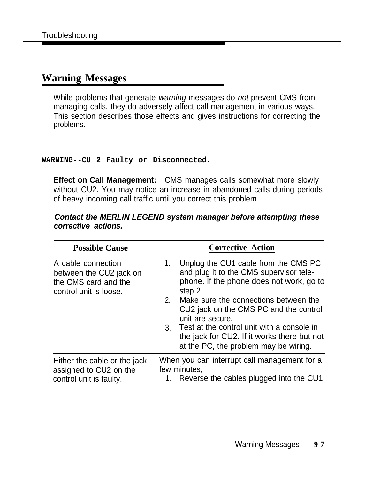# **Warning Messages**

While problems that generate warning messages do not prevent CMS from managing calls, they do adversely affect call management in various ways. This section describes those effects and gives instructions for correcting the problems.

### **WARNING--CU 2 Faulty or Disconnected.**

**Effect on Call Management:** CMS manages calls somewhat more slowly without CU2. You may notice an increase in abandoned calls during periods of heavy incoming call traffic until you correct this problem.

### **Contact the MERLIN LEGEND system manager before attempting these corrective actions.**

| <b>Possible Cause</b>                                                                           |                      | <b>Corrective Action</b>                                                                                                                                                                                                                                                                                                                                                               |
|-------------------------------------------------------------------------------------------------|----------------------|----------------------------------------------------------------------------------------------------------------------------------------------------------------------------------------------------------------------------------------------------------------------------------------------------------------------------------------------------------------------------------------|
| A cable connection<br>between the CU2 jack on<br>the CMS card and the<br>control unit is loose. | 1.<br>2 <sub>1</sub> | Unplug the CU1 cable from the CMS PC<br>and plug it to the CMS supervisor tele-<br>phone. If the phone does not work, go to<br>step 2.<br>Make sure the connections between the<br>CU2 jack on the CMS PC and the control<br>unit are secure.<br>3. Test at the control unit with a console in<br>the jack for CU2. If it works there but not<br>at the PC, the problem may be wiring. |
| Either the cable or the jack<br>assigned to CU2 on the<br>control unit is faulty.               |                      | When you can interrupt call management for a<br>few minutes,<br>Reverse the cables plugged into the CU1                                                                                                                                                                                                                                                                                |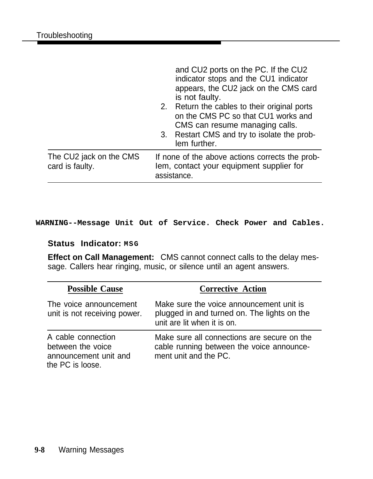|                                            | and CU2 ports on the PC. If the CU2<br>indicator stops and the CU1 indicator<br>appears, the CU2 jack on the CMS card<br>is not faulty.<br>2. Return the cables to their original ports<br>on the CMS PC so that CU1 works and<br>CMS can resume managing calls.<br>3. Restart CMS and try to isolate the prob-<br>lem further. |
|--------------------------------------------|---------------------------------------------------------------------------------------------------------------------------------------------------------------------------------------------------------------------------------------------------------------------------------------------------------------------------------|
| The CU2 jack on the CMS<br>card is faulty. | If none of the above actions corrects the prob-<br>lem, contact your equipment supplier for<br>assistance.                                                                                                                                                                                                                      |

### **WARNING--Message Unit Out of Service. Check Power and Cables.**

### **Status Indicator: MSG**

**Effect on Call Management:** CMS cannot connect calls to the delay message. Callers hear ringing, music, or silence until an agent answers.

| <b>Possible Cause</b>                                                                | <b>Corrective Action</b>                                                                                               |
|--------------------------------------------------------------------------------------|------------------------------------------------------------------------------------------------------------------------|
| The voice announcement<br>unit is not receiving power.                               | Make sure the voice announcement unit is<br>plugged in and turned on. The lights on the<br>unit are lit when it is on. |
| A cable connection<br>between the voice<br>announcement unit and<br>the PC is loose. | Make sure all connections are secure on the<br>cable running between the voice announce-<br>ment unit and the PC.      |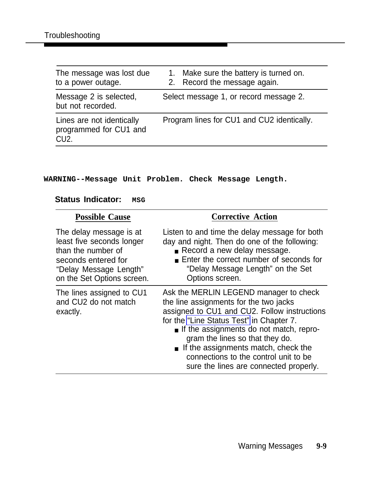| The message was lost due<br>to a power outage.                           | 1. Make sure the battery is turned on.<br>2. Record the message again. |
|--------------------------------------------------------------------------|------------------------------------------------------------------------|
| Message 2 is selected,<br>but not recorded.                              | Select message 1, or record message 2.                                 |
| Lines are not identically<br>programmed for CU1 and<br>CU <sub>2</sub> . | Program lines for CU1 and CU2 identically.                             |

### **WARNING--Message Unit Problem. Check Message Length.**

### **Status Indicator:** MSG

| <b>Possible Cause</b>                                                                                                                                     | <b>Corrective Action</b>                                                                                                                                                                                                                                                                                                                                                             |
|-----------------------------------------------------------------------------------------------------------------------------------------------------------|--------------------------------------------------------------------------------------------------------------------------------------------------------------------------------------------------------------------------------------------------------------------------------------------------------------------------------------------------------------------------------------|
| The delay message is at<br>least five seconds longer<br>than the number of<br>seconds entered for<br>"Delay Message Length"<br>on the Set Options screen. | Listen to and time the delay message for both<br>day and night. Then do one of the following:<br>Record a new delay message.<br>■ Enter the correct number of seconds for<br>"Delay Message Length" on the Set<br>Options screen.                                                                                                                                                    |
| The lines assigned to CU1<br>and CU2 do not match<br>exactly.                                                                                             | Ask the MERLIN LEGEND manager to check<br>the line assignments for the two jacks<br>assigned to CU1 and CU2. Follow instructions<br>for the "Line Status Test" in Chapter 7.<br>If the assignments do not match, repro-<br>gram the lines so that they do.<br>If the assignments match, check the<br>connections to the control unit to be<br>sure the lines are connected properly. |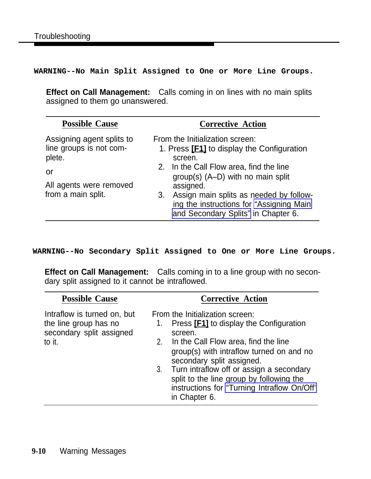**WARNING--No Main Split Assigned to One or More Line Groups.**

**Effect on Call Management:** Calls coming in on lines with no main splits assigned to them go unanswered.

| <b>Possible Cause</b>                                                                                                 | <b>Corrective Action</b>                                                                                                                                                                                                                                                                                                           |
|-----------------------------------------------------------------------------------------------------------------------|------------------------------------------------------------------------------------------------------------------------------------------------------------------------------------------------------------------------------------------------------------------------------------------------------------------------------------|
| Assigning agent splits to<br>line groups is not com-<br>plete.<br>or<br>All agents were removed<br>from a main split. | From the Initialization screen:<br>1. Press <b>[F1]</b> to display the Configuration<br>screen.<br>2. In the Call Flow area, find the line<br>group(s) $(A-D)$ with no main split<br>assigned.<br>Assign main splits as needed by follow-<br>3.<br>ing the instructions for "Assigning Main<br>and Secondary Splits" in Chapter 6. |

**WARNING--No Secondary Split Assigned to One or More Line Groups.**

**Effect on Call Management:** Calls coming in to a line group with no secondary split assigned to it cannot be intraflowed.

| <b>Possible Cause</b>                                                                      | <b>Corrective Action</b>                                                                                                                                                                                                                                                                                                                                                             |
|--------------------------------------------------------------------------------------------|--------------------------------------------------------------------------------------------------------------------------------------------------------------------------------------------------------------------------------------------------------------------------------------------------------------------------------------------------------------------------------------|
| Intraflow is turned on, but<br>the line group has no<br>secondary split assigned<br>to it. | From the Initialization screen:<br>Press <b>[F1]</b> to display the Configuration<br>1.<br>screen.<br>In the Call Flow area, find the line<br>2.<br>group(s) with intraflow turned on and no<br>secondary split assigned.<br>3. Turn intraflow off or assign a secondary<br>split to the line group by following the<br>instructions for "Turning Intraflow On/Off"<br>in Chapter 6. |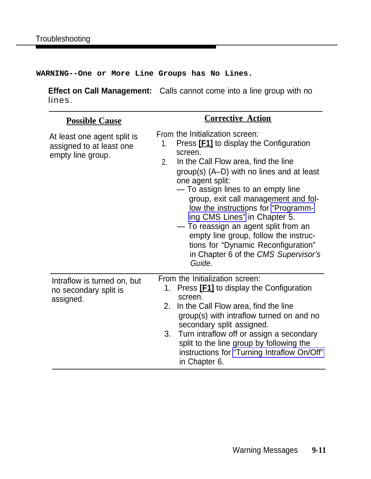**WARNING--One or More Line Groups has No Lines.**

**Effect on Call Management:** Calls cannot come into a line group with no lines.

| <b>Possible Cause</b>                                                        | <b>Corrective Action</b>                                                                                                                                                                                                                                                                                                                                                                                                                                                                                                                                |
|------------------------------------------------------------------------------|---------------------------------------------------------------------------------------------------------------------------------------------------------------------------------------------------------------------------------------------------------------------------------------------------------------------------------------------------------------------------------------------------------------------------------------------------------------------------------------------------------------------------------------------------------|
| At least one agent split is<br>assigned to at least one<br>empty line group. | From the Initialization screen:<br>Press [F1] to display the Configuration<br>1.<br>screen.<br>In the Call Flow area, find the line<br>2 <sub>1</sub><br>$group(s)$ (A-D) with no lines and at least<br>one agent split:<br>— To assign lines to an empty line<br>group, exit call management and fol-<br>low the instructions for "Programm-<br>ing CMS Lines" in Chapter 5.<br>- To reassign an agent split from an<br>empty line group, follow the instruc-<br>tions for "Dynamic Reconfiguration"<br>in Chapter 6 of the CMS Supervisor's<br>Guide. |
| Intraflow is turned on, but<br>no secondary split is<br>assigned.            | From the Initialization screen:<br>Press <b>[F1]</b> to display the Configuration<br>1 <sub>1</sub><br>screen.<br>2.<br>In the Call Flow area, find the line<br>group(s) with intraflow turned on and no<br>secondary split assigned.<br>Turn intraflow off or assign a secondary<br>3.<br>split to the line group by following the<br>instructions for "Turning Intraflow On/Off"<br>in Chapter 6.                                                                                                                                                     |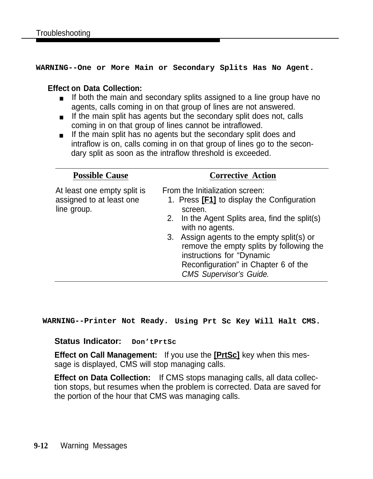**WARNING--One or More Main or Secondary Splits Has No Agent.**

### **Effect on Data Collection:**

- If both the main and secondary splits assigned to a line group have no agents, calls coming in on that group of lines are not answered.
- If the main split has agents but the secondary split does not, calls coming in on that group of lines cannot be intraflowed.
- If the main split has no agents but the secondary split does and intraflow is on, calls coming in on that group of lines go to the secondary split as soon as the intraflow threshold is exceeded.

| <b>Possible Cause</b>                                                  | <b>Corrective Action</b>                                                                                                                                                                                                                                                                                                                                      |
|------------------------------------------------------------------------|---------------------------------------------------------------------------------------------------------------------------------------------------------------------------------------------------------------------------------------------------------------------------------------------------------------------------------------------------------------|
| At least one empty split is<br>assigned to at least one<br>line group. | From the Initialization screen:<br>1. Press [F1] to display the Configuration<br>screen.<br>2. In the Agent Splits area, find the split(s)<br>with no agents.<br>3. Assign agents to the empty split(s) or<br>remove the empty splits by following the<br>instructions for "Dynamic<br>Reconfiguration" in Chapter 6 of the<br><b>CMS Supervisor's Guide.</b> |

**WARNING--Printer Not Ready. Using Prt Sc Key Will Halt CMS.**

### **Status Indicator: Don'tPrtSc**

**Effect on Call Management:** If you use the **[PrtSc]** key when this message is displayed, CMS will stop managing calls.

**Effect on Data Collection:** If CMS stops managing calls, all data collection stops, but resumes when the problem is corrected. Data are saved for the portion of the hour that CMS was managing calls.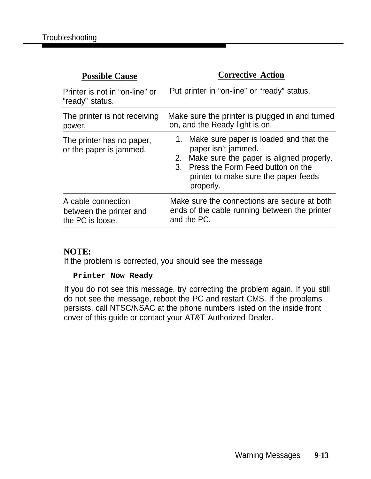| <b>Possible Cause</b>                                             | <b>Corrective Action</b>                                                                                                                                                                                                                       |
|-------------------------------------------------------------------|------------------------------------------------------------------------------------------------------------------------------------------------------------------------------------------------------------------------------------------------|
| Printer is not in "on-line" or<br>"ready" status.                 | Put printer in "on-line" or "ready" status.                                                                                                                                                                                                    |
| The printer is not receiving<br>power.                            | Make sure the printer is plugged in and turned<br>on, and the Ready light is on.                                                                                                                                                               |
| The printer has no paper,<br>or the paper is jammed.              | Make sure paper is loaded and that the<br>1.<br>paper isn't jammed.<br>Make sure the paper is aligned properly.<br>2.<br>Press the Form Feed button on the<br>$\mathcal{S}_{\mathcal{L}}$<br>printer to make sure the paper feeds<br>properly. |
| A cable connection<br>between the printer and<br>the PC is loose. | Make sure the connections are secure at both<br>ends of the cable running between the printer<br>and the PC.                                                                                                                                   |

### **NOTE:**

If the problem is corrected, you should see the message

### **Printer Now Ready**

If you do not see this message, try correcting the problem again. If you still do not see the message, reboot the PC and restart CMS. If the problems persists, call NTSC/NSAC at the phone numbers listed on the inside front cover of this guide or contact your AT&T Authorized Dealer.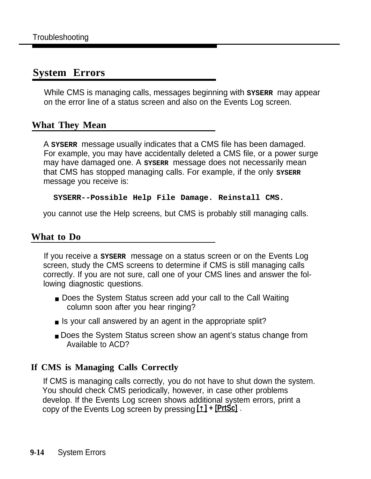# **System Errors**

While CMS is managing calls, messages beginning with sysear may appear on the error line of a status screen and also on the Events Log screen.

# **What They Mean**

A **SYSERR** message usually indicates that a CMS file has been damaged. For example, you may have accidentally deleted a CMS file, or a power surge may have damaged one. A **SYSERR** message does not necessarily mean that CMS has stopped managing calls. For example, if the only sysere message you receive is:

### **SYSERR--Possible Help File Damage. Reinstall CMS.**

you cannot use the Help screens, but CMS is probably still managing calls.

## **What to Do**

If you receive a **SYSERR** message on a status screen or on the Events Log screen, study the CMS screens to determine if CMS is still managing calls correctly. If you are not sure, call one of your CMS lines and answer the following diagnostic questions.

- Does the System Status screen add your call to the Call Waiting column soon after you hear ringing?
- Is your call answered by an agent in the appropriate split?
- Does the System Status screen show an agent's status change from Available to ACD?

### **If CMS is Managing Calls Correctly**

If CMS is managing calls correctly, you do not have to shut down the system. You should check CMS periodically, however, in case other problems develop. If the Events Log screen shows additional system errors, print a copy of the Events Log screen by pressing **[ ] + [PrtSc]** .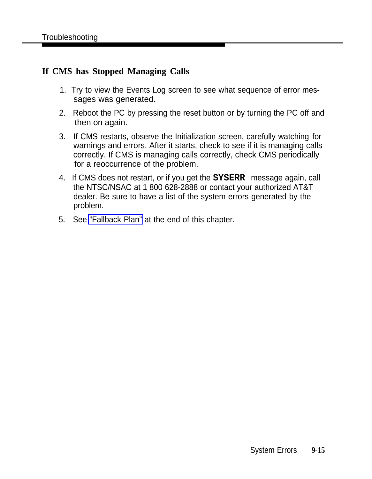### **If CMS has Stopped Managing Calls**

- 1. Try to view the Events Log screen to see what sequence of error messages was generated.
- 2. Reboot the PC by pressing the reset button or by turning the PC off and then on again.
- 3. If CMS restarts, observe the Initialization screen, carefully watching for warnings and errors. After it starts, check to see if it is managing calls correctly. If CMS is managing calls correctly, check CMS periodically for a reoccurrence of the problem.
- 4. If CMS does not restart, or if you get the **SYSERR** message again, call the NTSC/NSAC at 1 800 628-2888 or contact your authorized AT&T dealer. Be sure to have a list of the system errors generated by the problem.
- 5. See ["Fallback Plan"](#page-152-3) at the end of this chapter.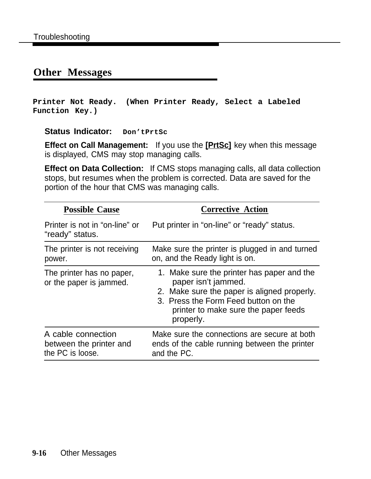# **Other Messages**

**Printer Not Ready. (When Printer Ready, Select a Labeled Function Key.)**

**Status Indicator: Don'tPrtSc**

**Effect on Call Management:** If you use the **[PrtSc]** key when this message is displayed, CMS may stop managing calls.

**Effect on Data Collection:** If CMS stops managing calls, all data collection stops, but resumes when the problem is corrected. Data are saved for the portion of the hour that CMS was managing calls.

| <b>Possible Cause</b>                                             | <b>Corrective Action</b>                                                                                                                                                                                      |
|-------------------------------------------------------------------|---------------------------------------------------------------------------------------------------------------------------------------------------------------------------------------------------------------|
| Printer is not in "on-line" or<br>"ready" status.                 | Put printer in "on-line" or "ready" status.                                                                                                                                                                   |
| The printer is not receiving<br>power.                            | Make sure the printer is plugged in and turned<br>on, and the Ready light is on.                                                                                                                              |
| The printer has no paper,<br>or the paper is jammed.              | 1. Make sure the printer has paper and the<br>paper isn't jammed.<br>2. Make sure the paper is aligned properly.<br>3. Press the Form Feed button on the<br>printer to make sure the paper feeds<br>properly. |
| A cable connection<br>between the printer and<br>the PC is loose. | Make sure the connections are secure at both<br>ends of the cable running between the printer<br>and the PC.                                                                                                  |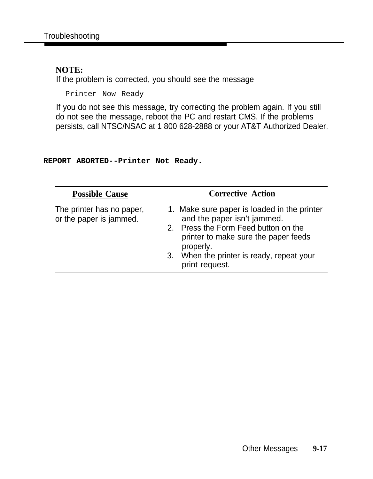### **NOTE:**

If the problem is corrected, you should see the message

Printer Now Ready

If you do not see this message, try correcting the problem again. If you still do not see the message, reboot the PC and restart CMS. If the problems persists, call NTSC/NSAC at 1 800 628-2888 or your AT&T Authorized Dealer.

#### **REPORT ABORTED--Printer Not Ready.**

| <b>Possible Cause</b>                                | <b>Corrective Action</b>                                                                                                                                                |  |
|------------------------------------------------------|-------------------------------------------------------------------------------------------------------------------------------------------------------------------------|--|
| The printer has no paper,<br>or the paper is jammed. | 1. Make sure paper is loaded in the printer<br>and the paper isn't jammed.<br>2. Press the Form Feed button on the<br>printer to make sure the paper feeds<br>properly. |  |
|                                                      | 3. When the printer is ready, repeat your<br>print request.                                                                                                             |  |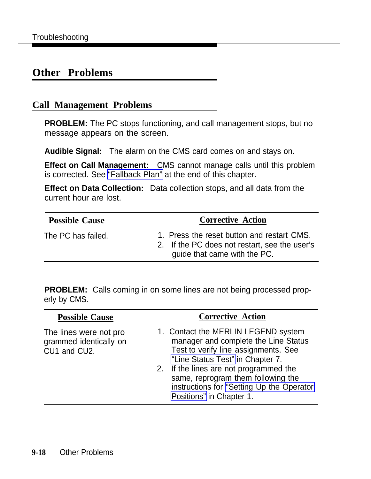# **Other Problems**

### **Call Management Problems**

**PROBLEM:** The PC stops functioning, and call management stops, but no message appears on the screen.

**Audible Signal:** The alarm on the CMS card comes on and stays on.

**Effect on Call Management:** CMS cannot manage calls until this problem is corrected. See ["Fallback Plan"](#page-152-2) at the end of this chapter.

**Effect on Data Collection:** Data collection stops, and all data from the current hour are lost.

| <b>Possible Cause</b> |
|-----------------------|
|-----------------------|

The PC has failed. 1. Press the reset button and restart CMS.

**Corrective Action** 

2. If the PC does not restart, see the user's guide that came with the PC.

**PROBLEM:** Calls coming in on some lines are not being processed properly by CMS.

| <b>Possible Cause</b>                                            | <b>Corrective Action</b>                                                                                                                                                                                                                                                                                         |
|------------------------------------------------------------------|------------------------------------------------------------------------------------------------------------------------------------------------------------------------------------------------------------------------------------------------------------------------------------------------------------------|
| The lines were not pro<br>grammed identically on<br>CU1 and CU2. | 1. Contact the MERLIN LEGEND system<br>manager and complete the Line Status<br>Test to verify line assignments. See<br>"Line Status Test" in Chapter 7.<br>2. If the lines are not programmed the<br>same, reprogram them following the<br>instructions for "Setting Up the Operator<br>Positions" in Chapter 1. |
|                                                                  |                                                                                                                                                                                                                                                                                                                  |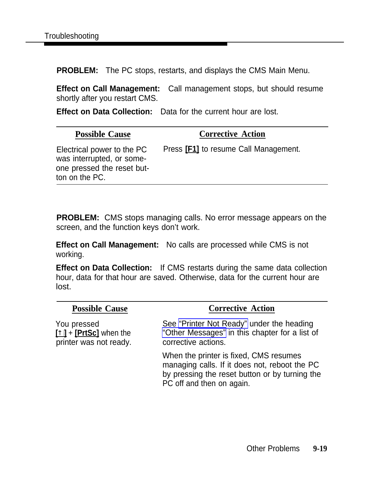**PROBLEM:** The PC stops, restarts, and displays the CMS Main Menu.

**Effect on Call Management:** Call management stops, but should resume shortly after you restart CMS.

**Effect on Data Collection:** Data for the current hour are lost.

#### **Possible Cause <b>Corrective Action** Electrical power to the PC Press **[F1]** to resume Call Management. was interrupted, or someone pressed the reset button on the PC.

**PROBLEM:** CMS stops managing calls. No error message appears on the screen, and the function keys don't work.

**Effect on Call Management:** No calls are processed while CMS is not working.

**Effect on Data Collection:** If CMS restarts during the same data collection hour, data for that hour are saved. Otherwise, data for the current hour are lost.

| <b>Possible Cause</b>                                           | <b>Corrective Action</b>                                                                                                                                               |
|-----------------------------------------------------------------|------------------------------------------------------------------------------------------------------------------------------------------------------------------------|
| You pressed<br>[1] + [PrtSc] when the<br>printer was not ready. | See "Printer Not Ready" under the heading<br>"Other Messages" in this chapter for a list of<br>corrective actions.                                                     |
|                                                                 | When the printer is fixed, CMS resumes<br>managing calls. If it does not, reboot the PC<br>by pressing the reset button or by turning the<br>PC off and then on again. |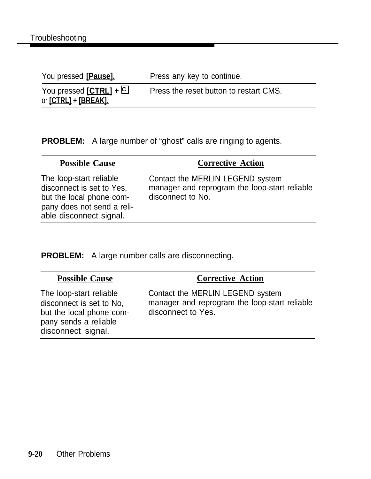| You pressed [Pause].                                | Press any key to continue.             |
|-----------------------------------------------------|----------------------------------------|
| You pressed $[CFRL] + \Box$<br>or [CTRL] + [BREAK]. | Press the reset button to restart CMS. |

**PROBLEM:** A large number of "ghost" calls are ringing to agents.

| <b>Possible Cause</b>                                                                                                                     | <b>Corrective Action</b>                                                                               |
|-------------------------------------------------------------------------------------------------------------------------------------------|--------------------------------------------------------------------------------------------------------|
| The loop-start reliable<br>disconnect is set to Yes,<br>but the local phone com-<br>pany does not send a reli-<br>able disconnect signal. | Contact the MERLIN LEGEND system<br>manager and reprogram the loop-start reliable<br>disconnect to No. |

**PROBLEM:** A large number calls are disconnecting.

| <b>Possible Cause</b>                                                                                                          | <b>Corrective Action</b>                                                                                |
|--------------------------------------------------------------------------------------------------------------------------------|---------------------------------------------------------------------------------------------------------|
| The loop-start reliable<br>disconnect is set to No.<br>but the local phone com-<br>pany sends a reliable<br>disconnect signal. | Contact the MERLIN LEGEND system<br>manager and reprogram the loop-start reliable<br>disconnect to Yes. |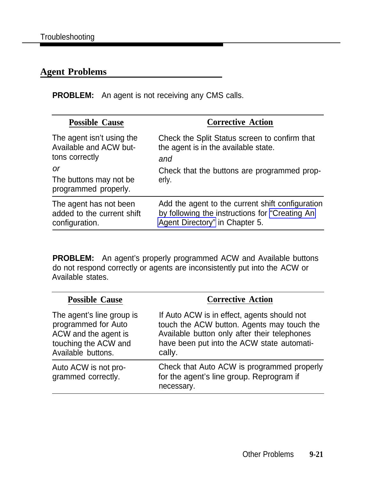#### **Agent Problems**

**PROBLEM:** An agent is not receiving any CMS calls.

| <b>Possible Cause</b>                                                                                                         | <b>Corrective Action</b>                                                                                                                             |
|-------------------------------------------------------------------------------------------------------------------------------|------------------------------------------------------------------------------------------------------------------------------------------------------|
| The agent isn't using the<br>Available and ACW but-<br>tons correctly<br>or<br>The buttons may not be<br>programmed properly. | Check the Split Status screen to confirm that<br>the agent is in the available state.<br>and<br>Check that the buttons are programmed prop-<br>erly. |
| The agent has not been<br>added to the current shift<br>configuration.                                                        | Add the agent to the current shift configuration<br>by following the instructions for "Creating An<br>Agent Directory" in Chapter 5.                 |

**PROBLEM:** An agent's properly programmed ACW and Available buttons do not respond correctly or agents are inconsistently put into the ACW or Available states.

| <b>Possible Cause</b>                                                                                                  | <b>Corrective Action</b>                                                                                                                                                                          |
|------------------------------------------------------------------------------------------------------------------------|---------------------------------------------------------------------------------------------------------------------------------------------------------------------------------------------------|
| The agent's line group is<br>programmed for Auto<br>ACW and the agent is<br>touching the ACW and<br>Available buttons. | If Auto ACW is in effect, agents should not<br>touch the ACW button. Agents may touch the<br>Available button only after their telephones<br>have been put into the ACW state automati-<br>cally. |
| Auto ACW is not pro-<br>grammed correctly.                                                                             | Check that Auto ACW is programmed properly<br>for the agent's line group. Reprogram if<br>necessary.                                                                                              |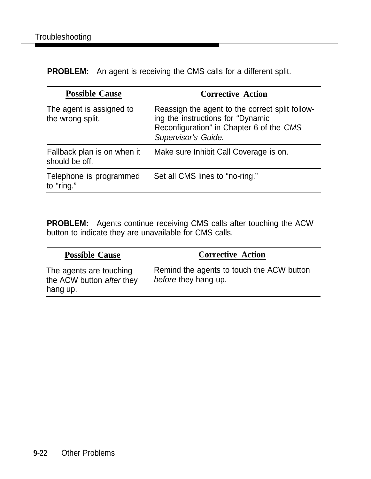**PROBLEM:** An agent is receiving the CMS calls for a different split.

| <b>Corrective Action</b>                                                                                                                                |
|---------------------------------------------------------------------------------------------------------------------------------------------------------|
| Reassign the agent to the correct split follow-<br>ing the instructions for "Dynamic<br>Reconfiguration" in Chapter 6 of the CMS<br>Supervisor's Guide. |
| Make sure Inhibit Call Coverage is on.                                                                                                                  |
| Set all CMS lines to "no-ring."                                                                                                                         |
|                                                                                                                                                         |

**PROBLEM:** Agents continue receiving CMS calls after touching the ACW button to indicate they are unavailable for CMS calls.

| <b>Possible Cause</b>                                            | <b>Corrective Action</b>                                          |
|------------------------------------------------------------------|-------------------------------------------------------------------|
| The agents are touching<br>the ACW button after they<br>hang up. | Remind the agents to touch the ACW button<br>before they hang up. |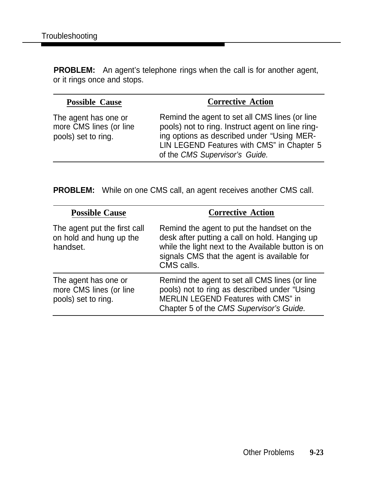**PROBLEM:** An agent's telephone rings when the call is for another agent, or it rings once and stops.

| <b>Possible Cause</b>                                                  | <b>Corrective Action</b>                                                                                                                                                                                                         |
|------------------------------------------------------------------------|----------------------------------------------------------------------------------------------------------------------------------------------------------------------------------------------------------------------------------|
| The agent has one or<br>more CMS lines (or line<br>pools) set to ring. | Remind the agent to set all CMS lines (or line<br>pools) not to ring. Instruct agent on line ring-<br>ing options as described under "Using MER-<br>LIN LEGEND Features with CMS" in Chapter 5<br>of the CMS Supervisor's Guide. |
|                                                                        |                                                                                                                                                                                                                                  |

**PROBLEM:** While on one CMS call, an agent receives another CMS call.

| <b>Possible Cause</b>                                                  | <b>Corrective Action</b>                                                                                                                                                                                       |
|------------------------------------------------------------------------|----------------------------------------------------------------------------------------------------------------------------------------------------------------------------------------------------------------|
| The agent put the first call<br>on hold and hung up the<br>handset.    | Remind the agent to put the handset on the<br>desk after putting a call on hold. Hanging up<br>while the light next to the Available button is on<br>signals CMS that the agent is available for<br>CMS calls. |
| The agent has one or<br>more CMS lines (or line<br>pools) set to ring. | Remind the agent to set all CMS lines (or line<br>pools) not to ring as described under "Using<br>MERLIN LEGEND Features with CMS" in<br>Chapter 5 of the CMS Supervisor's Guide.                              |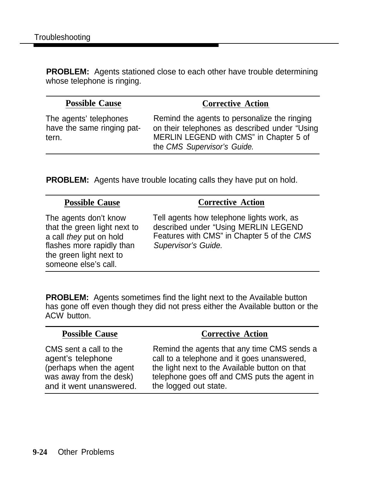**PROBLEM:** Agents stationed close to each other have trouble determining whose telephone is ringing.

#### **Possible Cause <b>Corrective Action**

The agents' telephones The agents to personalize the ringing<br>have the same ringing pat- on their telephones as described under "Usin on their telephones as described under "Using tern. MERLIN LEGEND with CMS" in Chapter 5 of the CMS Supervisor's Guide.

**PROBLEM:** Agents have trouble locating calls they have put on hold.

#### **Possible Cause Corrective Action** The agents don't know Tell agents how telephone lights work, as that the green light next to described under "Using MERLIN LEGEND a call they put on hold Features with CMS" in Chapter 5 of the CMS flashes more rapidly than Supervisor's Guide. the green light next to someone else's call.

**PROBLEM:** Agents sometimes find the light next to the Available button has gone off even though they did not press either the Available button or the ACW button.

#### **Possible Cause Corrective Action**

and it went unanswered. the logged out state.

CMS sent a call to the Remind the agents that any time CMS sends a agent's telephone call to a telephone and it goes unanswered, (perhaps when the agent the light next to the Available button on that was away from the desk) telephone goes off and CMS puts the agent in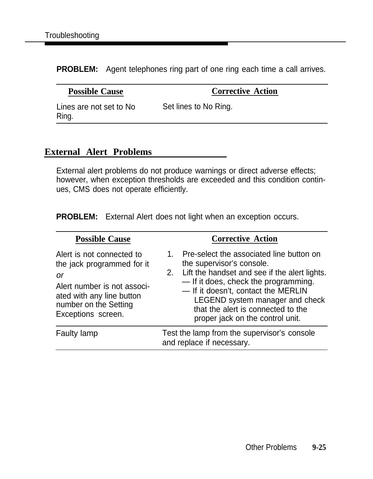<span id="page-150-0"></span>**PROBLEM:** Agent telephones ring part of one ring each time a call arrives.

**Possible Cause Corrective Action** 

Lines are not set to No Set lines to No Ring. Ring.

#### **External Alert Problems**

External alert problems do not produce warnings or direct adverse effects; however, when exception thresholds are exceeded and this condition continues, CMS does not operate efficiently.

**PROBLEM:** External Alert does not light when an exception occurs.

| <b>Possible Cause</b>                                                                                                                                                    | <b>Corrective Action</b>                                                                                                                                                                                                                                                                                                |
|--------------------------------------------------------------------------------------------------------------------------------------------------------------------------|-------------------------------------------------------------------------------------------------------------------------------------------------------------------------------------------------------------------------------------------------------------------------------------------------------------------------|
| Alert is not connected to<br>the jack programmed for it<br>0r<br>Alert number is not associ-<br>ated with any line button<br>number on the Setting<br>Exceptions screen. | 1. Pre-select the associated line button on<br>the supervisor's console.<br>2. Lift the handset and see if the alert lights.<br>-If it does, check the programming.<br>- If it doesn't, contact the MERLIN<br>LEGEND system manager and check<br>that the alert is connected to the<br>proper jack on the control unit. |
| <b>Faulty lamp</b>                                                                                                                                                       | Test the lamp from the supervisor's console<br>and replace if necessary.                                                                                                                                                                                                                                                |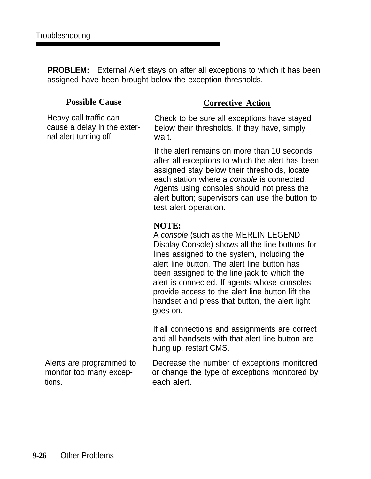**PROBLEM:** External Alert stays on after all exceptions to which it has been assigned have been brought below the exception thresholds.

| <b>Possible Cause</b>                                                           | <b>Corrective Action</b>                                                                                                                                                                                                                                                                                                                                                                                                |
|---------------------------------------------------------------------------------|-------------------------------------------------------------------------------------------------------------------------------------------------------------------------------------------------------------------------------------------------------------------------------------------------------------------------------------------------------------------------------------------------------------------------|
| Heavy call traffic can<br>cause a delay in the exter-<br>nal alert turning off. | Check to be sure all exceptions have stayed<br>below their thresholds. If they have, simply<br>wait.                                                                                                                                                                                                                                                                                                                    |
|                                                                                 | If the alert remains on more than 10 seconds<br>after all exceptions to which the alert has been<br>assigned stay below their thresholds, locate<br>each station where a <i>console</i> is connected.<br>Agents using consoles should not press the<br>alert button; supervisors can use the button to<br>test alert operation.                                                                                         |
|                                                                                 | <b>NOTE:</b><br>A console (such as the MERLIN LEGEND<br>Display Console) shows all the line buttons for<br>lines assigned to the system, including the<br>alert line button. The alert line button has<br>been assigned to the line jack to which the<br>alert is connected. If agents whose consoles<br>provide access to the alert line button lift the<br>handset and press that button, the alert light<br>goes on. |
|                                                                                 | If all connections and assignments are correct<br>and all handsets with that alert line button are<br>hung up, restart CMS.                                                                                                                                                                                                                                                                                             |
| Alerts are programmed to<br>monitor too many excep-<br>tions.                   | Decrease the number of exceptions monitored<br>or change the type of exceptions monitored by<br>each alert.                                                                                                                                                                                                                                                                                                             |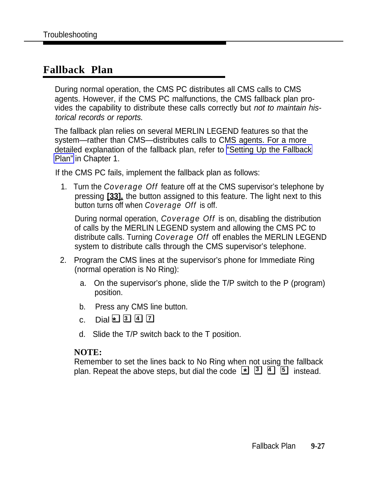#### <span id="page-152-0"></span>**Fallback Plan**

During normal operation, the CMS PC distributes all CMS calls to CMS agents. However, if the CMS PC malfunctions, the CMS fallback plan provides the capability to distribute these calls correctly but not to maintain historical records or reports.

The fallback plan relies on several MERLIN LEGEND features so that the system—rather than CMS—distributes calls to CMS agents. For a more detailed explanation of the fallback plan, refer to ["Setting Up the Fallback](#page-39-0) [Plan"](#page-39-0) in Chapter 1.

If the CMS PC fails, implement the fallback plan as follows:

1. Turn the *Coverage Off* feature off at the CMS supervisor's telephone by pressing **[33],** the button assigned to this feature. The light next to this button turns off when *Coverage Off* is off.

During normal operation, *Coverage Off* is on, disabling the distribution of calls by the MERLIN LEGEND system and allowing the CMS PC to distribute calls. Turning *Coverage Off* off enables the MERLIN LEGEND system to distribute calls through the CMS supervisor's telephone.

- 2. Program the CMS lines at the supervisor's phone for Immediate Ring (normal operation is No Ring):
	- a. On the supervisor's phone, slide the T/P switch to the P (program) position.
	- b. Press any CMS line button.
	- c. Dial ❏❏❏ **\* <sup>3</sup> <sup>4</sup>** ❏**<sup>7</sup>**
	- d. Slide the T/P switch back to the T position.

#### **NOTE:**

Remember to set the lines back to No Ring when not using the fallback **plan. Repeat the above steps, but dial the code**  $\boxed{4}$  **<b>5 4 5** instead.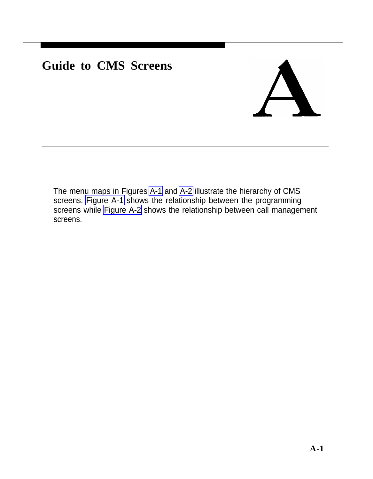# **Guide to CMS Screens**

The menu maps in Figures [A-1](#page-154-0) and [A-2](#page-155-0) illustrate the hierarchy of CMS screens. [Figure A-1](#page-154-0) shows the relationship between the programming screens while [Figure A-2](#page-155-0) shows the relationship between call management screens.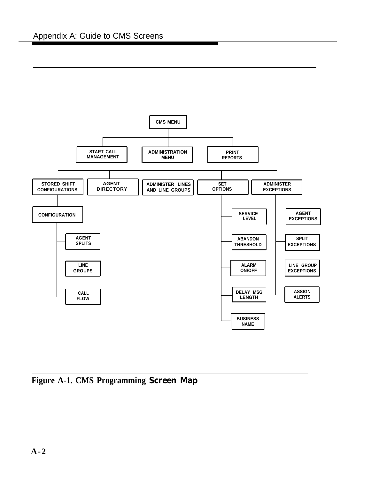<span id="page-154-1"></span><span id="page-154-0"></span>

**Figure A-1. CMS Programming Screen Map**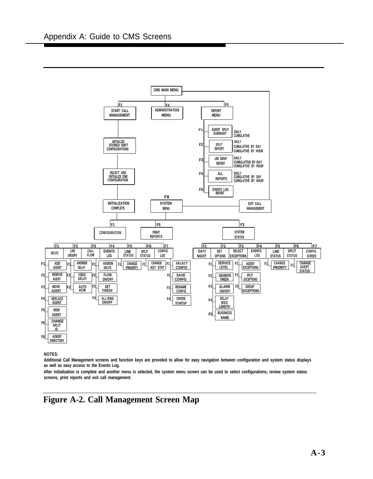<span id="page-155-1"></span><span id="page-155-0"></span>

#### **NOTES:**

**Additional Call Management screens and function keys are provided to allow for easy navigation between configuration and system status displays as well as easy access to the Events Log.**

**After initialization is complete and another menu is selected, the system menu screen can be used to select configurations, review system status screens, print reports and exit call management.**

#### **Figure A-2. Call Management Screen Map**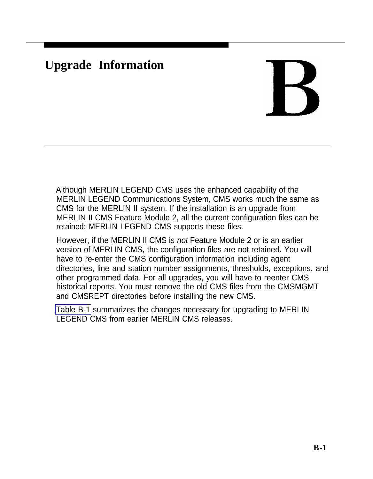# <span id="page-156-0"></span>**Upgrade Information**

Although MERLIN LEGEND CMS uses the enhanced capability of the MERLIN LEGEND Communications System, CMS works much the same as CMS for the MERLIN II system. If the installation is an upgrade from MERLIN II CMS Feature Module 2, all the current configuration files can be retained; MERLIN LEGEND CMS supports these files.

However, if the MERLIN II CMS is not Feature Module 2 or is an earlier version of MERLIN CMS, the configuration files are not retained. You will have to re-enter the CMS configuration information including agent directories, line and station number assignments, thresholds, exceptions, and other programmed data. For all upgrades, you will have to reenter CMS historical reports. You must remove the old CMS files from the CMSMGMT and CMSREPT directories before installing the new CMS.

[Table B-1](#page-157-0) summarizes the changes necessary for upgrading to MERLIN LEGEND CMS from earlier MERLIN CMS releases.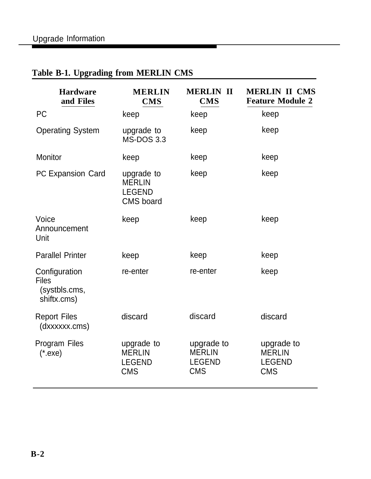# <span id="page-157-0"></span>**Table B-1. Upgrading from MERLIN CMS**

| <b>Hardware</b><br>and Files                                  | <b>MERLIN</b><br><b>CMS</b>                                      | <b>MERLIN II</b><br><b>CMS</b>                             | <b>MERLIN II CMS</b><br><b>Feature Module 2</b>            |
|---------------------------------------------------------------|------------------------------------------------------------------|------------------------------------------------------------|------------------------------------------------------------|
| <b>PC</b>                                                     | keep                                                             | keep                                                       | keep                                                       |
| <b>Operating System</b>                                       | upgrade to<br><b>MS-DOS 3.3</b>                                  | keep                                                       | keep                                                       |
| <b>Monitor</b>                                                | keep                                                             | keep                                                       | keep                                                       |
| PC Expansion Card                                             | upgrade to<br><b>MERLIN</b><br><b>LEGEND</b><br><b>CMS</b> board | keep                                                       | keep                                                       |
| Voice<br>Announcement<br>Unit                                 | keep                                                             | keep                                                       | keep                                                       |
| <b>Parallel Printer</b>                                       | keep                                                             | keep                                                       | keep                                                       |
| Configuration<br><b>Files</b><br>(systbls.cms,<br>shiftx.cms) | re-enter                                                         | re-enter                                                   | keep                                                       |
| <b>Report Files</b><br>(dxxxxxx.cms)                          | discard                                                          | discard                                                    | discard                                                    |
| Program Files<br>$(*.exe)$                                    | upgrade to<br><b>MERLIN</b><br><b>LEGEND</b><br><b>CMS</b>       | upgrade to<br><b>MERLIN</b><br><b>LEGEND</b><br><b>CMS</b> | upgrade to<br><b>MERLIN</b><br><b>LEGEND</b><br><b>CMS</b> |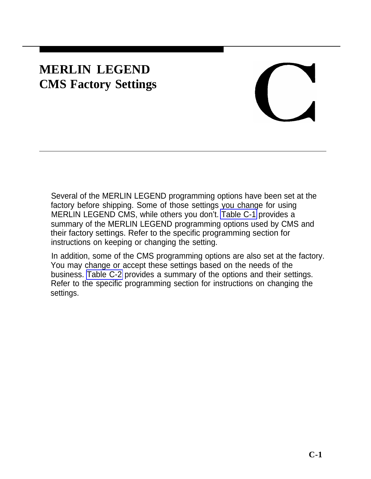# **MERLIN LEGEND CMS Factory Settings**

Several of the MERLIN LEGEND programming options have been set at the factory before shipping. Some of those settings you change for using MERLIN LEGEND CMS, while others you don't. [Table C-1](#page-159-0) provides a summary of the MERLIN LEGEND programming options used by CMS and their factory settings. Refer to the specific programming section for instructions on keeping or changing the setting.

In addition, some of the CMS programming options are also set at the factory. You may change or accept these settings based on the needs of the business. [Table C-2](#page-159-0) provides a summary of the options and their settings. Refer to the specific programming section for instructions on changing the settings.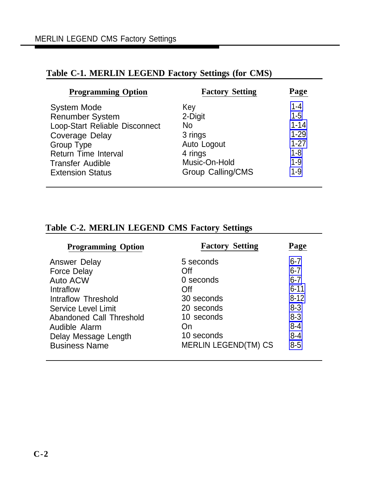| <b>Programming Option</b>      | <b>Factory Setting</b>   | Page     |
|--------------------------------|--------------------------|----------|
| <b>System Mode</b>             | Key                      | $1 - 4$  |
| <b>Renumber System</b>         | 2-Digit                  | $1 - 5$  |
| Loop-Start Reliable Disconnect | No.                      | $1 - 14$ |
| <b>Coverage Delay</b>          | 3 rings                  | $1 - 29$ |
| <b>Group Type</b>              | Auto Logout              | $1 - 27$ |
| <b>Return Time Interval</b>    | 4 rings                  | $1 - 8$  |
| <b>Transfer Audible</b>        | Music-On-Hold            | $1 - 9$  |
| <b>Extension Status</b>        | <b>Group Calling/CMS</b> | $1 - 9$  |

#### <span id="page-159-0"></span>**Table C-1. MERLIN LEGEND Factory Settings (for CMS)**

#### **Table C-2. MERLIN LEGEND CMS Factory Settings**

| <b>Programming Option</b>  | <b>Factory Setting</b>      | Page     |
|----------------------------|-----------------------------|----------|
| Answer Delay               | 5 seconds                   | $6 - 7$  |
| <b>Force Delay</b>         | Off                         | $6 - 7$  |
| <b>Auto ACW</b>            | 0 seconds                   | $6 - 7$  |
| Intraflow                  | Off                         | $6 - 11$ |
| Intraflow Threshold        | 30 seconds                  | $8 - 12$ |
| <b>Service Level Limit</b> | 20 seconds                  | $8 - 3$  |
| Abandoned Call Threshold   | 10 seconds                  | $8 - 3$  |
| Audible Alarm              | On                          | $8 - 4$  |
| Delay Message Length       | 10 seconds                  | $8 - 4$  |
| <b>Business Name</b>       | <b>MERLIN LEGEND(TM) CS</b> | $8 - 5$  |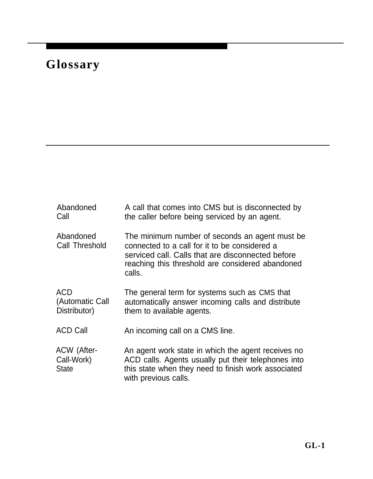# **Glossary**

| Abandoned<br>Call                                | A call that comes into CMS but is disconnected by<br>the caller before being serviced by an agent.                                                                                                                  |
|--------------------------------------------------|---------------------------------------------------------------------------------------------------------------------------------------------------------------------------------------------------------------------|
| Abandoned<br>Call Threshold                      | The minimum number of seconds an agent must be.<br>connected to a call for it to be considered a<br>serviced call. Calls that are disconnected before<br>reaching this threshold are considered abandoned<br>calls. |
| <b>ACD</b><br>(Automatic Call<br>Distributor)    | The general term for systems such as CMS that<br>automatically answer incoming calls and distribute<br>them to available agents.                                                                                    |
| <b>ACD Call</b>                                  | An incoming call on a CMS line.                                                                                                                                                                                     |
| <b>ACW</b> (After-<br>Call-Work)<br><b>State</b> | An agent work state in which the agent receives no<br>ACD calls. Agents usually put their telephones into<br>this state when they need to finish work associated<br>with previous calls.                            |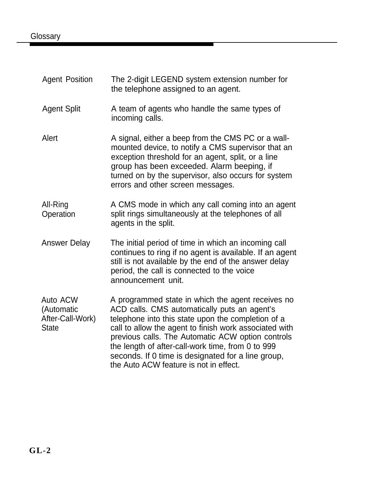#### <span id="page-161-0"></span>**Glossary**

| <b>Agent Position</b>                                      | The 2-digit LEGEND system extension number for<br>the telephone assigned to an agent.                                                                                                                                                                                                                                                                                                                                       |
|------------------------------------------------------------|-----------------------------------------------------------------------------------------------------------------------------------------------------------------------------------------------------------------------------------------------------------------------------------------------------------------------------------------------------------------------------------------------------------------------------|
| <b>Agent Split</b>                                         | A team of agents who handle the same types of<br>incoming calls.                                                                                                                                                                                                                                                                                                                                                            |
| Alert                                                      | A signal, either a beep from the CMS PC or a wall-<br>mounted device, to notify a CMS supervisor that an<br>exception threshold for an agent, split, or a line<br>group has been exceeded. Alarm beeping, if<br>turned on by the supervisor, also occurs for system<br>errors and other screen messages.                                                                                                                    |
| All-Ring<br>Operation                                      | A CMS mode in which any call coming into an agent<br>split rings simultaneously at the telephones of all<br>agents in the split.                                                                                                                                                                                                                                                                                            |
| <b>Answer Delay</b>                                        | The initial period of time in which an incoming call<br>continues to ring if no agent is available. If an agent<br>still is not available by the end of the answer delay<br>period, the call is connected to the voice<br>announcement unit.                                                                                                                                                                                |
| Auto ACW<br>(Automatic<br>After-Call-Work)<br><b>State</b> | A programmed state in which the agent receives no<br>ACD calls. CMS automatically puts an agent's<br>telephone into this state upon the completion of a<br>call to allow the agent to finish work associated with<br>previous calls. The Automatic ACW option controls<br>the length of after-call-work time, from 0 to 999<br>seconds. If 0 time is designated for a line group,<br>the Auto ACW feature is not in effect. |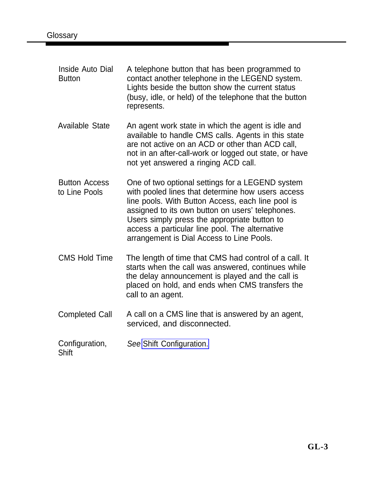| Inside Auto Dial<br><b>Button</b>     | A telephone button that has been programmed to<br>contact another telephone in the LEGEND system.<br>Lights beside the button show the current status<br>(busy, idle, or held) of the telephone that the button<br>represents.                                                                                                                                |
|---------------------------------------|---------------------------------------------------------------------------------------------------------------------------------------------------------------------------------------------------------------------------------------------------------------------------------------------------------------------------------------------------------------|
| <b>Available State</b>                | An agent work state in which the agent is idle and<br>available to handle CMS calls. Agents in this state<br>are not active on an ACD or other than ACD call,<br>not in an after-call-work or logged out state, or have<br>not yet answered a ringing ACD call.                                                                                               |
| <b>Button Access</b><br>to Line Pools | One of two optional settings for a LEGEND system<br>with pooled lines that determine how users access<br>line pools. With Button Access, each line pool is<br>assigned to its own button on users' telephones.<br>Users simply press the appropriate button to<br>access a particular line pool. The alternative<br>arrangement is Dial Access to Line Pools. |
| <b>CMS Hold Time</b>                  | The length of time that CMS had control of a call. It<br>starts when the call was answered, continues while<br>the delay announcement is played and the call is<br>placed on hold, and ends when CMS transfers the<br>call to an agent.                                                                                                                       |
| <b>Completed Call</b>                 | A call on a CMS line that is answered by an agent,<br>serviced, and disconnected.                                                                                                                                                                                                                                                                             |
| Configuration,<br><b>Shift</b>        | See Shift Configuration.                                                                                                                                                                                                                                                                                                                                      |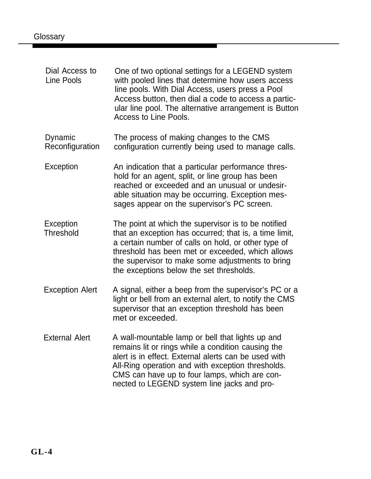| Dial Access to<br>Line Pools  | One of two optional settings for a LEGEND system<br>with pooled lines that determine how users access<br>line pools. With Dial Access, users press a Pool<br>Access button, then dial a code to access a partic-<br>ular line pool. The alternative arrangement is Button<br>Access to Line Pools.                       |
|-------------------------------|--------------------------------------------------------------------------------------------------------------------------------------------------------------------------------------------------------------------------------------------------------------------------------------------------------------------------|
| Dynamic<br>Reconfiguration    | The process of making changes to the CMS<br>configuration currently being used to manage calls.                                                                                                                                                                                                                          |
| Exception                     | An indication that a particular performance thres-<br>hold for an agent, split, or line group has been<br>reached or exceeded and an unusual or undesir-<br>able situation may be occurring. Exception mes-<br>sages appear on the supervisor's PC screen.                                                               |
| Exception<br><b>Threshold</b> | The point at which the supervisor is to be notified<br>that an exception has occurred; that is, a time limit,<br>a certain number of calls on hold, or other type of<br>threshold has been met or exceeded, which allows<br>the supervisor to make some adjustments to bring<br>the exceptions below the set thresholds. |
| <b>Exception Alert</b>        | A signal, either a beep from the supervisor's PC or a<br>light or bell from an external alert, to notify the CMS<br>supervisor that an exception threshold has been<br>met or exceeded.                                                                                                                                  |
| <b>External Alert</b>         | A wall-mountable lamp or bell that lights up and<br>remains lit or rings while a condition causing the<br>alert is in effect. External alerts can be used with<br>All-Ring operation and with exception thresholds.<br>CMS can have up to four lamps, which are con-<br>nected to LEGEND system line jacks and pro-      |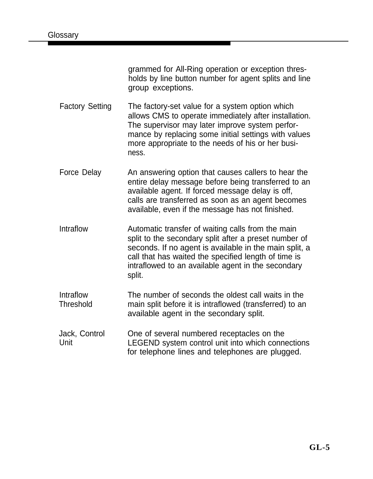grammed for All-Ring operation or exception thresholds by line button number for agent splits and line group exceptions.

Factory Setting The factory-set value for a system option which allows CMS to operate immediately after installation. The supervisor may later improve system performance by replacing some initial settings with values more appropriate to the needs of his or her business.

Force Delay An answering option that causes callers to hear the entire delay message before being transferred to an available agent. If forced message delay is off, calls are transferred as soon as an agent becomes available, even if the message has not finished.

Intraflow Automatic transfer of waiting calls from the main split to the secondary split after a preset number of seconds. If no agent is available in the main split, a call that has waited the specified length of time is intraflowed to an available agent in the secondary split.

- Intraflow **Threshold** The number of seconds the oldest call waits in the main split before it is intraflowed (transferred) to an available agent in the secondary split.
- Jack, Control Unit One of several numbered receptacles on the LEGEND system control unit into which connections for telephone lines and telephones are plugged.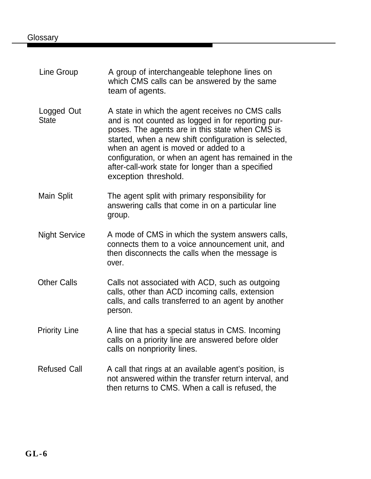| Line Group                 | A group of interchangeable telephone lines on<br>which CMS calls can be answered by the same<br>team of agents.                                                                                                                                                                                                                                                                               |
|----------------------------|-----------------------------------------------------------------------------------------------------------------------------------------------------------------------------------------------------------------------------------------------------------------------------------------------------------------------------------------------------------------------------------------------|
| Logged Out<br><b>State</b> | A state in which the agent receives no CMS calls<br>and is not counted as logged in for reporting pur-<br>poses. The agents are in this state when CMS is<br>started, when a new shift configuration is selected,<br>when an agent is moved or added to a<br>configuration, or when an agent has remained in the<br>after-call-work state for longer than a specified<br>exception threshold. |
| Main Split                 | The agent split with primary responsibility for<br>answering calls that come in on a particular line<br>group.                                                                                                                                                                                                                                                                                |
| <b>Night Service</b>       | A mode of CMS in which the system answers calls,<br>connects them to a voice announcement unit, and<br>then disconnects the calls when the message is<br>over.                                                                                                                                                                                                                                |
| <b>Other Calls</b>         | Calls not associated with ACD, such as outgoing<br>calls, other than ACD incoming calls, extension<br>calls, and calls transferred to an agent by another<br>person.                                                                                                                                                                                                                          |
| <b>Priority Line</b>       | A line that has a special status in CMS. Incoming<br>calls on a priority line are answered before older<br>calls on nonpriority lines.                                                                                                                                                                                                                                                        |
| <b>Refused Call</b>        | A call that rings at an available agent's position, is<br>not answered within the transfer return interval, and<br>then returns to CMS. When a call is refused, the                                                                                                                                                                                                                           |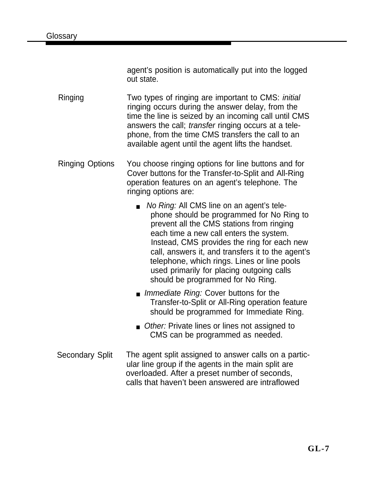agent's position is automatically put into the logged out state.

- Ringing Two types of ringing are important to CMS: initial ringing occurs during the answer delay, from the time the line is seized by an incoming call until CMS answers the call; transfer ringing occurs at a telephone, from the time CMS transfers the call to an available agent until the agent lifts the handset.
- Ringing Options You choose ringing options for line buttons and for Cover buttons for the Transfer-to-Split and All-Ring operation features on an agent's telephone. The ringing options are:
	- No Ring: All CMS line on an agent's telephone should be programmed for No Ring to prevent all the CMS stations from ringing each time a new call enters the system. Instead, CMS provides the ring for each new call, answers it, and transfers it to the agent's telephone, which rings. Lines or line pools used primarily for placing outgoing calls should be programmed for No Ring.
	- *Immediate Ring:* Cover buttons for the Transfer-to-Split or All-Ring operation feature should be programmed for Immediate Ring.
	- Other: Private lines or lines not assigned to CMS can be programmed as needed.
- Secondary Split The agent split assigned to answer calls on a particular line group if the agents in the main split are overloaded. After a preset number of seconds, calls that haven't been answered are intraflowed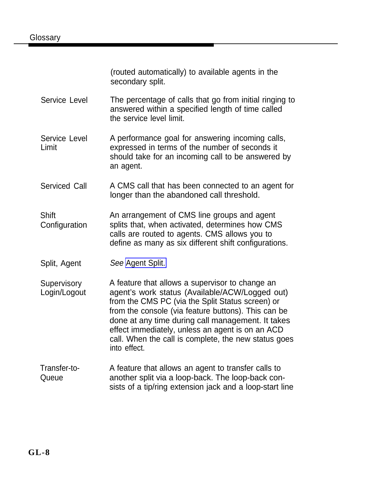(routed automatically) to available agents in the secondary split.

- <span id="page-167-0"></span>Service Level The percentage of calls that go from initial ringing to answered within a specified length of time called the service level limit.
- Service Level Limit A performance goal for answering incoming calls, expressed in terms of the number of seconds it should take for an incoming call to be answered by an agent.
- Serviced Call A CMS call that has been connected to an agent for longer than the abandoned call threshold.
- **Shift Configuration** An arrangement of CMS line groups and agent splits that, when activated, determines how CMS calls are routed to agents. CMS allows you to define as many as six different shift configurations.
- Split, Agent See [Agent Split.](#page-161-0)
- **Supervisory** Login/Logout A feature that allows a supervisor to change an agent's work status (Available/ACW/Logged out) from the CMS PC (via the Split Status screen) or from the console (via feature buttons). This can be done at any time during call management. It takes effect immediately, unless an agent is on an ACD call. When the call is complete, the new status goes into effect.
- Transfer-to-**Queue** A feature that allows an agent to transfer calls to another split via a loop-back. The loop-back consists of a tip/ring extension jack and a loop-start line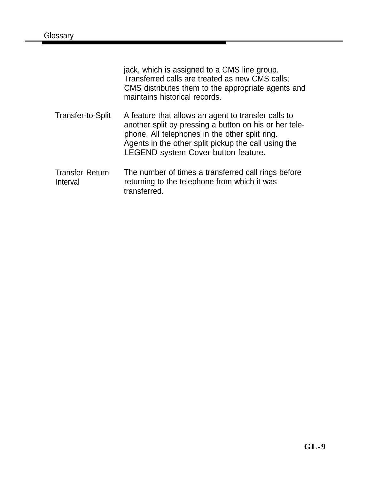|                                    | jack, which is assigned to a CMS line group.<br>Transferred calls are treated as new CMS calls;<br>CMS distributes them to the appropriate agents and<br>maintains historical records.                                                                               |
|------------------------------------|----------------------------------------------------------------------------------------------------------------------------------------------------------------------------------------------------------------------------------------------------------------------|
| Transfer-to-Split                  | A feature that allows an agent to transfer calls to<br>another split by pressing a button on his or her tele-<br>phone. All telephones in the other split ring.<br>Agents in the other split pickup the call using the<br><b>LEGEND system Cover button feature.</b> |
| <b>Transfer Return</b><br>Interval | The number of times a transferred call rings before<br>returning to the telephone from which it was<br>transferred.                                                                                                                                                  |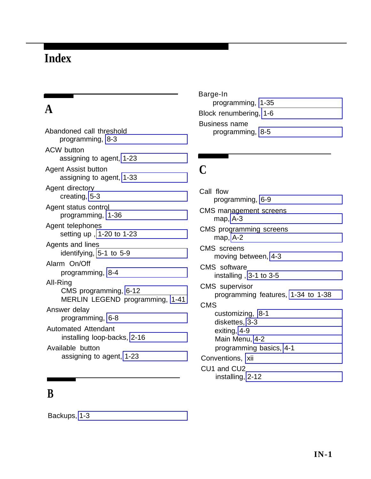# **Index**

# **A**

Abandoned call threshold programming, [8-3](#page-123-1) ACW button assigning to agent, [1-23](#page-38-0) Agent Assist button assigning to agent, [1-33](#page-48-0) Agent directory creating, [5-3](#page-90-1) Agent status control programming, [1-36](#page-51-0) Agent telephones setting up , [1-20 to 1-23](#page-35-0) Agents and lines identifying, [5-1 to 5-9](#page-88-0) Alarm On/Off programming, [8-4](#page-124-1) All-Ring CMS programming, [6-12](#page-108-1) MERLIN LEGEND programming, [1-41](#page-56-0) Answer delay programming, [6-8](#page-104-0) Automated Attendant installing loop-backs, [2-16](#page-72-0) Available button assigning to agent, [1-23](#page-38-0)

#### **B**

Barge-In programming, [1-35](#page-50-0) Block renumbering, [1-6](#page-21-0) Business name programming, [8-5](#page-125-1)

#### **C**

Call flow programming, [6-9](#page-105-0) CMS management screens map, [A-3](#page-155-1) CMS programming screens map, [A-2](#page-154-1) CMS screens moving between, [4-3](#page-81-0) CMS software installing , [3-1 to 3-5](#page-74-0) CMS supervisor programming features, [1-34 to 1-38](#page-49-0) CMS customizing, [8-1](#page-121-0) diskettes, [3-3](#page-76-0) exiting, [4-9](#page-87-0) Main Menu, [4-2](#page-80-0) programming basics, [4-1](#page-79-0) Conventions, [xii](#page-10-0) CU<sub>1</sub> and CU<sub>2</sub> installing, [2-12](#page-68-0)

Backups, [1-3](#page-18-0)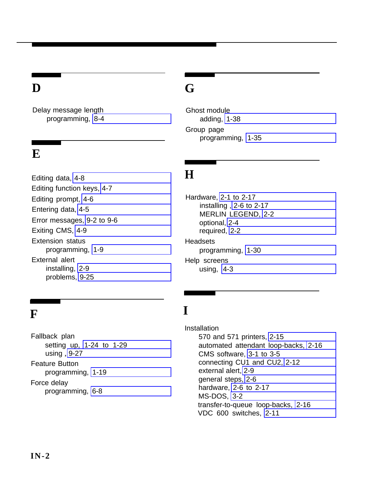Delay message length programming, [8-4](#page-124-1)

#### **E**

Editing data, [4-8](#page-86-0) Editing function keys, [4-7](#page-85-0) Editing prompt, [4-6](#page-84-0) Entering data, [4-5](#page-83-0) Error messages, [9-2 to 9-6](#page-127-0) Exiting CMS, [4-9](#page-87-0) Extension status programming, [1-9](#page-24-1) External alert installing, [2-9](#page-65-0) problems, [9-25](#page-150-0)

# **F I**

Fallback plan setting up, [1-24 to 1-29](#page-39-1) using , [9-27](#page-152-0) Feature Button programming, [1-19](#page-34-0) Force delay programming, [6-8](#page-104-0)

# **D G**

Ghost module adding, [1-38](#page-53-0) Group page programming, [1-35](#page-50-0)

### **H**

Hardware, [2-1 to 2-17](#page-57-0) installing , [2-6 to 2-17](#page-62-0) MERLIN LEGEND, [2-2](#page-58-0) optional, [2-4](#page-60-0) required, [2-2](#page-58-0) **Headsets** programming, [1-30](#page-45-0) Help screens using, [4-3](#page-81-0)

Installation 570 and 571 printers, [2-15](#page-71-0) automated attendant loop-backs, [2-16](#page-72-0) CMS software, [3-1 to 3-5](#page-74-0) connecting CU1 and CU2, [2-12](#page-68-0) external alert, [2-9](#page-65-0) general steps, [2-6](#page-62-0) hardware, [2-6 to 2-17](#page-62-0) MS-DOS, [3-2](#page-75-0) transfer-to-queue loop-backs, [2-16](#page-72-0) VDC 600 switches, [2-11](#page-67-0)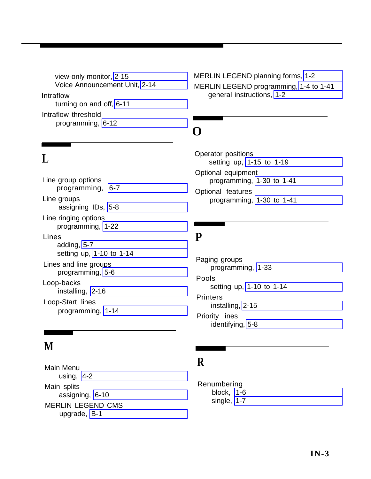view-only monitor, [2-15](#page-71-0) Voice Announcement Unit, [2-14](#page-70-0) Intraflow turning on and off, [6-11](#page-107-1) Intraflow threshold programming, [6-12](#page-108-1)

## **L**

Line group options programming, [6-7](#page-103-1) Line groups assigning IDs, [5-8](#page-95-0) Line ringing options programming, [1-22](#page-37-0) Lines adding, [5-7](#page-94-0) setting up, [1-10 to 1-14](#page-25-0) Lines and line groups programming, [5-6](#page-93-0) Loop-backs installing, [2-16](#page-72-0) Loop-Start lines programming, [1-14](#page-29-1)

# **M**

Main Menu using, [4-2](#page-80-0) Main splits assigning, [6-10](#page-106-0) MERLIN LEGEND CMS upgrade, [B-1](#page-156-0)

MERLIN LEGEND planning forms, [1-2](#page-17-0) MERLIN LEGEND programming, [1-4 to 1-41](#page-19-1) general instructions, [1-2](#page-17-0)

# **O**

Operator positions setting up, [1-15 to 1-19](#page-30-0) Optional equipment programming, [1-30 to 1-41](#page-45-0) Optional features programming, [1-30 to 1-41](#page-45-0)

#### **P**

Paging groups programming, [1-33](#page-48-0) Pools setting up, [1-10 to 1-14](#page-25-0) **Printers** installing, [2-15](#page-71-0) Priority lines identifying, [5-8](#page-95-0)

### **R**

Renumbering block, [1-6](#page-21-0) single, [1-7](#page-22-0)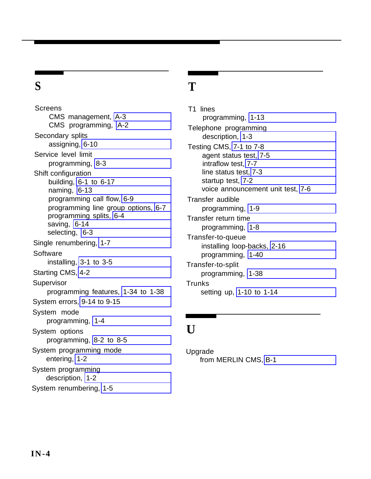## **S**

**Screens** CMS management, [A-3](#page-155-1) CMS programming, [A-2](#page-154-1) Secondary splits assigning, [6-10](#page-106-0) Service level limit programming, [8-3](#page-123-1) Shift configuration building, [6-1 to 6-17](#page-97-0) naming, [6-13](#page-109-0) programming call flow, [6-9](#page-105-0) programming line group options, [6-7](#page-103-1) programming splits, [6-4](#page-100-0) saving, [6-14](#page-110-0) selecting, [6-3](#page-99-0) Single renumbering, [1-7](#page-22-0) **Software** installing, [3-1 to 3-5](#page-74-0) Starting CMS, [4-2](#page-80-0) Supervisor programming features, [1-34 to 1-38](#page-49-0) System errors, [9-14 to 9-15](#page-139-0) System mode programming, [1-4](#page-19-1) System options programming, [8-2 to 8-5](#page-122-0) System programming mode entering, [1-2](#page-17-0) System programming description, [1-2](#page-17-0) System renumbering, [1-5](#page-20-1)

### **T**

T1 lines programming, [1-13](#page-28-0) Telephone programming description, [1-3](#page-18-0) Testing CMS, [7-1 to 7-8](#page-113-0) agent status test, [7-5](#page-117-0) intraflow test, [7-7](#page-119-0) line status test, [7-3](#page-115-0) startup test, [7-2](#page-114-0) voice announcement unit test, [7-6](#page-118-0) Transfer audible programming, [1-9](#page-24-1) Transfer return time programming, [1-8](#page-23-1) Transfer-to-queue installing loop-backs, [2-16](#page-72-0) programming, [1-40](#page-55-0) Transfer-to-split programming, [1-38](#page-53-0) Trunks setting up, [1-10 to 1-14](#page-25-0)

## **U**

Upgrade from MERLIN CMS, [B-1](#page-156-0)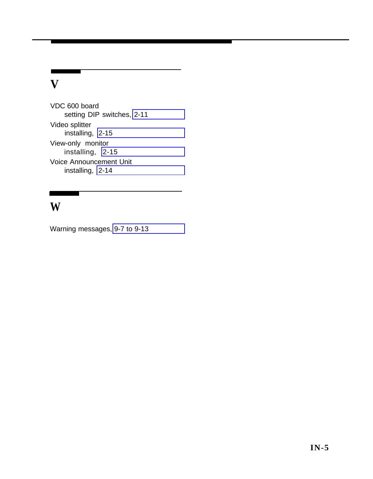## **V**

VDC 600 board setting DIP switches, [2-11](#page-67-1) Video splitter installing, [2-15](#page-71-1) View-only monitor installing, [2-15](#page-71-1) Voice Announcement Unit installing, [2-14](#page-70-1)

## **W**

Warning messages, [9-7 to 9-13](#page-132-0)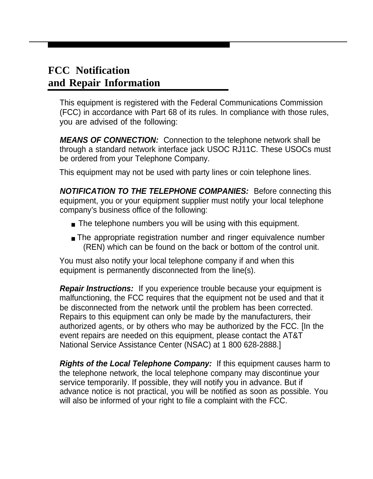#### **FCC Notification and Repair Information**

This equipment is registered with the Federal Communications Commission (FCC) in accordance with Part 68 of its rules. In compliance with those rules, you are advised of the following:

**MEANS OF CONNECTION:** Connection to the telephone network shall be through a standard network interface jack USOC RJ11C. These USOCs must be ordered from your Telephone Company.

This equipment may not be used with party lines or coin telephone lines.

**NOTIFICATION TO THE TELEPHONE COMPANIES:** Before connecting this equipment, you or your equipment supplier must notify your local telephone company's business office of the following:

- The telephone numbers you will be using with this equipment.
- The appropriate registration number and ringer equivalence number (REN) which can be found on the back or bottom of the control unit.

You must also notify your local telephone company if and when this equipment is permanently disconnected from the line(s).

**Repair Instructions:** If you experience trouble because your equipment is malfunctioning, the FCC requires that the equipment not be used and that it be disconnected from the network until the problem has been corrected. Repairs to this equipment can only be made by the manufacturers, their authorized agents, or by others who may be authorized by the FCC. [In the event repairs are needed on this equipment, please contact the AT&T National Service Assistance Center (NSAC) at 1 800 628-2888.]

**Rights of the Local Telephone Company:** If this equipment causes harm to the telephone network, the local telephone company may discontinue your service temporarily. If possible, they will notify you in advance. But if advance notice is not practical, you will be notified as soon as possible. You will also be informed of your right to file a complaint with the FCC.